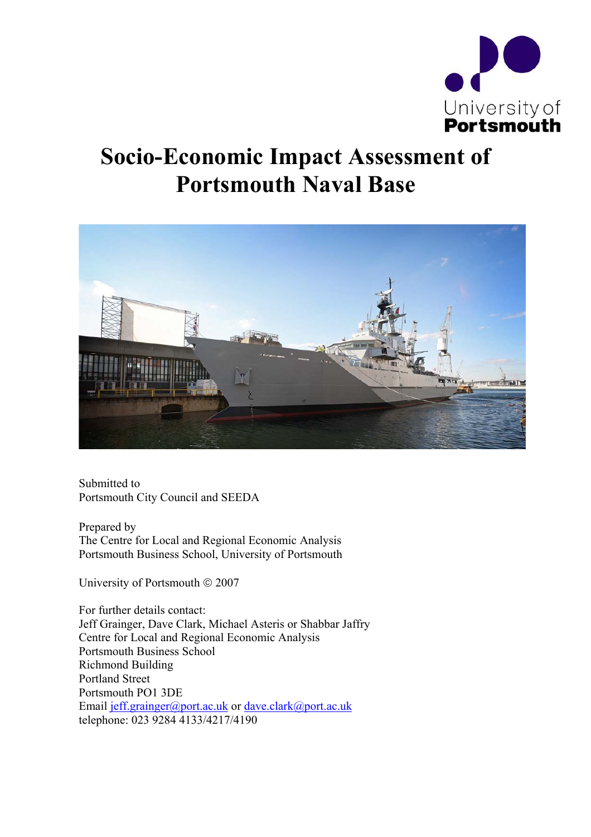

# **Socio-Economic Impact Assessment of Portsmouth Naval Base**



Submitted to Portsmouth City Council and SEEDA

Prepared by The Centre for Local and Regional Economic Analysis Portsmouth Business School, University of Portsmouth

University of Portsmouth  $\odot$  2007

For further details contact: Jeff Grainger, Dave Clark, Michael Asteris or Shabbar Jaffry Centre for Local and Regional Economic Analysis Portsmouth Business School Richmond Building Portland Street Portsmouth PO1 3DE Email jeff.grainger@port.ac.uk or dave.clark@port.ac.uk telephone: 023 9284 4133/4217/4190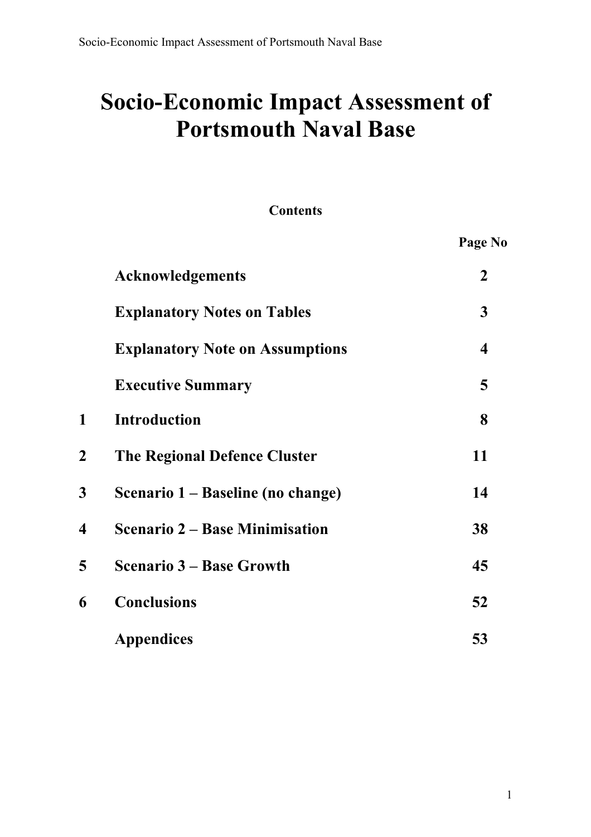# **Socio-Economic Impact Assessment of Portsmouth Naval Base**

## **Contents**

|             |                                        | Page No          |
|-------------|----------------------------------------|------------------|
|             | <b>Acknowledgements</b>                | $\boldsymbol{2}$ |
|             | <b>Explanatory Notes on Tables</b>     | $\mathbf{3}$     |
|             | <b>Explanatory Note on Assumptions</b> | 4                |
|             | <b>Executive Summary</b>               | 5                |
| 1           | <b>Introduction</b>                    | 8                |
| $\mathbf 2$ | <b>The Regional Defence Cluster</b>    | 11               |
| 3           | Scenario 1 – Baseline (no change)      | 14               |
| 4           | <b>Scenario 2 – Base Minimisation</b>  | 38               |
| 5           | <b>Scenario 3 – Base Growth</b>        | 45               |
| 6           | <b>Conclusions</b>                     | 52               |
|             | <b>Appendices</b>                      | 53               |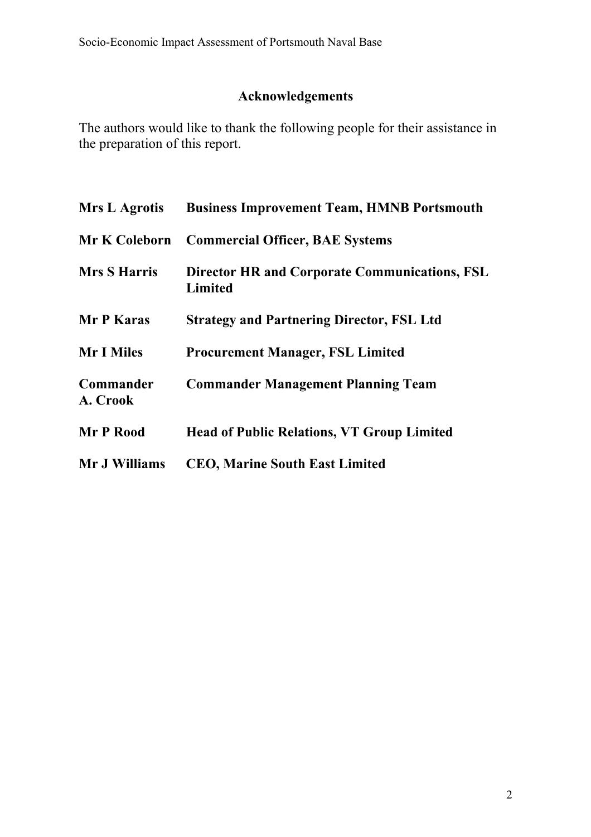# **Acknowledgements**

The authors would like to thank the following people for their assistance in the preparation of this report.

| <b>Mrs L Agrotis</b>  | <b>Business Improvement Team, HMNB Portsmouth</b>                      |
|-----------------------|------------------------------------------------------------------------|
| <b>Mr K Coleborn</b>  | <b>Commercial Officer, BAE Systems</b>                                 |
| <b>Mrs S Harris</b>   | <b>Director HR and Corporate Communications, FSL</b><br><b>Limited</b> |
| Mr P Karas            | <b>Strategy and Partnering Director, FSL Ltd</b>                       |
| <b>Mr I Miles</b>     | <b>Procurement Manager, FSL Limited</b>                                |
| Commander<br>A. Crook | <b>Commander Management Planning Team</b>                              |
| Mr P Rood             | <b>Head of Public Relations, VT Group Limited</b>                      |
| Mr J Williams         | <b>CEO, Marine South East Limited</b>                                  |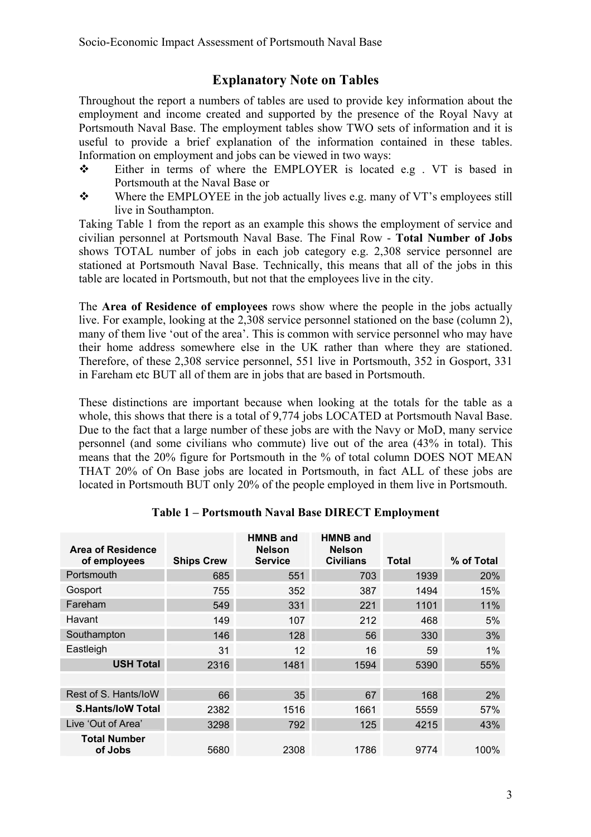## **Explanatory Note on Tables**

Throughout the report a numbers of tables are used to provide key information about the employment and income created and supported by the presence of the Royal Navy at Portsmouth Naval Base. The employment tables show TWO sets of information and it is useful to provide a brief explanation of the information contained in these tables. Information on employment and jobs can be viewed in two ways:

- Either in terms of where the EMPLOYER is located e.g . VT is based in Portsmouth at the Naval Base or
- Where the EMPLOYEE in the job actually lives e.g. many of VT's employees still live in Southampton.

Taking Table 1 from the report as an example this shows the employment of service and civilian personnel at Portsmouth Naval Base. The Final Row - **Total Number of Jobs**  shows TOTAL number of jobs in each job category e.g. 2,308 service personnel are stationed at Portsmouth Naval Base. Technically, this means that all of the jobs in this table are located in Portsmouth, but not that the employees live in the city.

The **Area of Residence of employees** rows show where the people in the jobs actually live. For example, looking at the 2,308 service personnel stationed on the base (column 2), many of them live 'out of the area'. This is common with service personnel who may have their home address somewhere else in the UK rather than where they are stationed. Therefore, of these 2,308 service personnel, 551 live in Portsmouth, 352 in Gosport, 331 in Fareham etc BUT all of them are in jobs that are based in Portsmouth.

These distinctions are important because when looking at the totals for the table as a whole, this shows that there is a total of 9,774 jobs LOCATED at Portsmouth Naval Base. Due to the fact that a large number of these jobs are with the Navy or MoD, many service personnel (and some civilians who commute) live out of the area (43% in total). This means that the 20% figure for Portsmouth in the % of total column DOES NOT MEAN THAT 20% of On Base jobs are located in Portsmouth, in fact ALL of these jobs are located in Portsmouth BUT only 20% of the people employed in them live in Portsmouth.

| Area of Residence<br>of employees | <b>Ships Crew</b> | <b>HMNB and</b><br><b>Nelson</b><br><b>Service</b> | <b>HMNB and</b><br><b>Nelson</b><br><b>Civilians</b> | Total | % of Total |
|-----------------------------------|-------------------|----------------------------------------------------|------------------------------------------------------|-------|------------|
| Portsmouth                        | 685               | 551                                                | 703                                                  | 1939  | 20%        |
| Gosport                           | 755               | 352                                                | 387                                                  | 1494  | 15%        |
| Fareham                           | 549               | 331                                                | 221                                                  | 1101  | 11%        |
| Havant                            | 149               | 107                                                | 212                                                  | 468   | 5%         |
| Southampton                       | 146               | 128                                                | 56                                                   | 330   | 3%         |
| Eastleigh                         | 31                | 12                                                 | 16                                                   | 59    | $1\%$      |
| <b>USH Total</b>                  | 2316              | 1481                                               | 1594                                                 | 5390  | 55%        |
|                                   |                   |                                                    |                                                      |       |            |
| Rest of S. Hants/loW              | 66                | 35                                                 | 67                                                   | 168   | 2%         |
| <b>S.Hants/loW Total</b>          | 2382              | 1516                                               | 1661                                                 | 5559  | 57%        |
| Live 'Out of Area'                | 3298              | 792                                                | 125                                                  | 4215  | 43%        |
| <b>Total Number</b><br>of Jobs    | 5680              | 2308                                               | 1786                                                 | 9774  | 100%       |

#### **Table 1 – Portsmouth Naval Base DIRECT Employment**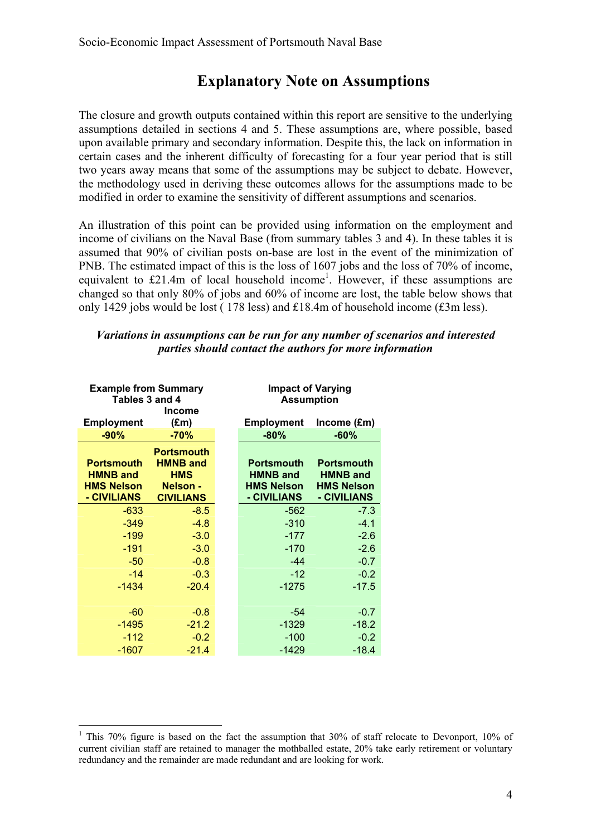## **Explanatory Note on Assumptions**

The closure and growth outputs contained within this report are sensitive to the underlying assumptions detailed in sections 4 and 5. These assumptions are, where possible, based upon available primary and secondary information. Despite this, the lack on information in certain cases and the inherent difficulty of forecasting for a four year period that is still two years away means that some of the assumptions may be subject to debate. However, the methodology used in deriving these outcomes allows for the assumptions made to be modified in order to examine the sensitivity of different assumptions and scenarios.

An illustration of this point can be provided using information on the employment and income of civilians on the Naval Base (from summary tables 3 and 4). In these tables it is assumed that 90% of civilian posts on-base are lost in the event of the minimization of PNB. The estimated impact of this is the loss of 1607 jobs and the loss of 70% of income, equivalent to  $£21.4m$  of local household income<sup>1</sup>. However, if these assumptions are changed so that only 80% of jobs and 60% of income are lost, the table below shows that only 1429 jobs would be lost ( 178 less) and £18.4m of household income (£3m less).

#### *Variations in assumptions can be run for any number of scenarios and interested parties should contact the authors for more information*

| <b>Example from Summary</b><br>Tables 3 and 4<br><b>Income</b>           |                                                                                           |  | <b>Impact of Varying</b><br><b>Assumption</b>                            |                                                                          |
|--------------------------------------------------------------------------|-------------------------------------------------------------------------------------------|--|--------------------------------------------------------------------------|--------------------------------------------------------------------------|
| <b>Employment</b>                                                        | $(\text{Em})$                                                                             |  | <b>Employment</b>                                                        | Income (£m)                                                              |
| $-90%$                                                                   | $-70%$                                                                                    |  | $-80%$                                                                   | $-60%$                                                                   |
| <b>Portsmouth</b><br><b>HMNB and</b><br><b>HMS Nelson</b><br>- CIVILIANS | <b>Portsmouth</b><br><b>HMNB and</b><br><b>HMS</b><br><b>Nelson -</b><br><b>CIVILIANS</b> |  | <b>Portsmouth</b><br><b>HMNB and</b><br><b>HMS Nelson</b><br>- CIVILIANS | <b>Portsmouth</b><br><b>HMNB and</b><br><b>HMS Nelson</b><br>- CIVILIANS |
| $-633$                                                                   | $-8.5$                                                                                    |  | $-562$                                                                   | $-7.3$                                                                   |
| $-349$                                                                   | $-4.8$                                                                                    |  | $-310$                                                                   | $-4.1$                                                                   |
| $-199$                                                                   | $-3.0$                                                                                    |  | $-177$                                                                   | $-2.6$                                                                   |
| $-191$                                                                   | $-3.0$                                                                                    |  | $-170$                                                                   | $-2.6$                                                                   |
| $-50$                                                                    | $-0.8$                                                                                    |  | $-44$                                                                    | $-0.7$                                                                   |
| $-14$                                                                    | $-0.3$                                                                                    |  | $-12$                                                                    | $-0.2$                                                                   |
| $-1434$                                                                  | $-20.4$                                                                                   |  | $-1275$                                                                  | $-17.5$                                                                  |
| $-60$                                                                    | $-0.8$                                                                                    |  | $-54$                                                                    | $-0.7$                                                                   |
| $-1495$                                                                  | $-21.2$                                                                                   |  | $-1329$                                                                  | $-18.2$                                                                  |
| $-112$                                                                   | $-0.2$                                                                                    |  | $-100$                                                                   | $-0.2$                                                                   |
| $-1607$                                                                  | $-21.4$                                                                                   |  | $-1429$                                                                  | $-18.4$                                                                  |

 $\overline{a}$ <sup>1</sup> This 70% figure is based on the fact the assumption that 30% of staff relocate to Devonport, 10% of current civilian staff are retained to manager the mothballed estate, 20% take early retirement or voluntary redundancy and the remainder are made redundant and are looking for work.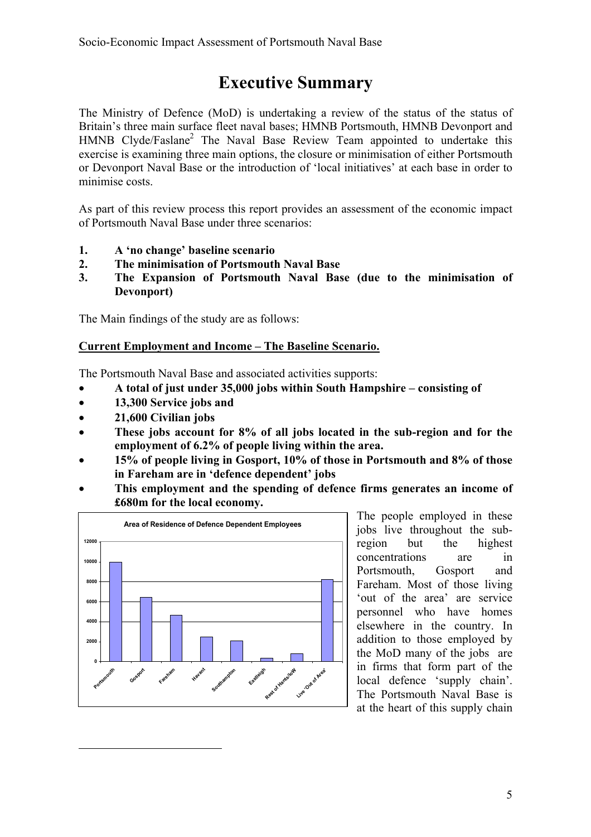# **Executive Summary**

The Ministry of Defence (MoD) is undertaking a review of the status of the status of Britain's three main surface fleet naval bases; HMNB Portsmouth, HMNB Devonport and HMNB Clyde/Faslane<sup>2</sup> The Naval Base Review Team appointed to undertake this exercise is examining three main options, the closure or minimisation of either Portsmouth or Devonport Naval Base or the introduction of 'local initiatives' at each base in order to minimise costs.

As part of this review process this report provides an assessment of the economic impact of Portsmouth Naval Base under three scenarios:

- **1. A 'no change' baseline scenario**
- **2. The minimisation of Portsmouth Naval Base**
- **3. The Expansion of Portsmouth Naval Base (due to the minimisation of Devonport)**

The Main findings of the study are as follows:

#### **Current Employment and Income – The Baseline Scenario.**

The Portsmouth Naval Base and associated activities supports:

- **A total of just under 35,000 jobs within South Hampshire consisting of**
- **13,300 Service jobs and**
- **21,600 Civilian jobs**

 $\overline{a}$ 

- **These jobs account for 8% of all jobs located in the sub-region and for the employment of 6.2% of people living within the area.**
- **15% of people living in Gosport, 10% of those in Portsmouth and 8% of those in Fareham are in 'defence dependent' jobs**
- **This employment and the spending of defence firms generates an income of £680m for the local economy.**



The people employed in these jobs live throughout the subregion but the highest concentrations are in Portsmouth, Gosport and Fareham. Most of those living 'out of the area' are service personnel who have homes elsewhere in the country. In addition to those employed by the MoD many of the jobs are in firms that form part of the local defence 'supply chain'. The Portsmouth Naval Base is at the heart of this supply chain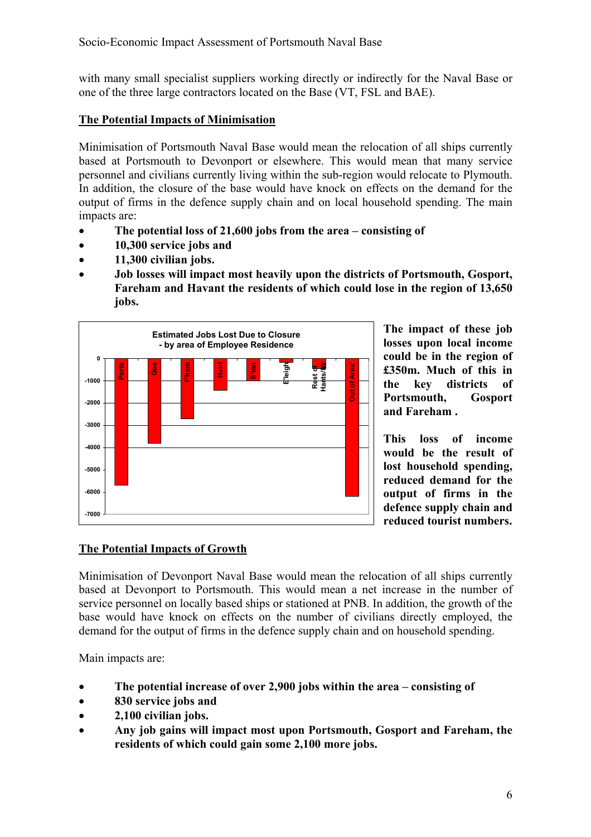with many small specialist suppliers working directly or indirectly for the Naval Base or one of the three large contractors located on the Base (VT, FSL and BAE).

#### **The Potential Impacts of Minimisation**

Minimisation of Portsmouth Naval Base would mean the relocation of all ships currently based at Portsmouth to Devonport or elsewhere. This would mean that many service personnel and civilians currently living within the sub-region would relocate to Plymouth. In addition, the closure of the base would have knock on effects on the demand for the output of firms in the defence supply chain and on local household spending. The main impacts are:

- **The potential loss of 21,600 jobs from the area consisting of**
- **10,300 service jobs and**
- **11,300 civilian jobs.**
- **Job losses will impact most heavily upon the districts of Portsmouth, Gosport, Fareham and Havant the residents of which could lose in the region of 13,650 jobs.**



**The impact of these job losses upon local income could be in the region of £350m. Much of this in the key districts of Portsmouth, Gosport and Fareham .** 

**This loss of income would be the result of lost household spending, reduced demand for the output of firms in the defence supply chain and reduced tourist numbers.** 

#### **The Potential Impacts of Growth**

Minimisation of Devonport Naval Base would mean the relocation of all ships currently based at Devonport to Portsmouth. This would mean a net increase in the number of service personnel on locally based ships or stationed at PNB. In addition, the growth of the base would have knock on effects on the number of civilians directly employed, the demand for the output of firms in the defence supply chain and on household spending.

Main impacts are:

- **The potential increase of over 2,900 jobs within the area consisting of**
- **830 service jobs and**
- **2,100 civilian jobs.**
- **Any job gains will impact most upon Portsmouth, Gosport and Fareham, the residents of which could gain some 2,100 more jobs.**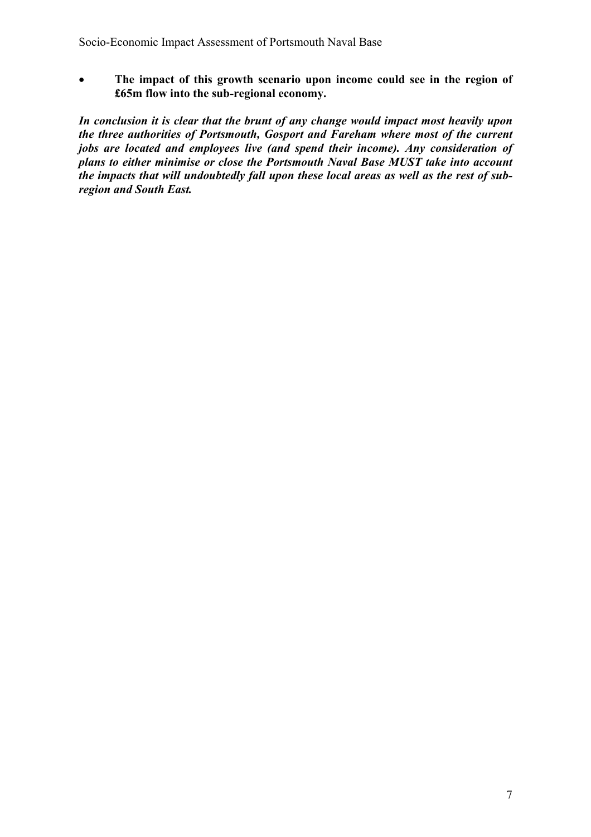• **The impact of this growth scenario upon income could see in the region of £65m flow into the sub-regional economy.** 

*In conclusion it is clear that the brunt of any change would impact most heavily upon the three authorities of Portsmouth, Gosport and Fareham where most of the current jobs are located and employees live (and spend their income). Any consideration of plans to either minimise or close the Portsmouth Naval Base MUST take into account the impacts that will undoubtedly fall upon these local areas as well as the rest of subregion and South East.*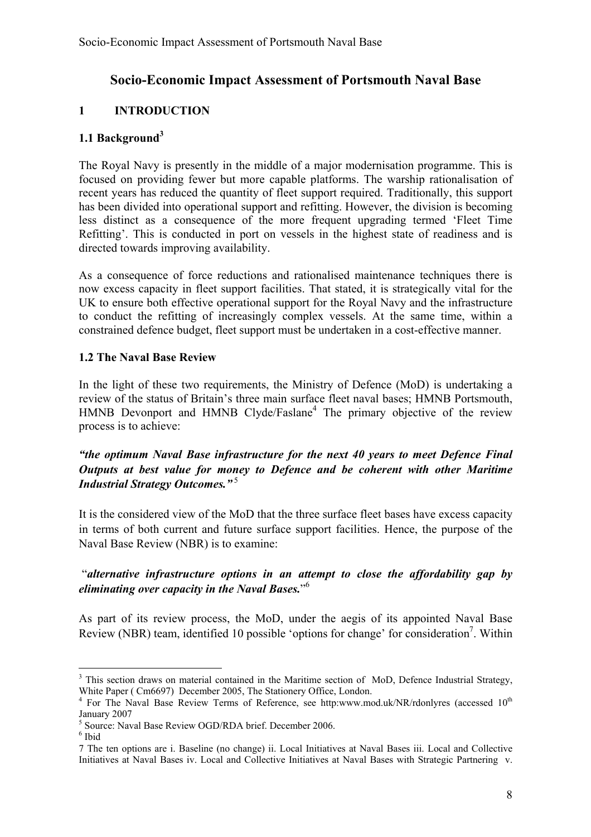#### **Socio-Economic Impact Assessment of Portsmouth Naval Base**

#### **1 INTRODUCTION**

#### **1.1 Background<sup>3</sup>**

The Royal Navy is presently in the middle of a major modernisation programme. This is focused on providing fewer but more capable platforms. The warship rationalisation of recent years has reduced the quantity of fleet support required. Traditionally, this support has been divided into operational support and refitting. However, the division is becoming less distinct as a consequence of the more frequent upgrading termed 'Fleet Time Refitting'. This is conducted in port on vessels in the highest state of readiness and is directed towards improving availability.

As a consequence of force reductions and rationalised maintenance techniques there is now excess capacity in fleet support facilities. That stated, it is strategically vital for the UK to ensure both effective operational support for the Royal Navy and the infrastructure to conduct the refitting of increasingly complex vessels. At the same time, within a constrained defence budget, fleet support must be undertaken in a cost-effective manner.

#### **1.2 The Naval Base Review**

In the light of these two requirements, the Ministry of Defence (MoD) is undertaking a review of the status of Britain's three main surface fleet naval bases; HMNB Portsmouth, HMNB Devonport and HMNB Clyde/Faslane<sup>4</sup> The primary objective of the review process is to achieve:

#### *"the optimum Naval Base infrastructure for the next 40 years to meet Defence Final Outputs at best value for money to Defence and be coherent with other Maritime Industrial Strategy Outcomes."*<sup>5</sup>

It is the considered view of the MoD that the three surface fleet bases have excess capacity in terms of both current and future surface support facilities. Hence, the purpose of the Naval Base Review (NBR) is to examine:

#### "*alternative infrastructure options in an attempt to close the affordability gap by eliminating over capacity in the Naval Bases.*" 6

As part of its review process, the MoD, under the aegis of its appointed Naval Base Review (NBR) team, identified 10 possible 'options for change' for consideration<sup>7</sup>. Within

<sup>&</sup>lt;sup>3</sup> This section draws on material contained in the Maritime section of MoD, Defence Industrial Strategy, White Paper ( Cm6697) December 2005, The Stationery Office, London.

<sup>&</sup>lt;sup>4</sup> For The Naval Base Review Terms of Reference, see http:www.mod.uk/NR/rdonlyres (accessed 10<sup>th</sup> January 2007

 $^5$  Source: Naval Base Review OGD/RDA brief. December 2006.

 $^6$ Ibid

<sup>7</sup> The ten options are i. Baseline (no change) ii. Local Initiatives at Naval Bases iii. Local and Collective Initiatives at Naval Bases iv. Local and Collective Initiatives at Naval Bases with Strategic Partnering v.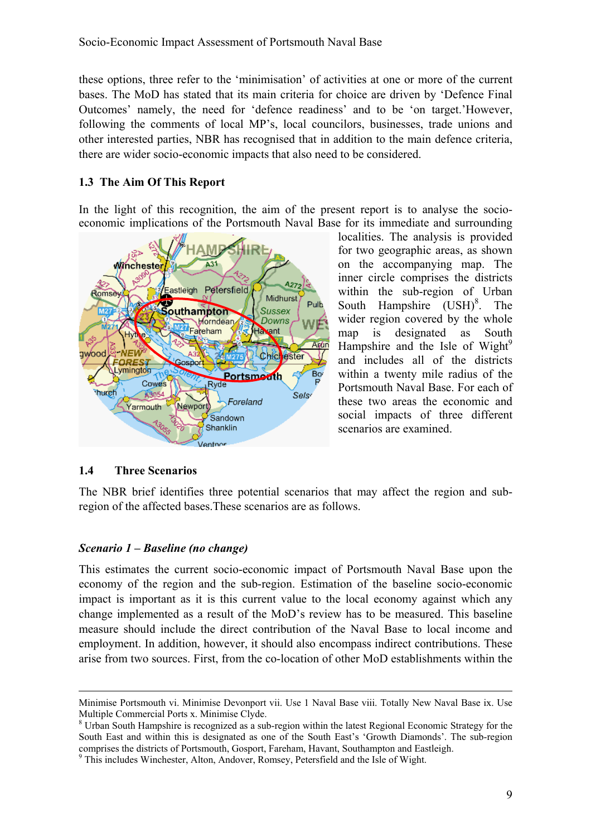these options, three refer to the 'minimisation' of activities at one or more of the current bases. The MoD has stated that its main criteria for choice are driven by 'Defence Final Outcomes' namely, the need for 'defence readiness' and to be 'on target.'However, following the comments of local MP's, local councilors, businesses, trade unions and other interested parties, NBR has recognised that in addition to the main defence criteria, there are wider socio-economic impacts that also need to be considered.

#### **1.3 The Aim Of This Report**

In the light of this recognition, the aim of the present report is to analyse the socioeconomic implications of the Portsmouth Naval Base for its immediate and surrounding



localities. The analysis is provided for two geographic areas, as shown on the accompanying map. The inner circle comprises the districts within the sub-region of Urban South Hampshire  $(USH)^8$ . The wider region covered by the whole map is designated as South Hampshire and the Isle of Wight $^{9}$ and includes all of the districts within a twenty mile radius of the Portsmouth Naval Base. For each of these two areas the economic and social impacts of three different scenarios are examined.

#### **1.4 Three Scenarios**

The NBR brief identifies three potential scenarios that may affect the region and subregion of the affected bases.These scenarios are as follows.

#### *Scenario 1 – Baseline (no change)*

This estimates the current socio-economic impact of Portsmouth Naval Base upon the economy of the region and the sub-region. Estimation of the baseline socio-economic impact is important as it is this current value to the local economy against which any change implemented as a result of the MoD's review has to be measured. This baseline measure should include the direct contribution of the Naval Base to local income and employment. In addition, however, it should also encompass indirect contributions. These arise from two sources. First, from the co-location of other MoD establishments within the

Minimise Portsmouth vi. Minimise Devonport vii. Use 1 Naval Base viii. Totally New Naval Base ix. Use Multiple Commercial Ports x. Minimise Clyde.

<sup>&</sup>lt;sup>8</sup> Urban South Hampshire is recognized as a sub-region within the latest Regional Economic Strategy for the South East and within this is designated as one of the South East's 'Growth Diamonds'. The sub-region comprises the districts of Portsmouth, Gosport, Fareham, Havant, Southampton and Eastleigh.

<sup>&</sup>lt;sup>9</sup> This includes Winchester, Alton, Andover, Romsey, Petersfield and the Isle of Wight.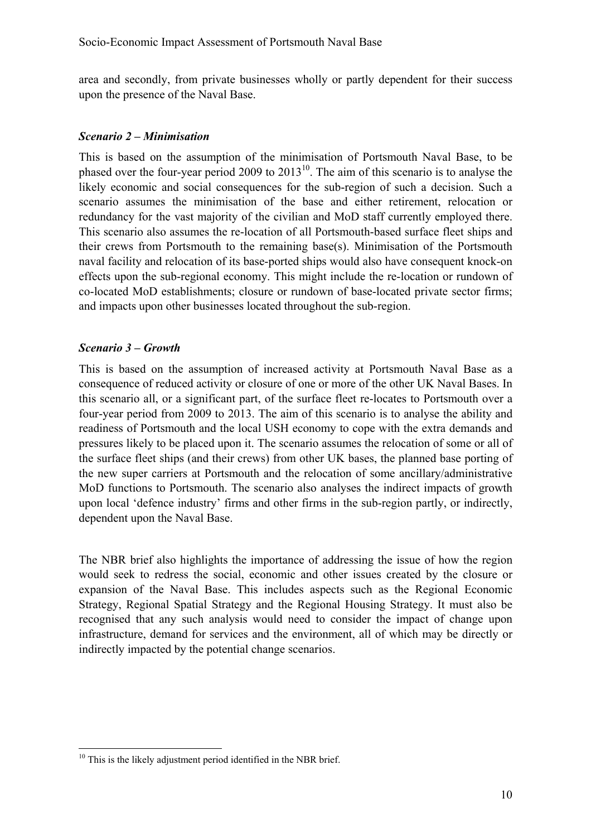area and secondly, from private businesses wholly or partly dependent for their success upon the presence of the Naval Base.

#### *Scenario 2 – Minimisation*

This is based on the assumption of the minimisation of Portsmouth Naval Base, to be phased over the four-year period 2009 to  $2013^{10}$ . The aim of this scenario is to analyse the likely economic and social consequences for the sub-region of such a decision. Such a scenario assumes the minimisation of the base and either retirement, relocation or redundancy for the vast majority of the civilian and MoD staff currently employed there. This scenario also assumes the re-location of all Portsmouth-based surface fleet ships and their crews from Portsmouth to the remaining base(s). Minimisation of the Portsmouth naval facility and relocation of its base-ported ships would also have consequent knock-on effects upon the sub-regional economy. This might include the re-location or rundown of co-located MoD establishments; closure or rundown of base-located private sector firms; and impacts upon other businesses located throughout the sub-region.

#### *Scenario 3 – Growth*

 $\overline{a}$ 

This is based on the assumption of increased activity at Portsmouth Naval Base as a consequence of reduced activity or closure of one or more of the other UK Naval Bases. In this scenario all, or a significant part, of the surface fleet re-locates to Portsmouth over a four-year period from 2009 to 2013. The aim of this scenario is to analyse the ability and readiness of Portsmouth and the local USH economy to cope with the extra demands and pressures likely to be placed upon it. The scenario assumes the relocation of some or all of the surface fleet ships (and their crews) from other UK bases, the planned base porting of the new super carriers at Portsmouth and the relocation of some ancillary/administrative MoD functions to Portsmouth. The scenario also analyses the indirect impacts of growth upon local 'defence industry' firms and other firms in the sub-region partly, or indirectly, dependent upon the Naval Base.

The NBR brief also highlights the importance of addressing the issue of how the region would seek to redress the social, economic and other issues created by the closure or expansion of the Naval Base. This includes aspects such as the Regional Economic Strategy, Regional Spatial Strategy and the Regional Housing Strategy. It must also be recognised that any such analysis would need to consider the impact of change upon infrastructure, demand for services and the environment, all of which may be directly or indirectly impacted by the potential change scenarios.

<sup>&</sup>lt;sup>10</sup> This is the likely adjustment period identified in the NBR brief.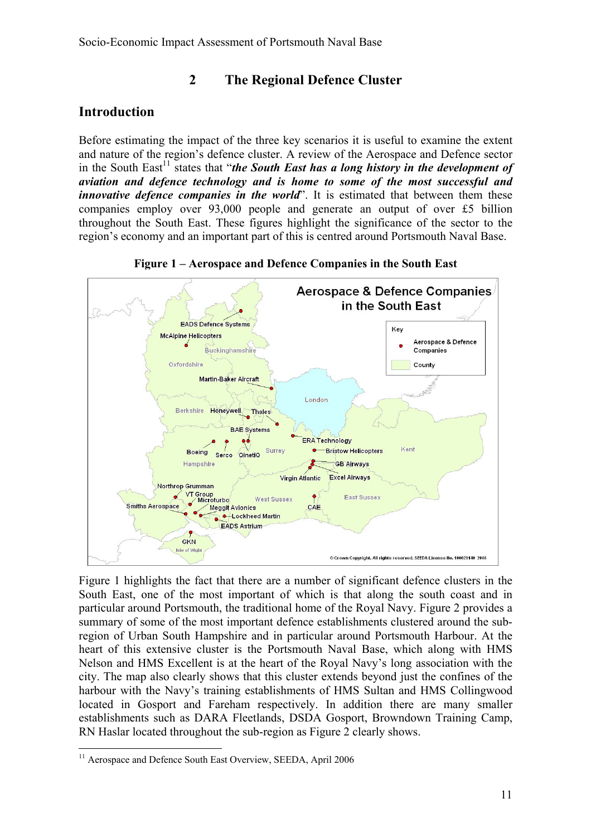**2 The Regional Defence Cluster** 

## **Introduction**

Before estimating the impact of the three key scenarios it is useful to examine the extent and nature of the region's defence cluster. A review of the Aerospace and Defence sector in the South East<sup>11</sup> states that "*the South East has a long history in the development of aviation and defence technology and is home to some of the most successful and innovative defence companies in the world*". It is estimated that between them these companies employ over 93,000 people and generate an output of over £5 billion throughout the South East. These figures highlight the significance of the sector to the region's economy and an important part of this is centred around Portsmouth Naval Base.

**Figure 1 – Aerospace and Defence Companies in the South East** 



Figure 1 highlights the fact that there are a number of significant defence clusters in the South East, one of the most important of which is that along the south coast and in particular around Portsmouth, the traditional home of the Royal Navy. Figure 2 provides a summary of some of the most important defence establishments clustered around the subregion of Urban South Hampshire and in particular around Portsmouth Harbour. At the heart of this extensive cluster is the Portsmouth Naval Base, which along with HMS Nelson and HMS Excellent is at the heart of the Royal Navy's long association with the city. The map also clearly shows that this cluster extends beyond just the confines of the harbour with the Navy's training establishments of HMS Sultan and HMS Collingwood located in Gosport and Fareham respectively. In addition there are many smaller establishments such as DARA Fleetlands, DSDA Gosport, Browndown Training Camp, RN Haslar located throughout the sub-region as Figure 2 clearly shows.

<sup>&</sup>lt;sup>11</sup> Aerospace and Defence South East Overview, SEEDA, April 2006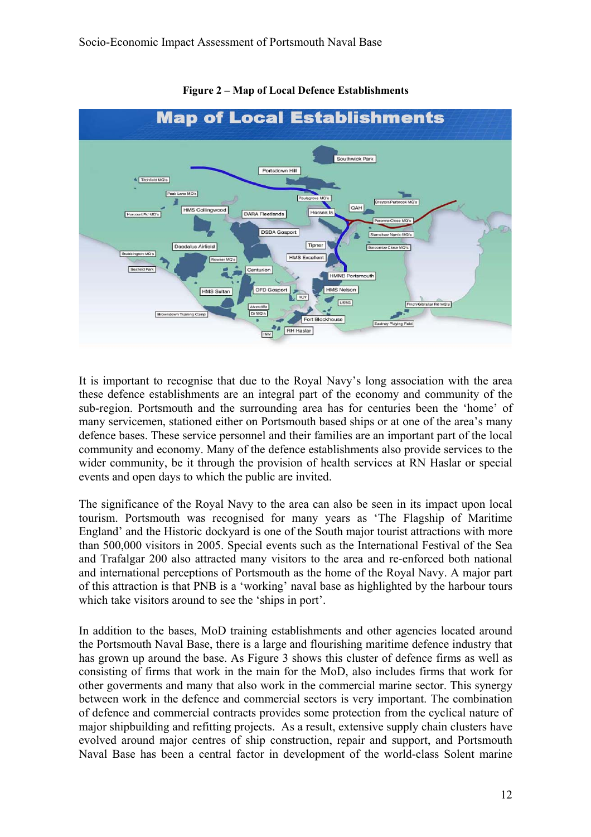

**Figure 2 – Map of Local Defence Establishments** 

It is important to recognise that due to the Royal Navy's long association with the area these defence establishments are an integral part of the economy and community of the sub-region. Portsmouth and the surrounding area has for centuries been the 'home' of many servicemen, stationed either on Portsmouth based ships or at one of the area's many defence bases. These service personnel and their families are an important part of the local community and economy. Many of the defence establishments also provide services to the wider community, be it through the provision of health services at RN Haslar or special events and open days to which the public are invited.

The significance of the Royal Navy to the area can also be seen in its impact upon local tourism. Portsmouth was recognised for many years as 'The Flagship of Maritime England' and the Historic dockyard is one of the South major tourist attractions with more than 500,000 visitors in 2005. Special events such as the International Festival of the Sea and Trafalgar 200 also attracted many visitors to the area and re-enforced both national and international perceptions of Portsmouth as the home of the Royal Navy. A major part of this attraction is that PNB is a 'working' naval base as highlighted by the harbour tours which take visitors around to see the 'ships in port'.

In addition to the bases, MoD training establishments and other agencies located around the Portsmouth Naval Base, there is a large and flourishing maritime defence industry that has grown up around the base. As Figure 3 shows this cluster of defence firms as well as consisting of firms that work in the main for the MoD, also includes firms that work for other goverments and many that also work in the commercial marine sector. This synergy between work in the defence and commercial sectors is very important. The combination of defence and commercial contracts provides some protection from the cyclical nature of major shipbuilding and refitting projects. As a result, extensive supply chain clusters have evolved around major centres of ship construction, repair and support, and Portsmouth Naval Base has been a central factor in development of the world-class Solent marine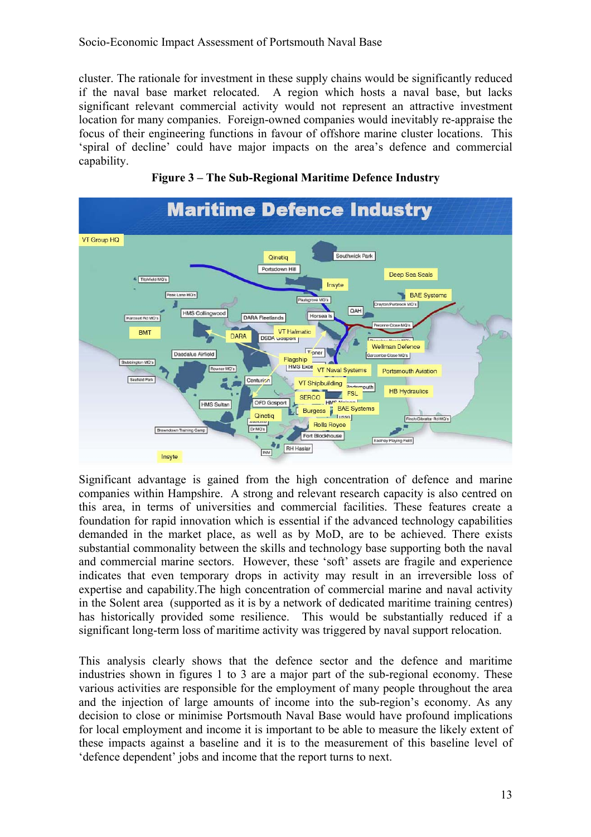cluster. The rationale for investment in these supply chains would be significantly reduced if the naval base market relocated. A region which hosts a naval base, but lacks significant relevant commercial activity would not represent an attractive investment location for many companies. Foreign-owned companies would inevitably re-appraise the focus of their engineering functions in favour of offshore marine cluster locations. This 'spiral of decline' could have major impacts on the area's defence and commercial capability.



**Figure 3 – The Sub-Regional Maritime Defence Industry** 

Significant advantage is gained from the high concentration of defence and marine companies within Hampshire. A strong and relevant research capacity is also centred on this area, in terms of universities and commercial facilities. These features create a foundation for rapid innovation which is essential if the advanced technology capabilities demanded in the market place, as well as by MoD, are to be achieved. There exists substantial commonality between the skills and technology base supporting both the naval and commercial marine sectors. However, these 'soft' assets are fragile and experience indicates that even temporary drops in activity may result in an irreversible loss of expertise and capability.The high concentration of commercial marine and naval activity in the Solent area (supported as it is by a network of dedicated maritime training centres) has historically provided some resilience. This would be substantially reduced if a significant long-term loss of maritime activity was triggered by naval support relocation.

This analysis clearly shows that the defence sector and the defence and maritime industries shown in figures 1 to 3 are a major part of the sub-regional economy. These various activities are responsible for the employment of many people throughout the area and the injection of large amounts of income into the sub-region's economy. As any decision to close or minimise Portsmouth Naval Base would have profound implications for local employment and income it is important to be able to measure the likely extent of these impacts against a baseline and it is to the measurement of this baseline level of 'defence dependent' jobs and income that the report turns to next.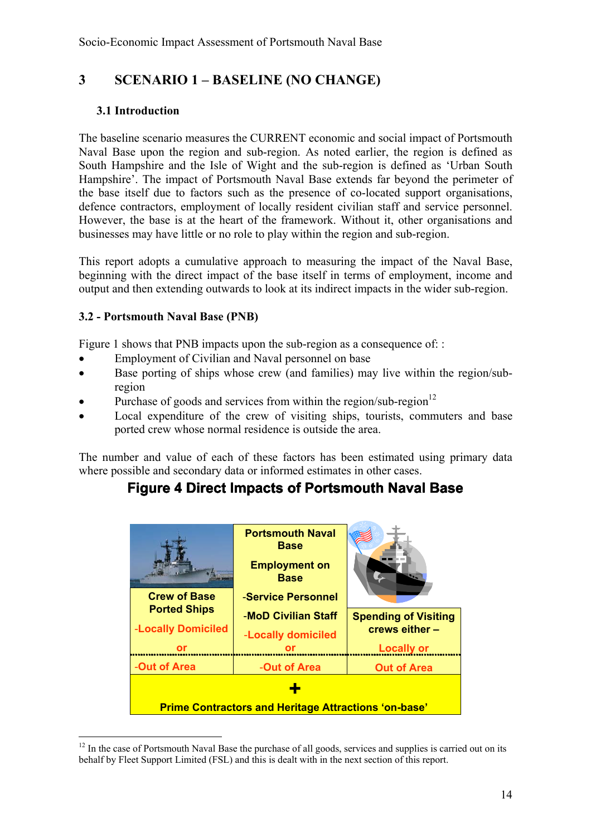## **3 SCENARIO 1 – BASELINE (NO CHANGE)**

#### **3.1 Introduction**

The baseline scenario measures the CURRENT economic and social impact of Portsmouth Naval Base upon the region and sub-region. As noted earlier, the region is defined as South Hampshire and the Isle of Wight and the sub-region is defined as 'Urban South Hampshire'. The impact of Portsmouth Naval Base extends far beyond the perimeter of the base itself due to factors such as the presence of co-located support organisations, defence contractors, employment of locally resident civilian staff and service personnel. However, the base is at the heart of the framework. Without it, other organisations and businesses may have little or no role to play within the region and sub-region.

This report adopts a cumulative approach to measuring the impact of the Naval Base, beginning with the direct impact of the base itself in terms of employment, income and output and then extending outwards to look at its indirect impacts in the wider sub-region.

#### **3.2 - Portsmouth Naval Base (PNB)**

 $\overline{a}$ 

Figure 1 shows that PNB impacts upon the sub-region as a consequence of: :

- Employment of Civilian and Naval personnel on base
- Base porting of ships whose crew (and families) may live within the region/subregion
- Purchase of goods and services from within the region/sub-region<sup>12</sup>
- Local expenditure of the crew of visiting ships, tourists, commuters and base ported crew whose normal residence is outside the area.

The number and value of each of these factors has been estimated using primary data where possible and secondary data or informed estimates in other cases.

## **Figure 4 Direct Impacts of Portsmouth Naval Base**

|                                                             | <b>Portsmouth Naval</b><br><b>Base</b><br><b>Employment on</b><br><b>Base</b> |                             |  |  |  |  |
|-------------------------------------------------------------|-------------------------------------------------------------------------------|-----------------------------|--|--|--|--|
| <b>Crew of Base</b>                                         | -Service Personnel                                                            |                             |  |  |  |  |
| <b>Ported Ships</b>                                         | -MoD Civilian Staff                                                           | <b>Spending of Visiting</b> |  |  |  |  |
| -Locally Domiciled                                          | -Locally domiciled                                                            | crews either -              |  |  |  |  |
| or                                                          | or                                                                            | <b>Locally or</b>           |  |  |  |  |
| -Out of Area                                                | -Out of Area                                                                  | <b>Out of Area</b>          |  |  |  |  |
|                                                             |                                                                               |                             |  |  |  |  |
| <b>Prime Contractors and Heritage Attractions 'on-base'</b> |                                                                               |                             |  |  |  |  |

 $12$  In the case of Portsmouth Naval Base the purchase of all goods, services and supplies is carried out on its behalf by Fleet Support Limited (FSL) and this is dealt with in the next section of this report.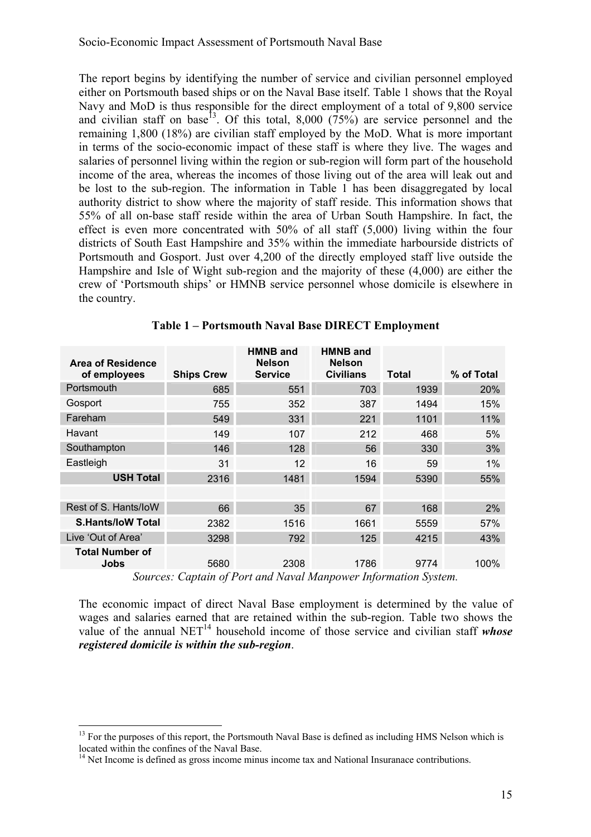The report begins by identifying the number of service and civilian personnel employed either on Portsmouth based ships or on the Naval Base itself. Table 1 shows that the Royal Navy and MoD is thus responsible for the direct employment of a total of 9,800 service and civilian staff on base<sup>13</sup>. Of this total, 8,000 ( $75\%$ ) are service personnel and the remaining 1,800 (18%) are civilian staff employed by the MoD. What is more important in terms of the socio-economic impact of these staff is where they live. The wages and salaries of personnel living within the region or sub-region will form part of the household income of the area, whereas the incomes of those living out of the area will leak out and be lost to the sub-region. The information in Table 1 has been disaggregated by local authority district to show where the majority of staff reside. This information shows that 55% of all on-base staff reside within the area of Urban South Hampshire. In fact, the effect is even more concentrated with 50% of all staff (5,000) living within the four districts of South East Hampshire and 35% within the immediate harbourside districts of Portsmouth and Gosport. Just over 4,200 of the directly employed staff live outside the Hampshire and Isle of Wight sub-region and the majority of these (4,000) are either the crew of 'Portsmouth ships' or HMNB service personnel whose domicile is elsewhere in the country.

| <b>Area of Residence</b><br>of employees | <b>Ships Crew</b>                       | <b>HMNB and</b><br><b>Nelson</b><br><b>Service</b> | <b>HMNB and</b><br><b>Nelson</b><br><b>Civilians</b> | <b>Total</b>                 | % of Total |
|------------------------------------------|-----------------------------------------|----------------------------------------------------|------------------------------------------------------|------------------------------|------------|
| Portsmouth                               | 685                                     | 551                                                | 703                                                  | 1939                         | 20%        |
| Gosport                                  | 755                                     | 352                                                | 387                                                  | 1494                         | 15%        |
| Fareham                                  | 549                                     | 331                                                | 221                                                  | 1101                         | 11%        |
| Havant                                   | 149                                     | 107                                                | 212                                                  | 468                          | 5%         |
| Southampton                              | 146                                     | 128                                                | 56                                                   | 330                          | 3%         |
| Eastleigh                                | 31                                      | 12                                                 | 16                                                   | 59                           | 1%         |
| <b>USH Total</b>                         | 2316                                    | 1481                                               | 1594                                                 | 5390                         | 55%        |
|                                          |                                         |                                                    |                                                      |                              |            |
| Rest of S. Hants/loW                     | 66                                      | 35                                                 | 67                                                   | 168                          | 2%         |
| <b>S.Hants/IoW Total</b>                 | 2382                                    | 1516                                               | 1661                                                 | 5559                         | 57%        |
| Live 'Out of Area'                       | 3298                                    | 792                                                | 125                                                  | 4215                         | 43%        |
| <b>Total Number of</b><br>Jobs<br>$\sim$ | 5680<br>$\cdots$ $\cdots$<br>$\sqrt{ }$ | 2308<br>1111111<br>and the state of the state of   | 1786<br>$\mathbf{r}$ $\mathbf{r}$                    | 9774<br>$\sim$ $\sim$ $\sim$ | 100%       |

**Table 1 – Portsmouth Naval Base DIRECT Employment** 

*Sources: Captain of Port and Naval Manpower Information System.* 

The economic impact of direct Naval Base employment is determined by the value of wages and salaries earned that are retained within the sub-region. Table two shows the value of the annual  $NET<sup>14</sup>$  household income of those service and civilian staff *whose registered domicile is within the sub-region*.

 $13$  For the purposes of this report, the Portsmouth Naval Base is defined as including HMS Nelson which is located within the confines of the Naval Base.

 $<sup>14</sup>$  Net Income is defined as gross income minus income tax and National Insuranace contributions.</sup>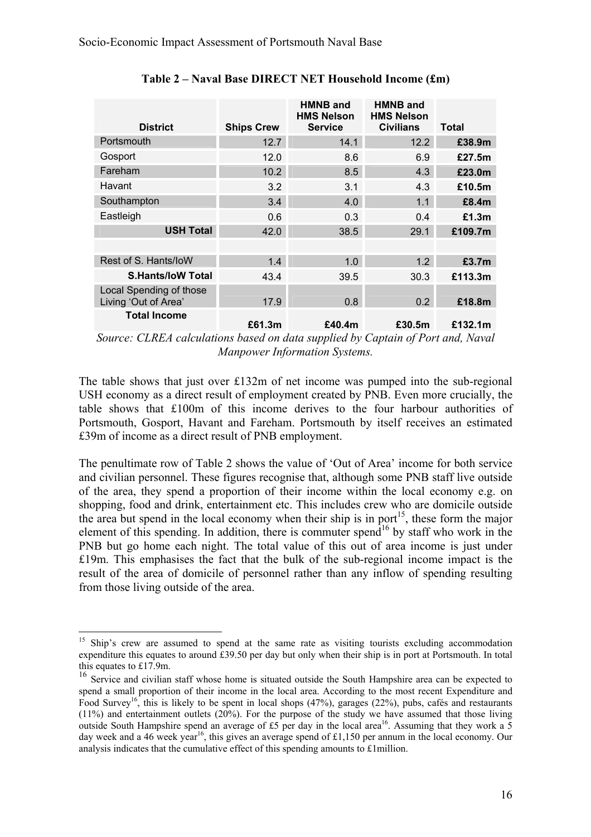| <b>District</b>                                 | <b>Ships Crew</b> | <b>HMNB and</b><br><b>HMS Nelson</b><br><b>Service</b> | <b>HMNB and</b><br><b>HMS Nelson</b><br><b>Civilians</b> | Total   |
|-------------------------------------------------|-------------------|--------------------------------------------------------|----------------------------------------------------------|---------|
| Portsmouth                                      | 12.7              | 14.1                                                   | 12.2                                                     | £38.9m  |
| Gosport                                         | 12.0              | 8.6                                                    | 6.9                                                      | £27.5m  |
| Fareham                                         | 10.2              | 8.5                                                    | 4.3                                                      | £23.0m  |
| Havant                                          | 3.2               | 3.1                                                    | 4.3                                                      | £10.5m  |
| Southampton                                     | 3.4               | 4.0                                                    | 1.1                                                      | £8.4m   |
| Eastleigh                                       | 0.6               | 0.3                                                    | 0.4                                                      | £1.3m   |
| <b>USH Total</b>                                | 42.0              | 38.5                                                   | 29.1                                                     | £109.7m |
|                                                 |                   |                                                        |                                                          |         |
| Rest of S. Hants/loW                            | 1.4               | 1.0                                                    | 1.2                                                      | £3.7m   |
| <b>S.Hants/IoW Total</b>                        | 43.4              | 39.5                                                   | 30.3                                                     | £113.3m |
| Local Spending of those<br>Living 'Out of Area' | 17.9              | 0.8                                                    | 0.2                                                      | £18.8m  |
| <b>Total Income</b>                             | £61.3m            | £40.4m                                                 | £30.5m                                                   | £132.1m |

**Table 2 – Naval Base DIRECT NET Household Income (£m)** 

The table shows that just over £132m of net income was pumped into the sub-regional USH economy as a direct result of employment created by PNB. Even more crucially, the table shows that £100m of this income derives to the four harbour authorities of Portsmouth, Gosport, Havant and Fareham. Portsmouth by itself receives an estimated £39m of income as a direct result of PNB employment.

The penultimate row of Table 2 shows the value of 'Out of Area' income for both service and civilian personnel. These figures recognise that, although some PNB staff live outside of the area, they spend a proportion of their income within the local economy e.g. on shopping, food and drink, entertainment etc. This includes crew who are domicile outside the area but spend in the local economy when their ship is in port<sup>15</sup>, these form the major element of this spending. In addition, there is commuter spend<sup>16</sup> by staff who work in the PNB but go home each night. The total value of this out of area income is just under £19m. This emphasises the fact that the bulk of the sub-regional income impact is the result of the area of domicile of personnel rather than any inflow of spending resulting from those living outside of the area.

*Source: CLREA calculations based on data supplied by Captain of Port and, Naval Manpower Information Systems.* 

<sup>&</sup>lt;sup>15</sup> Ship's crew are assumed to spend at the same rate as visiting tourists excluding accommodation expenditure this equates to around £39.50 per day but only when their ship is in port at Portsmouth. In total this equates to £17.9m.

<sup>&</sup>lt;sup>16</sup> Service and civilian staff whose home is situated outside the South Hampshire area can be expected to spend a small proportion of their income in the local area. According to the most recent Expenditure and Food Survey<sup>16</sup>, this is likely to be spent in local shops (47%), garages (22%), pubs, cafés and restaurants  $(11%)$  and entertainment outlets  $(20%)$ . For the purpose of the study we have assumed that those living outside South Hampshire spend an average of £5 per day in the local area<sup>16</sup>. Assuming that they work a 5 day week and a 46 week year<sup>16</sup>, this gives an average spend of £1,150 per annum in the local economy. Our analysis indicates that the cumulative effect of this spending amounts to £1million.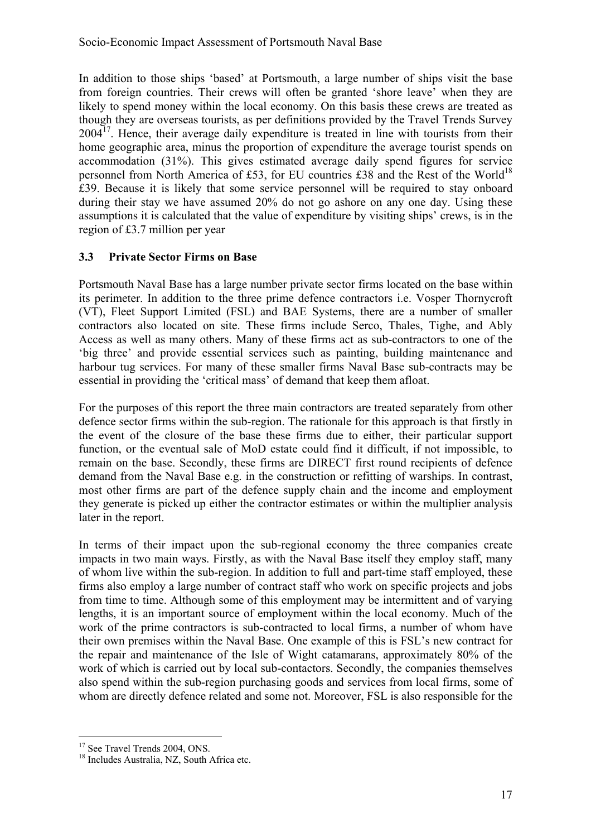In addition to those ships 'based' at Portsmouth, a large number of ships visit the base from foreign countries. Their crews will often be granted 'shore leave' when they are likely to spend money within the local economy. On this basis these crews are treated as though they are overseas tourists, as per definitions provided by the Travel Trends Survey  $2004<sup>17</sup>$ . Hence, their average daily expenditure is treated in line with tourists from their home geographic area, minus the proportion of expenditure the average tourist spends on accommodation (31%). This gives estimated average daily spend figures for service personnel from North America of £53, for EU countries £38 and the Rest of the World<sup>18</sup> £39. Because it is likely that some service personnel will be required to stay onboard during their stay we have assumed 20% do not go ashore on any one day. Using these assumptions it is calculated that the value of expenditure by visiting ships' crews, is in the region of £3.7 million per year

#### **3.3 Private Sector Firms on Base**

Portsmouth Naval Base has a large number private sector firms located on the base within its perimeter. In addition to the three prime defence contractors i.e. Vosper Thornycroft (VT), Fleet Support Limited (FSL) and BAE Systems, there are a number of smaller contractors also located on site. These firms include Serco, Thales, Tighe, and Ably Access as well as many others. Many of these firms act as sub-contractors to one of the 'big three' and provide essential services such as painting, building maintenance and harbour tug services. For many of these smaller firms Naval Base sub-contracts may be essential in providing the 'critical mass' of demand that keep them afloat.

For the purposes of this report the three main contractors are treated separately from other defence sector firms within the sub-region. The rationale for this approach is that firstly in the event of the closure of the base these firms due to either, their particular support function, or the eventual sale of MoD estate could find it difficult, if not impossible, to remain on the base. Secondly, these firms are DIRECT first round recipients of defence demand from the Naval Base e.g. in the construction or refitting of warships. In contrast, most other firms are part of the defence supply chain and the income and employment they generate is picked up either the contractor estimates or within the multiplier analysis later in the report.

In terms of their impact upon the sub-regional economy the three companies create impacts in two main ways. Firstly, as with the Naval Base itself they employ staff, many of whom live within the sub-region. In addition to full and part-time staff employed, these firms also employ a large number of contract staff who work on specific projects and jobs from time to time. Although some of this employment may be intermittent and of varying lengths, it is an important source of employment within the local economy. Much of the work of the prime contractors is sub-contracted to local firms, a number of whom have their own premises within the Naval Base. One example of this is FSL's new contract for the repair and maintenance of the Isle of Wight catamarans, approximately 80% of the work of which is carried out by local sub-contactors. Secondly, the companies themselves also spend within the sub-region purchasing goods and services from local firms, some of whom are directly defence related and some not. Moreover, FSL is also responsible for the

<sup>&</sup>lt;sup>17</sup> See Travel Trends 2004, ONS.

<sup>&</sup>lt;sup>18</sup> Includes Australia, NZ, South Africa etc.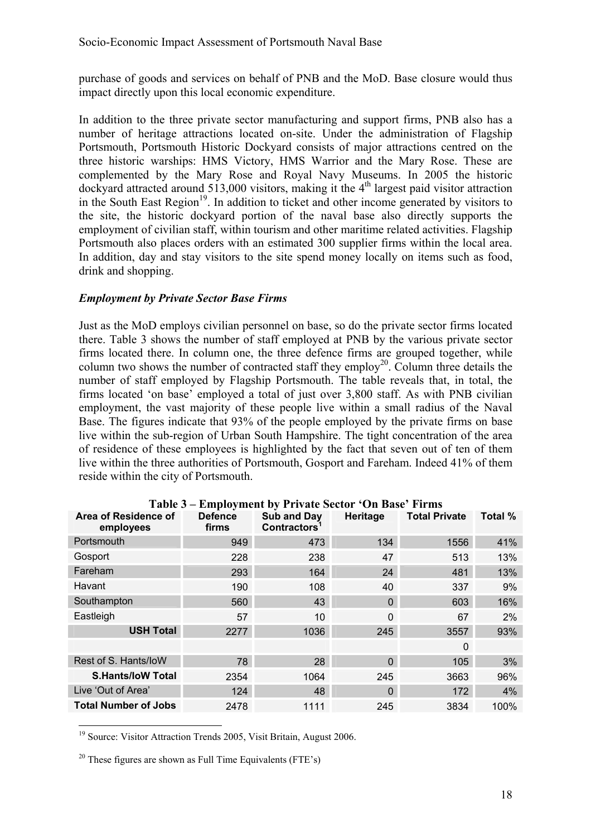purchase of goods and services on behalf of PNB and the MoD. Base closure would thus impact directly upon this local economic expenditure.

In addition to the three private sector manufacturing and support firms, PNB also has a number of heritage attractions located on-site. Under the administration of Flagship Portsmouth, Portsmouth Historic Dockyard consists of major attractions centred on the three historic warships: HMS Victory, HMS Warrior and the Mary Rose. These are complemented by the Mary Rose and Royal Navy Museums. In 2005 the historic dockyard attracted around 513,000 visitors, making it the  $4<sup>th</sup>$  largest paid visitor attraction in the South East Region<sup>19</sup>. In addition to ticket and other income generated by visitors to the site, the historic dockyard portion of the naval base also directly supports the employment of civilian staff, within tourism and other maritime related activities. Flagship Portsmouth also places orders with an estimated 300 supplier firms within the local area. In addition, day and stay visitors to the site spend money locally on items such as food, drink and shopping.

#### *Employment by Private Sector Base Firms*

Just as the MoD employs civilian personnel on base, so do the private sector firms located there. Table 3 shows the number of staff employed at PNB by the various private sector firms located there. In column one, the three defence firms are grouped together, while column two shows the number of contracted staff they employ<sup>20</sup>. Column three details the number of staff employed by Flagship Portsmouth. The table reveals that, in total, the firms located 'on base' employed a total of just over 3,800 staff. As with PNB civilian employment, the vast majority of these people live within a small radius of the Naval Base. The figures indicate that 93% of the people employed by the private firms on base live within the sub-region of Urban South Hampshire. The tight concentration of the area of residence of these employees is highlighted by the fact that seven out of ten of them live within the three authorities of Portsmouth, Gosport and Fareham. Indeed 41% of them reside within the city of Portsmouth.

| Area of Residence of<br>employees | <b>Defence</b><br>firms | Sub and Day<br>Contractors <sup>1</sup> | Heritage | <b>Total Private</b> | Total % |
|-----------------------------------|-------------------------|-----------------------------------------|----------|----------------------|---------|
| Portsmouth                        | 949                     | 473                                     | 134      | 1556                 | 41%     |
| Gosport                           | 228                     | 238                                     | 47       | 513                  | 13%     |
| Fareham                           | 293                     | 164                                     | 24       | 481                  | 13%     |
| Havant                            | 190                     | 108                                     | 40       | 337                  | 9%      |
| Southampton                       | 560                     | 43                                      | $\Omega$ | 603                  | 16%     |
| Eastleigh                         | 57                      | 10                                      | $\Omega$ | 67                   | 2%      |
| <b>USH Total</b>                  | 2277                    | 1036                                    | 245      | 3557                 | 93%     |
|                                   |                         |                                         |          | 0                    |         |
| Rest of S. Hants/loW              | 78                      | 28                                      | $\Omega$ | 105                  | 3%      |
| <b>S.Hants/loW Total</b>          | 2354                    | 1064                                    | 245      | 3663                 | 96%     |
| Live 'Out of Area'                | 124                     | 48                                      | $\Omega$ | 172                  | 4%      |
| <b>Total Number of Jobs</b>       | 2478                    | 1111                                    | 245      | 3834                 | 100%    |

**Table 3 – Employment by Private Sector 'On Base' Firms** 

<sup>&</sup>lt;sup>19</sup> Source: Visitor Attraction Trends 2005, Visit Britain, August 2006.

<sup>&</sup>lt;sup>20</sup> These figures are shown as Full Time Equivalents (FTE's)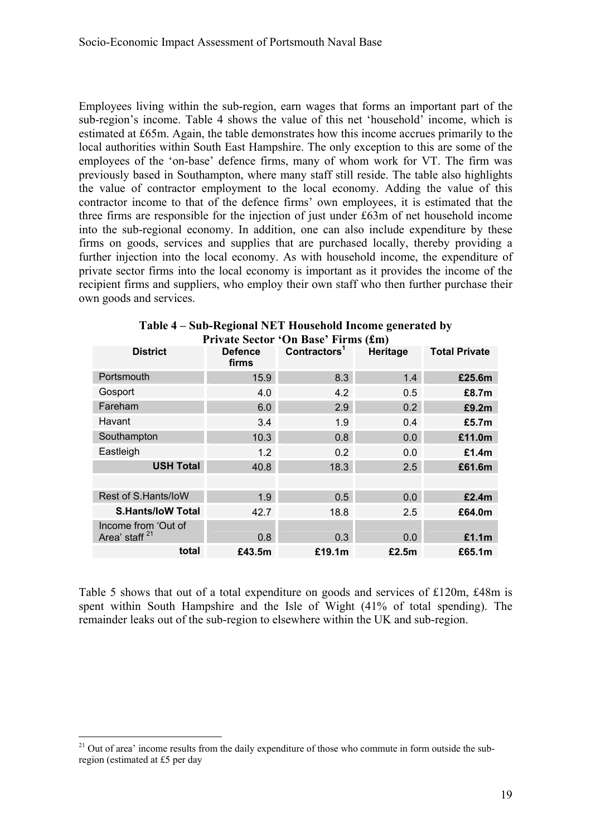Employees living within the sub-region, earn wages that forms an important part of the sub-region's income. Table 4 shows the value of this net 'household' income, which is estimated at £65m. Again, the table demonstrates how this income accrues primarily to the local authorities within South East Hampshire. The only exception to this are some of the employees of the 'on-base' defence firms, many of whom work for VT. The firm was previously based in Southampton, where many staff still reside. The table also highlights the value of contractor employment to the local economy. Adding the value of this contractor income to that of the defence firms' own employees, it is estimated that the three firms are responsible for the injection of just under £63m of net household income into the sub-regional economy. In addition, one can also include expenditure by these firms on goods, services and supplies that are purchased locally, thereby providing a further injection into the local economy. As with household income, the expenditure of private sector firms into the local economy is important as it provides the income of the recipient firms and suppliers, who employ their own staff who then further purchase their own goods and services.

|                                                  |                         | Private Sector "On Base" Pirms (LM) |          |                      |
|--------------------------------------------------|-------------------------|-------------------------------------|----------|----------------------|
| <b>District</b>                                  | <b>Defence</b><br>firms | Contractors <sup>1</sup>            | Heritage | <b>Total Private</b> |
| Portsmouth                                       | 15.9                    | 8.3                                 | 1.4      | £25.6m               |
| Gosport                                          | 4.0                     | 4.2                                 | 0.5      | £8.7m                |
| Fareham                                          | 6.0                     | 2.9                                 | 0.2      | £9.2m                |
| Havant                                           | 3.4                     | 1.9                                 | 0.4      | £5.7 <sub>m</sub>    |
| Southampton                                      | 10.3                    | 0.8                                 | 0.0      | £11.0m               |
| Eastleigh                                        | 1.2                     | 0.2                                 | 0.0      | £1.4m                |
| <b>USH Total</b>                                 | 40.8                    | 18.3                                | 2.5      | £61.6m               |
|                                                  |                         |                                     |          |                      |
| Rest of S.Hants/IoW                              | 1.9                     | 0.5                                 | 0.0      | £2.4m                |
| <b>S.Hants/IoW Total</b>                         | 42.7                    | 18.8                                | 2.5      | £64.0m               |
| Income from 'Out of<br>Area' staff <sup>21</sup> | 0.8                     | 0.3                                 | 0.0      | £1.1m                |
| total                                            | £43.5m                  | £19.1m                              | £2.5m    | £65.1m               |

| Table 4 – Sub-Regional NET Household Income generated by |
|----------------------------------------------------------|
| Private Sector 'On Base' Firms (£m)                      |

Table 5 shows that out of a total expenditure on goods and services of £120m, £48m is spent within South Hampshire and the Isle of Wight (41% of total spending). The remainder leaks out of the sub-region to elsewhere within the UK and sub-region.

 $21$  Out of area' income results from the daily expenditure of those who commute in form outside the subregion (estimated at £5 per day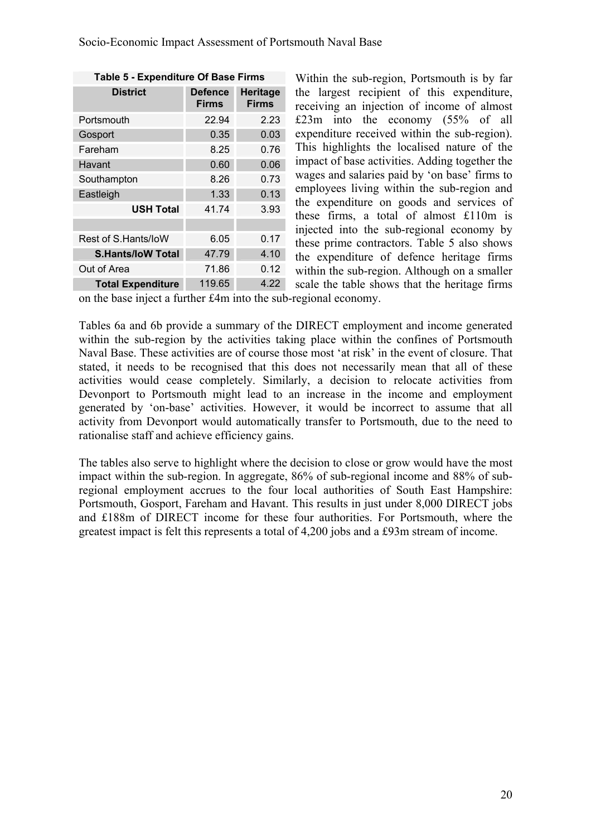| Table 5 - Expenditure Of Base Firms |                                |                          |  |  |  |  |
|-------------------------------------|--------------------------------|--------------------------|--|--|--|--|
| <b>District</b>                     | <b>Defence</b><br><b>Firms</b> | Heritage<br><b>Firms</b> |  |  |  |  |
| Portsmouth                          | 22.94                          | 2.23                     |  |  |  |  |
| Gosport                             | 0.35                           | 0.03                     |  |  |  |  |
| Fareham                             | 8.25                           | 0.76                     |  |  |  |  |
| Havant                              | 0.60                           | 0.06                     |  |  |  |  |
| Southampton                         | 8.26                           | 0.73                     |  |  |  |  |
| Eastleigh                           | 1.33                           | 0.13                     |  |  |  |  |
| <b>USH Total</b>                    | 41.74                          | 3.93                     |  |  |  |  |
|                                     |                                |                          |  |  |  |  |
| Rest of S.Hants/loW                 | 6.05                           | 0.17                     |  |  |  |  |
| <b>S.Hants/loW Total</b>            | 47.79                          | 4.10                     |  |  |  |  |
| Out of Area                         | 71.86                          | 0.12                     |  |  |  |  |
| <b>Total Expenditure</b>            | 119.65                         | 4.22                     |  |  |  |  |

Within the sub-region, Portsmouth is by far the largest recipient of this expenditure, receiving an injection of income of almost £23m into the economy (55% of all expenditure received within the sub-region). This highlights the localised nature of the impact of base activities. Adding together the wages and salaries paid by 'on base' firms to employees living within the sub-region and the expenditure on goods and services of these firms, a total of almost £110m is injected into the sub-regional economy by these prime contractors. Table 5 also shows the expenditure of defence heritage firms within the sub-region. Although on a smaller scale the table shows that the heritage firms

on the base inject a further £4m into the sub-regional economy.

Tables 6a and 6b provide a summary of the DIRECT employment and income generated within the sub-region by the activities taking place within the confines of Portsmouth Naval Base. These activities are of course those most 'at risk' in the event of closure. That stated, it needs to be recognised that this does not necessarily mean that all of these activities would cease completely. Similarly, a decision to relocate activities from Devonport to Portsmouth might lead to an increase in the income and employment generated by 'on-base' activities. However, it would be incorrect to assume that all activity from Devonport would automatically transfer to Portsmouth, due to the need to rationalise staff and achieve efficiency gains.

The tables also serve to highlight where the decision to close or grow would have the most impact within the sub-region. In aggregate, 86% of sub-regional income and 88% of subregional employment accrues to the four local authorities of South East Hampshire: Portsmouth, Gosport, Fareham and Havant. This results in just under 8,000 DIRECT jobs and £188m of DIRECT income for these four authorities. For Portsmouth, where the greatest impact is felt this represents a total of 4,200 jobs and a £93m stream of income.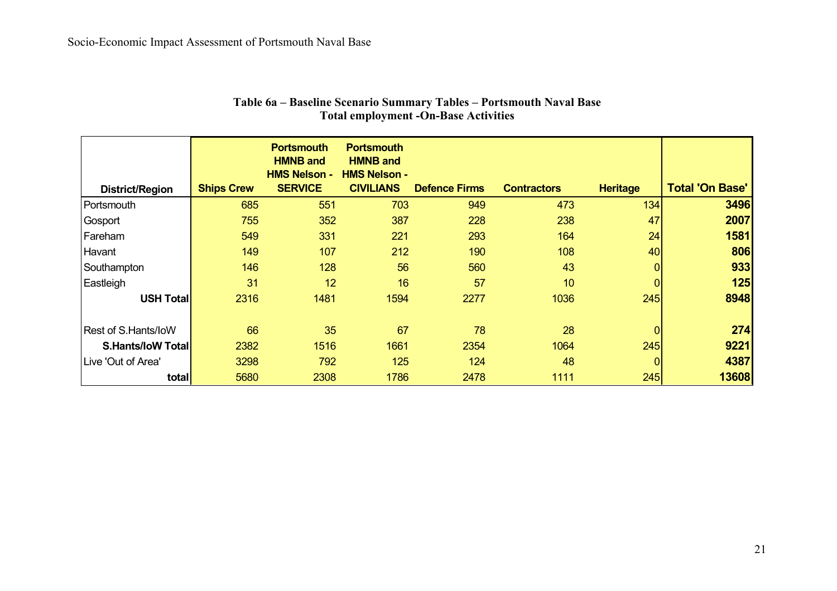|                          |                   | <b>Portsmouth</b><br><b>HMNB and</b><br><b>HMS Nelson -</b> | <b>Portsmouth</b><br><b>HMNB and</b><br><b>HMS Nelson -</b> |                      |                    |                  |                        |
|--------------------------|-------------------|-------------------------------------------------------------|-------------------------------------------------------------|----------------------|--------------------|------------------|------------------------|
| District/Region          | <b>Ships Crew</b> | <b>SERVICE</b>                                              | <b>CIVILIANS</b>                                            | <b>Defence Firms</b> | <b>Contractors</b> | <b>Heritage</b>  | <b>Total 'On Base'</b> |
| Portsmouth               | 685               | 551                                                         | 703                                                         | 949                  | 473                | 134 <sub>1</sub> | 3496                   |
| Gosport                  | 755               | 352                                                         | 387                                                         | 228                  | 238                | 47               | 2007                   |
| Fareham                  | 549               | 331                                                         | 221                                                         | 293                  | 164                | 24               | 1581                   |
| Havant                   | 149               | 107                                                         | 212                                                         | 190                  | 108                | 40               | 806                    |
| Southampton              | 146               | 128                                                         | 56                                                          | 560                  | 43                 |                  | 933                    |
| Eastleigh                | 31                | 12                                                          | 16                                                          | 57                   | 10                 | 0                | 125                    |
| <b>USH Total</b>         | 2316              | 1481                                                        | 1594                                                        | 2277                 | 1036               | 245              | 8948                   |
| Rest of S.Hants/IoW      | 66                | 35                                                          | 67                                                          | 78                   | 28                 |                  | 274                    |
| <b>S.Hants/IoW Total</b> | 2382              | 1516                                                        | 1661                                                        | 2354                 | 1064               | 245              | 9221                   |
| Live 'Out of Area'       | 3298              | 792                                                         | 125                                                         | 124                  | 48                 | 0                | 4387                   |
| total                    | 5680              | 2308                                                        | 1786                                                        | 2478                 | 1111               | 245              | 13608                  |

#### **Table 6a – Baseline Scenario Summary Tables – Portsmouth Naval Base Total employment -On-Base Activities**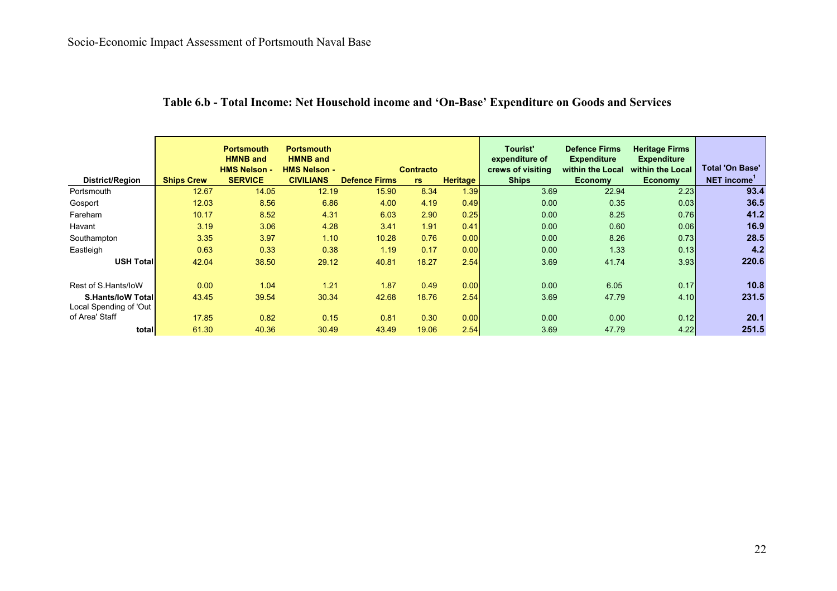|                           |                   | <b>Portsmouth</b><br><b>HMNB</b> and<br><b>HMS Nelson -</b> | <b>Portsmouth</b><br><b>HMNB</b> and<br><b>HMS Nelson -</b> |                      | <b>Contracto</b> |                 | Tourist'<br>expenditure of<br>crews of visiting | <b>Defence Firms</b><br><b>Expenditure</b><br>within the Local | <b>Heritage Firms</b><br><b>Expenditure</b><br>within the Local | <b>Total 'On Base'</b>  |
|---------------------------|-------------------|-------------------------------------------------------------|-------------------------------------------------------------|----------------------|------------------|-----------------|-------------------------------------------------|----------------------------------------------------------------|-----------------------------------------------------------------|-------------------------|
| District/Region           | <b>Ships Crew</b> | <b>SERVICE</b>                                              | <b>CIVILIANS</b>                                            | <b>Defence Firms</b> | rs               | <b>Heritage</b> | <b>Ships</b>                                    | <b>Economy</b>                                                 | <b>Economy</b>                                                  | NET income <sup>1</sup> |
| Portsmouth                | 12.67             | 14.05                                                       | 12.19                                                       | 15.90                | 8.34             | 1.39            | 3.69                                            | 22.94                                                          | 2.23                                                            | 93.4                    |
| Gosport                   | 12.03             | 8.56                                                        | 6.86                                                        | 4.00                 | 4.19             | 0.49            | 0.00                                            | 0.35                                                           | 0.03                                                            | 36.5                    |
| Fareham                   | 10.17             | 8.52                                                        | 4.31                                                        | 6.03                 | 2.90             | 0.25            | 0.00                                            | 8.25                                                           | 0.76                                                            | 41.2                    |
| Havant                    | 3.19              | 3.06                                                        | 4.28                                                        | 3.41                 | 1.91             | 0.41            | 0.00                                            | 0.60                                                           | 0.06                                                            | 16.9                    |
| Southampton               | 3.35              | 3.97                                                        | 1.10                                                        | 10.28                | 0.76             | 0.00            | 0.00                                            | 8.26                                                           | 0.73                                                            | 28.5                    |
| Eastleigh                 | 0.63              | 0.33                                                        | 0.38                                                        | 1.19                 | 0.17             | 0.00            | 0.00                                            | 1.33                                                           | 0.13                                                            | 4.2                     |
| <b>USH Totall</b>         | 42.04             | 38.50                                                       | 29.12                                                       | 40.81                | 18.27            | 2.54            | 3.69                                            | 41.74                                                          | 3.93                                                            | 220.6                   |
|                           |                   |                                                             |                                                             |                      |                  |                 |                                                 |                                                                |                                                                 |                         |
| Rest of S.Hants/loW       | 0.00              | 1.04                                                        | 1.21                                                        | 1.87                 | 0.49             | 0.00            | 0.00                                            | 6.05                                                           | 0.17                                                            | 10.8                    |
| <b>S.Hants/IoW Totall</b> | 43.45             | 39.54                                                       | 30.34                                                       | 42.68                | 18.76            | 2.54            | 3.69                                            | 47.79                                                          | 4.10                                                            | 231.5                   |
| Local Spending of 'Out    |                   |                                                             |                                                             |                      |                  |                 |                                                 |                                                                |                                                                 |                         |
| of Area' Staff            | 17.85             | 0.82                                                        | 0.15                                                        | 0.81                 | 0.30             | 0.00            | 0.00                                            | 0.00                                                           | 0.12                                                            | 20.1                    |
| total                     | 61.30             | 40.36                                                       | 30.49                                                       | 43.49                | 19.06            | 2.54            | 3.69                                            | 47.79                                                          | 4.22                                                            | 251.5                   |

## **Table 6.b - Total Income: Net Household income and 'On-Base' Expenditure on Goods and Services**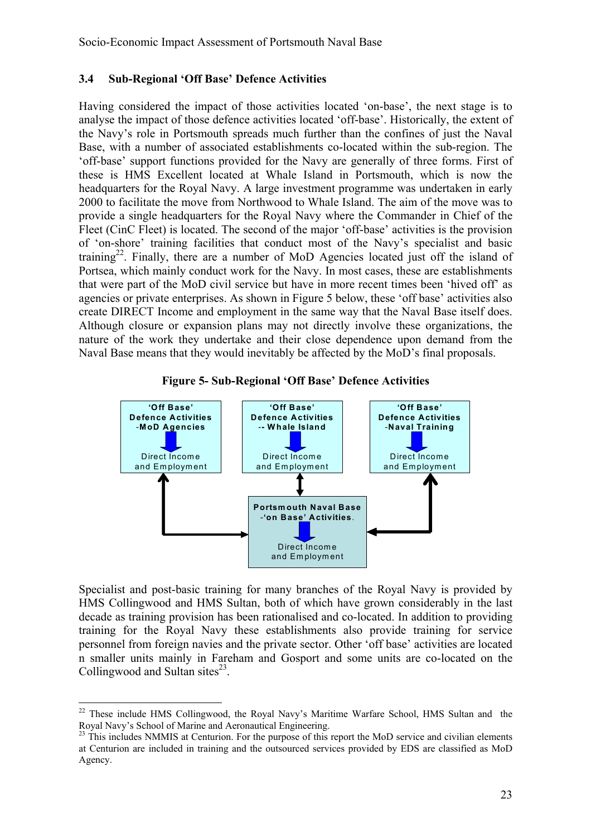#### **3.4 Sub-Regional 'Off Base' Defence Activities**

Having considered the impact of those activities located 'on-base', the next stage is to analyse the impact of those defence activities located 'off-base'. Historically, the extent of the Navy's role in Portsmouth spreads much further than the confines of just the Naval Base, with a number of associated establishments co-located within the sub-region. The 'off-base' support functions provided for the Navy are generally of three forms. First of these is HMS Excellent located at Whale Island in Portsmouth, which is now the headquarters for the Royal Navy. A large investment programme was undertaken in early 2000 to facilitate the move from Northwood to Whale Island. The aim of the move was to provide a single headquarters for the Royal Navy where the Commander in Chief of the Fleet (CinC Fleet) is located. The second of the major 'off-base' activities is the provision of 'on-shore' training facilities that conduct most of the Navy's specialist and basic training<sup>22</sup>. Finally, there are a number of MoD Agencies located just off the island of Portsea, which mainly conduct work for the Navy. In most cases, these are establishments that were part of the MoD civil service but have in more recent times been 'hived off' as agencies or private enterprises. As shown in Figure 5 below, these 'off base' activities also create DIRECT Income and employment in the same way that the Naval Base itself does. Although closure or expansion plans may not directly involve these organizations, the nature of the work they undertake and their close dependence upon demand from the Naval Base means that they would inevitably be affected by the MoD's final proposals.





Specialist and post-basic training for many branches of the Royal Navy is provided by HMS Collingwood and HMS Sultan, both of which have grown considerably in the last decade as training provision has been rationalised and co-located. In addition to providing training for the Royal Navy these establishments also provide training for service personnel from foreign navies and the private sector. Other 'off base' activities are located n smaller units mainly in Fareham and Gosport and some units are co-located on the Collingwood and Sultan sites $^{23}$ .

 $22$  These include HMS Collingwood, the Royal Navy's Maritime Warfare School, HMS Sultan and the Royal Navy's School of Marine and Aeronautical Engineering.

<sup>&</sup>lt;sup>23</sup> This includes NMMIS at Centurion. For the purpose of this report the MoD service and civilian elements at Centurion are included in training and the outsourced services provided by EDS are classified as MoD Agency.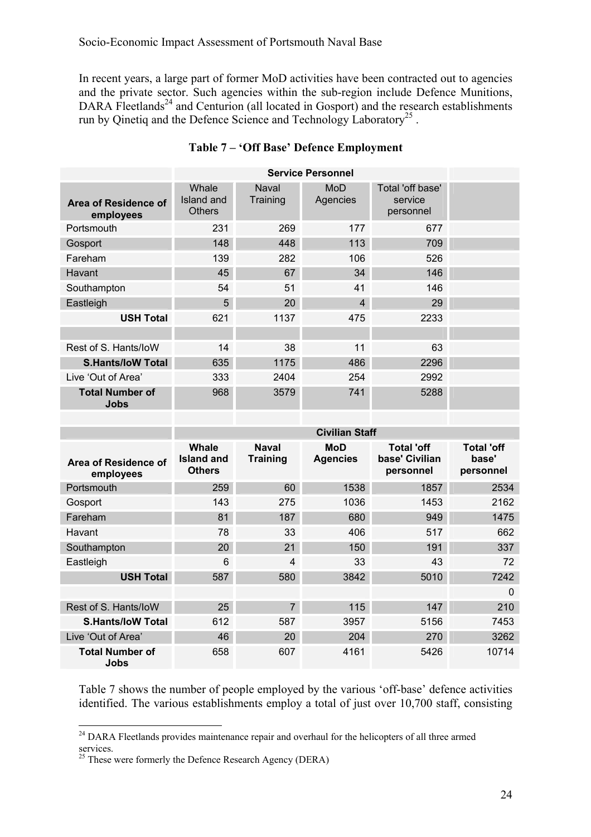In recent years, a large part of former MoD activities have been contracted out to agencies and the private sector. Such agencies within the sub-region include Defence Munitions, DARA Fleetlands<sup>24</sup> and Centurion (all located in Gosport) and the research establishments run by Qinetiq and the Defence Science and Technology Laboratory<sup>25</sup>.

|                                   |                                      |                   | <b>Service Personnel</b> |                                          |  |
|-----------------------------------|--------------------------------------|-------------------|--------------------------|------------------------------------------|--|
| Area of Residence of<br>employees | Whale<br>Island and<br><b>Others</b> | Naval<br>Training | MoD<br>Agencies          | Total 'off base'<br>service<br>personnel |  |
| Portsmouth                        | 231                                  | 269               | 177                      | 677                                      |  |
| Gosport                           | 148                                  | 448               | 113                      | 709                                      |  |
| Fareham                           | 139                                  | 282               | 106                      | 526                                      |  |
| Havant                            | 45                                   | 67                | 34                       | 146                                      |  |
| Southampton                       | 54                                   | 51                | 41                       | 146                                      |  |
| Eastleigh                         | 5                                    | 20                | $\overline{4}$           | 29                                       |  |
| <b>USH Total</b>                  | 621                                  | 1137              | 475                      | 2233                                     |  |
|                                   |                                      |                   |                          |                                          |  |
| Rest of S. Hants/loW              | 14                                   | 38                | 11                       | 63                                       |  |
| <b>S.Hants/IoW Total</b>          | 635                                  | 1175              | 486                      | 2296                                     |  |
| Live 'Out of Area'                | 333                                  | 2404              | 254                      | 2992                                     |  |
| <b>Total Number of</b><br>Jobs    | 968                                  | 3579              | 741                      | 5288                                     |  |

#### **Table 7 – 'Off Base' Defence Employment**

|                                   |                                      |                                 | <b>Civilian Staff</b>  |                                                  |                                         |
|-----------------------------------|--------------------------------------|---------------------------------|------------------------|--------------------------------------------------|-----------------------------------------|
| Area of Residence of<br>employees | Whale<br>Island and<br><b>Others</b> | <b>Naval</b><br><b>Training</b> | MoD<br><b>Agencies</b> | <b>Total 'off</b><br>base' Civilian<br>personnel | <b>Total 'off</b><br>base'<br>personnel |
| Portsmouth                        | 259                                  | 60                              | 1538                   | 1857                                             | 2534                                    |
| Gosport                           | 143                                  | 275                             | 1036                   | 1453                                             | 2162                                    |
| Fareham                           | 81                                   | 187                             | 680                    | 949                                              | 1475                                    |
| Havant                            | 78                                   | 33                              | 406                    | 517                                              | 662                                     |
| Southampton                       | 20                                   | 21                              | 150                    | 191                                              | 337                                     |
| Eastleigh                         | 6                                    | 4                               | 33                     | 43                                               | 72                                      |
| <b>USH Total</b>                  | 587                                  | 580                             | 3842                   | 5010                                             | 7242                                    |
|                                   |                                      |                                 |                        |                                                  | $\Omega$                                |
| Rest of S. Hants/loW              | 25                                   | $\overline{7}$                  | 115                    | 147                                              | 210                                     |
| <b>S.Hants/IoW Total</b>          | 612                                  | 587                             | 3957                   | 5156                                             | 7453                                    |
| Live 'Out of Area'                | 46                                   | 20                              | 204                    | 270                                              | 3262                                    |
| <b>Total Number of</b><br>Jobs    | 658                                  | 607                             | 4161                   | 5426                                             | 10714                                   |

Table 7 shows the number of people employed by the various 'off-base' defence activities identified. The various establishments employ a total of just over 10,700 staff, consisting

<sup>&</sup>lt;sup>24</sup> DARA Fleetlands provides maintenance repair and overhaul for the helicopters of all three armed services.

 $^{25}$  These were formerly the Defence Research Agency (DERA)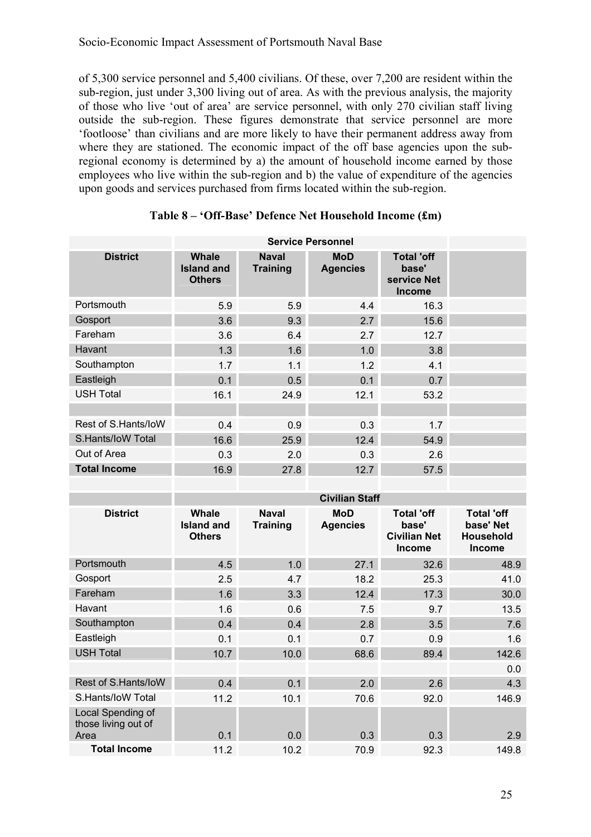of 5,300 service personnel and 5,400 civilians. Of these, over 7,200 are resident within the sub-region, just under 3,300 living out of area. As with the previous analysis, the majority of those who live 'out of area' are service personnel, with only 270 civilian staff living outside the sub-region. These figures demonstrate that service personnel are more 'footloose' than civilians and are more likely to have their permanent address away from where they are stationed. The economic impact of the off base agencies upon the subregional economy is determined by a) the amount of household income earned by those employees who live within the sub-region and b) the value of expenditure of the agencies upon goods and services purchased from firms located within the sub-region.

|                                                  |                                                    |                                 | <b>Service Personnel</b>      |                                                             |                                                              |  |  |  |
|--------------------------------------------------|----------------------------------------------------|---------------------------------|-------------------------------|-------------------------------------------------------------|--------------------------------------------------------------|--|--|--|
| <b>District</b>                                  | <b>Whale</b><br><b>Island and</b><br><b>Others</b> | <b>Naval</b><br><b>Training</b> | <b>MoD</b><br><b>Agencies</b> | <b>Total 'off</b><br>base'<br>service Net<br><b>Income</b>  |                                                              |  |  |  |
| Portsmouth                                       | 5.9                                                | 5.9                             | 4.4                           | 16.3                                                        |                                                              |  |  |  |
| Gosport                                          | 3.6                                                | 9.3                             | 2.7                           | 15.6                                                        |                                                              |  |  |  |
| Fareham                                          | 3.6                                                | 6.4                             | 2.7                           | 12.7                                                        |                                                              |  |  |  |
| Havant                                           | 1.3                                                | 1.6                             | 1.0                           | 3.8                                                         |                                                              |  |  |  |
| Southampton                                      | 1.7                                                | 1.1                             | 1.2                           | 4.1                                                         |                                                              |  |  |  |
| Eastleigh                                        | 0.1                                                | 0.5                             | 0.1                           | 0.7                                                         |                                                              |  |  |  |
| <b>USH Total</b>                                 | 16.1                                               | 24.9                            | 12.1                          | 53.2                                                        |                                                              |  |  |  |
|                                                  |                                                    |                                 |                               |                                                             |                                                              |  |  |  |
| Rest of S.Hants/loW                              | 0.4                                                | 0.9                             | 0.3                           | 1.7                                                         |                                                              |  |  |  |
| S.Hants/IoW Total                                | 16.6                                               | 25.9                            | 12.4                          | 54.9                                                        |                                                              |  |  |  |
| Out of Area                                      | 0.3                                                | 2.0                             | 0.3                           | 2.6                                                         |                                                              |  |  |  |
| <b>Total Income</b>                              | 16.9                                               | 27.8                            | 12.7                          | 57.5                                                        |                                                              |  |  |  |
|                                                  |                                                    |                                 |                               |                                                             |                                                              |  |  |  |
|                                                  | <b>Civilian Staff</b>                              |                                 |                               |                                                             |                                                              |  |  |  |
|                                                  |                                                    |                                 |                               |                                                             |                                                              |  |  |  |
| <b>District</b>                                  | <b>Whale</b><br><b>Island and</b><br><b>Others</b> | <b>Naval</b><br><b>Training</b> | <b>MoD</b><br><b>Agencies</b> | <b>Total 'off</b><br>base'<br><b>Civilian Net</b><br>Income | <b>Total 'off</b><br>base' Net<br><b>Household</b><br>Income |  |  |  |
| Portsmouth                                       | 4.5                                                | 1.0                             | 27.1                          | 32.6                                                        | 48.9                                                         |  |  |  |
| Gosport                                          | 2.5                                                | 4.7                             | 18.2                          | 25.3                                                        | 41.0                                                         |  |  |  |
| Fareham                                          | 1.6                                                | 3.3                             | 12.4                          | 17.3                                                        | 30.0                                                         |  |  |  |
| Havant                                           | 1.6                                                | 0.6                             | 7.5                           | 9.7                                                         | 13.5                                                         |  |  |  |
| Southampton                                      | 0.4                                                | 0.4                             | 2.8                           | 3.5                                                         | 7.6                                                          |  |  |  |
| Eastleigh                                        | 0.1                                                | 0.1                             | 0.7                           | 0.9                                                         | 1.6                                                          |  |  |  |
| <b>USH Total</b>                                 | 10.7                                               | 10.0                            | 68.6                          | 89.4                                                        | 142.6                                                        |  |  |  |
|                                                  |                                                    |                                 |                               |                                                             | 0.0                                                          |  |  |  |
| Rest of S.Hants/loW                              | 0.4                                                | 0.1                             | 2.0                           | 2.6                                                         | 4.3                                                          |  |  |  |
| S.Hants/loW Total                                | 11.2                                               | 10.1                            | 70.6                          | 92.0                                                        | 146.9                                                        |  |  |  |
| Local Spending of<br>those living out of<br>Area | 0.1                                                | 0.0                             | 0.3                           | 0.3                                                         | 2.9                                                          |  |  |  |

#### **Table 8 – 'Off-Base' Defence Net Household Income (£m)**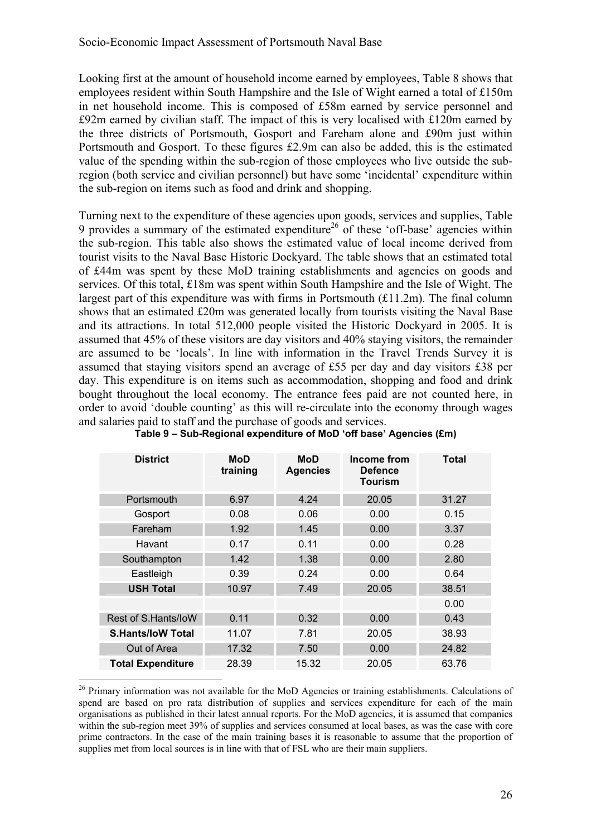Looking first at the amount of household income earned by employees, Table 8 shows that employees resident within South Hampshire and the Isle of Wight earned a total of £150m in net household income. This is composed of £58m earned by service personnel and £92m earned by civilian staff. The impact of this is very localised with £120m earned by the three districts of Portsmouth, Gosport and Fareham alone and £90m just within Portsmouth and Gosport. To these figures £2.9m can also be added, this is the estimated value of the spending within the sub-region of those employees who live outside the subregion (both service and civilian personnel) but have some 'incidental' expenditure within the sub-region on items such as food and drink and shopping.

Turning next to the expenditure of these agencies upon goods, services and supplies, Table 9 provides a summary of the estimated expenditure<sup>26</sup> of these 'off-base' agencies within the sub-region. This table also shows the estimated value of local income derived from tourist visits to the Naval Base Historic Dockyard. The table shows that an estimated total of £44m was spent by these MoD training establishments and agencies on goods and services. Of this total, £18m was spent within South Hampshire and the Isle of Wight. The largest part of this expenditure was with firms in Portsmouth  $(f11.2m)$ . The final column shows that an estimated £20m was generated locally from tourists visiting the Naval Base and its attractions. In total 512,000 people visited the Historic Dockyard in 2005. It is assumed that 45% of these visitors are day visitors and 40% staying visitors, the remainder are assumed to be 'locals'. In line with information in the Travel Trends Survey it is assumed that staying visitors spend an average of £55 per day and day visitors £38 per day. This expenditure is on items such as accommodation, shopping and food and drink bought throughout the local economy. The entrance fees paid are not counted here, in order to avoid 'double counting' as this will re-circulate into the economy through wages and salaries paid to staff and the purchase of goods and services.

| <b>District</b>          | MoD<br>training | MoD<br><b>Agencies</b> | Income from<br>Defence<br>Tourism | Total |
|--------------------------|-----------------|------------------------|-----------------------------------|-------|
| Portsmouth               | 6.97            | 4.24                   | 20.05                             | 31.27 |
| Gosport                  | 0.08            | 0.06                   | 0.00                              | 0.15  |
| Fareham                  | 1.92            | 1.45                   | 0.00                              | 3.37  |
| Havant                   | 0.17            | 0.11                   | 0.00                              | 0.28  |
| Southampton              | 1.42            | 1.38                   | 0.00                              | 2.80  |
| Eastleigh                | 0.39            | 0.24                   | 0.00                              | 0.64  |
| <b>USH Total</b>         | 10.97           | 7.49                   | 20.05                             | 38.51 |
|                          |                 |                        |                                   | 0.00  |
| Rest of S.Hants/loW      | 0.11            | 0.32                   | 0.00                              | 0.43  |
| <b>S.Hants/loW Total</b> | 11.07           | 7.81                   | 20.05                             | 38.93 |
| Out of Area              | 17.32           | 7.50                   | 0.00                              | 24.82 |
| <b>Total Expenditure</b> | 28.39           | 15.32                  | 20.05                             | 63.76 |

#### **Table 9 – Sub-Regional expenditure of MoD 'off base' Agencies (£m)**

<sup>&</sup>lt;sup>26</sup> Primary information was not available for the MoD Agencies or training establishments. Calculations of spend are based on pro rata distribution of supplies and services expenditure for each of the main organisations as published in their latest annual reports. For the MoD agencies, it is assumed that companies within the sub-region meet 39% of supplies and services consumed at local bases, as was the case with core prime contractors. In the case of the main training bases it is reasonable to assume that the proportion of supplies met from local sources is in line with that of FSL who are their main suppliers.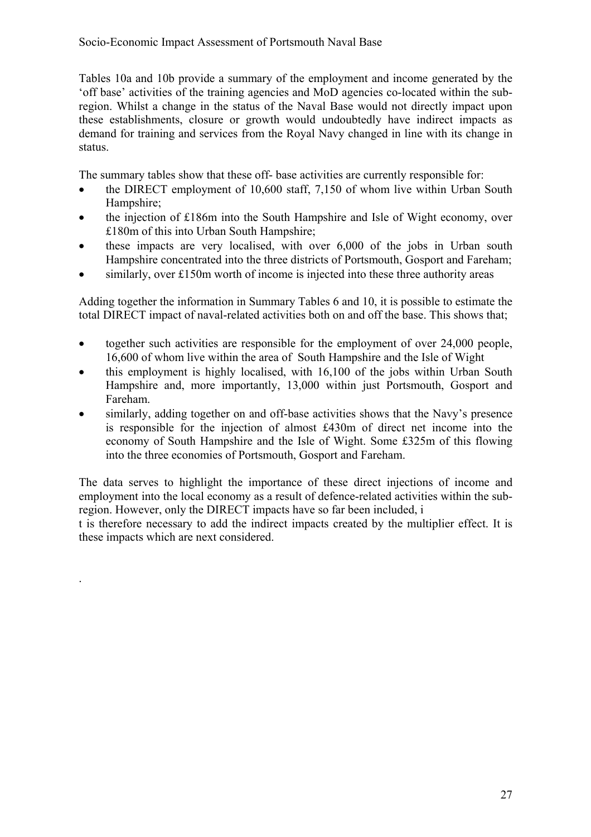#### Socio-Economic Impact Assessment of Portsmouth Naval Base

Tables 10a and 10b provide a summary of the employment and income generated by the 'off base' activities of the training agencies and MoD agencies co-located within the subregion. Whilst a change in the status of the Naval Base would not directly impact upon these establishments, closure or growth would undoubtedly have indirect impacts as demand for training and services from the Royal Navy changed in line with its change in status.

The summary tables show that these off- base activities are currently responsible for:

- the DIRECT employment of 10,600 staff, 7,150 of whom live within Urban South Hampshire;
- the injection of £186m into the South Hampshire and Isle of Wight economy, over £180m of this into Urban South Hampshire;
- these impacts are very localised, with over 6,000 of the jobs in Urban south Hampshire concentrated into the three districts of Portsmouth, Gosport and Fareham;
- similarly, over £150m worth of income is injected into these three authority areas

Adding together the information in Summary Tables 6 and 10, it is possible to estimate the total DIRECT impact of naval-related activities both on and off the base. This shows that;

- together such activities are responsible for the employment of over 24,000 people, 16,600 of whom live within the area of South Hampshire and the Isle of Wight
- this employment is highly localised, with 16,100 of the jobs within Urban South Hampshire and, more importantly, 13,000 within just Portsmouth, Gosport and Fareham.
- similarly, adding together on and off-base activities shows that the Navy's presence is responsible for the injection of almost £430m of direct net income into the economy of South Hampshire and the Isle of Wight. Some £325m of this flowing into the three economies of Portsmouth, Gosport and Fareham.

The data serves to highlight the importance of these direct injections of income and employment into the local economy as a result of defence-related activities within the subregion. However, only the DIRECT impacts have so far been included, i

t is therefore necessary to add the indirect impacts created by the multiplier effect. It is these impacts which are next considered.

.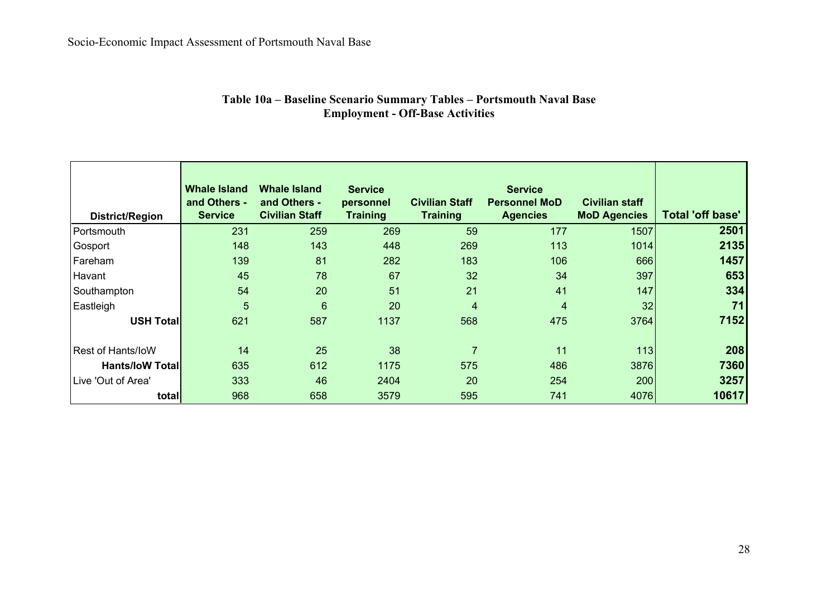| Table 10a – Baseline Scenario Summary Tables – Portsmouth Naval Base |  |
|----------------------------------------------------------------------|--|
| <b>Employment - Off-Base Activities</b>                              |  |

| <b>District/Region</b>   | <b>Whale Island</b><br>and Others -<br><b>Service</b> | <b>Whale Island</b><br>and Others -<br><b>Civilian Staff</b> | <b>Service</b><br>personnel<br><b>Training</b> | <b>Civilian Staff</b><br><b>Training</b> | <b>Service</b><br><b>Personnel MoD</b><br><b>Agencies</b> | <b>Civilian staff</b><br><b>MoD Agencies</b> | <b>Total 'off base'</b> |
|--------------------------|-------------------------------------------------------|--------------------------------------------------------------|------------------------------------------------|------------------------------------------|-----------------------------------------------------------|----------------------------------------------|-------------------------|
| Portsmouth               | 231                                                   | 259                                                          | 269                                            | 59                                       | 177                                                       | 1507                                         | 2501                    |
| Gosport                  | 148                                                   | 143                                                          | 448                                            | 269                                      | 113                                                       | 1014                                         | 2135                    |
| Fareham                  | 139                                                   | 81                                                           | 282                                            | 183                                      | 106                                                       | 666                                          | 1457                    |
| Havant                   | 45                                                    | 78                                                           | 67                                             | 32                                       | 34                                                        | 397                                          | 653                     |
| Southampton              | 54                                                    | 20                                                           | 51                                             | 21                                       | 41                                                        | 147                                          | 334                     |
| Eastleigh                | 5                                                     | $6\phantom{1}$                                               | 20                                             | $\overline{4}$                           | 4                                                         | 32                                           | 71                      |
| <b>USH Total</b>         | 621                                                   | 587                                                          | 1137                                           | 568                                      | 475                                                       | 3764                                         | 7152                    |
| <b>Rest of Hants/IoW</b> | 14                                                    | 25                                                           | 38                                             | $\overline{7}$                           | 11                                                        | 113                                          | 208                     |
| <b>Hants/IoW Total</b>   | 635                                                   | 612                                                          | 1175                                           | 575                                      | 486                                                       | 3876                                         | 7360                    |
| Live 'Out of Area'       | 333                                                   | 46                                                           | 2404                                           | 20                                       | 254                                                       | 200                                          | 3257                    |
| total                    | 968                                                   | 658                                                          | 3579                                           | 595                                      | 741                                                       | 4076                                         | 10617                   |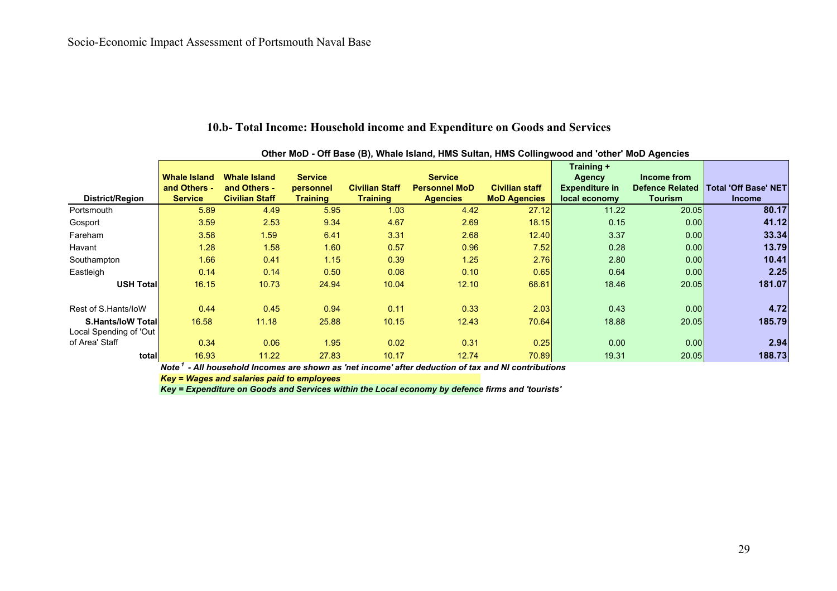|                                                     | Other MoD - Off Base (B), Whale Island, HMS Sultan, HMS Collingwood and 'other' MoD Agencies |                                       |                              |                                          |                                         |                                              |                                        |                                   |                                              |
|-----------------------------------------------------|----------------------------------------------------------------------------------------------|---------------------------------------|------------------------------|------------------------------------------|-----------------------------------------|----------------------------------------------|----------------------------------------|-----------------------------------|----------------------------------------------|
|                                                     | <b>Whale Island</b>                                                                          | <b>Whale Island</b>                   | <b>Service</b>               |                                          | <b>Service</b>                          |                                              | Training +<br><b>Agency</b>            | Income from                       |                                              |
| District/Region                                     | and Others -<br><b>Service</b>                                                               | and Others -<br><b>Civilian Staff</b> | personnel<br><b>Training</b> | <b>Civilian Staff</b><br><b>Training</b> | <b>Personnel MoD</b><br><b>Agencies</b> | <b>Civilian staff</b><br><b>MoD Agencies</b> | <b>Expenditure in</b><br>local economy | <b>Defence Related</b><br>Tourism | <b>Total 'Off Base' NET</b><br><b>Income</b> |
|                                                     | 5.89                                                                                         | 4.49                                  | 5.95                         | 1.03                                     | 4.42                                    | 27.12                                        | 11.22                                  | 20.05                             | 80.17                                        |
| Portsmouth                                          |                                                                                              |                                       |                              |                                          |                                         |                                              |                                        |                                   |                                              |
| Gosport                                             | 3.59                                                                                         | 2.53                                  | 9.34                         | 4.67                                     | 2.69                                    | 18.15                                        | 0.15                                   | 0.00                              | 41.12                                        |
| Fareham                                             | 3.58                                                                                         | 1.59                                  | 6.41                         | 3.31                                     | 2.68                                    | 12.40                                        | 3.37                                   | 0.00                              | 33.34                                        |
| Havant                                              | 1.28                                                                                         | 1.58                                  | 1.60                         | 0.57                                     | 0.96                                    | 7.52                                         | 0.28                                   | 0.00                              | 13.79                                        |
| Southampton                                         | 1.66                                                                                         | 0.41                                  | 1.15                         | 0.39                                     | 1.25                                    | 2.76                                         | 2.80                                   | 0.00                              | 10.41                                        |
| Eastleigh                                           | 0.14                                                                                         | 0.14                                  | 0.50                         | 0.08                                     | 0.10                                    | 0.65                                         | 0.64                                   | 0.00                              | 2.25                                         |
| <b>USH Total</b>                                    | 16.15                                                                                        | 10.73                                 | 24.94                        | 10.04                                    | 12.10                                   | 68.61                                        | 18.46                                  | 20.05                             | 181.07                                       |
| Rest of S.Hants/loW                                 | 0.44                                                                                         | 0.45                                  | 0.94                         | 0.11                                     | 0.33                                    | 2.03                                         | 0.43                                   | 0.00                              | 4.72                                         |
| <b>S.Hants/IoW Totall</b><br>Local Spending of 'Out | 16.58                                                                                        | 11.18                                 | 25.88                        | 10.15                                    | 12.43                                   | 70.64                                        | 18.88                                  | 20.05                             | 185.79                                       |
| of Area' Staff                                      | 0.34                                                                                         | 0.06                                  | 1.95                         | 0.02                                     | 0.31                                    | 0.25                                         | 0.00                                   | 0.00                              | 2.94                                         |
| total                                               | 16.93                                                                                        | 11.22                                 | 27.83                        | 10.17                                    | 12.74                                   | 70.89                                        | 19.31                                  | 20.05                             | 188.73                                       |

#### **10.b- Total Income: Household income and Expenditure on Goods and Services**

*Note 1 - All household Incomes are shown as 'net income' after deduction of tax and NI contributions*

*Key = Wages and salaries paid to employees*

*Key = Expenditure on Goods and Services within the Local economy by defence firms and 'tourists'*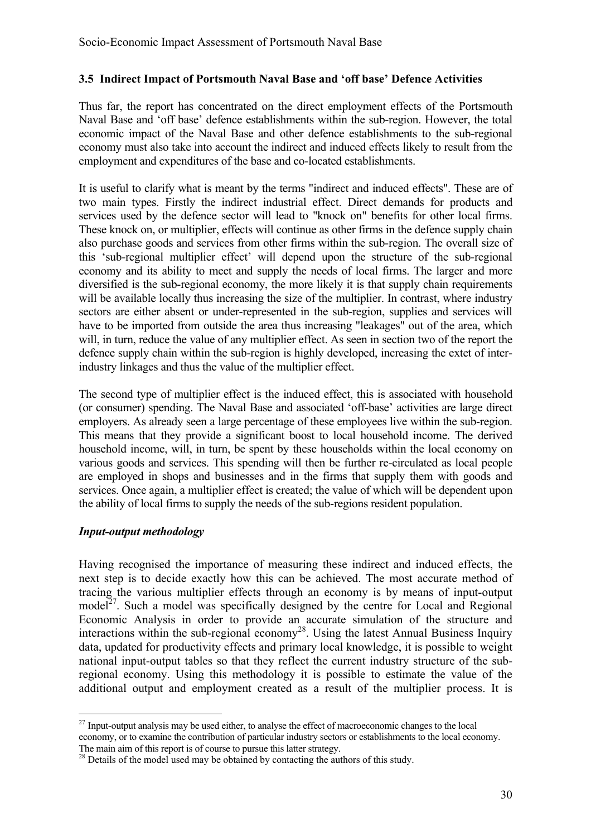#### **3.5 Indirect Impact of Portsmouth Naval Base and 'off base' Defence Activities**

Thus far, the report has concentrated on the direct employment effects of the Portsmouth Naval Base and 'off base' defence establishments within the sub-region. However, the total economic impact of the Naval Base and other defence establishments to the sub-regional economy must also take into account the indirect and induced effects likely to result from the employment and expenditures of the base and co-located establishments.

It is useful to clarify what is meant by the terms "indirect and induced effects". These are of two main types. Firstly the indirect industrial effect. Direct demands for products and services used by the defence sector will lead to "knock on" benefits for other local firms. These knock on, or multiplier, effects will continue as other firms in the defence supply chain also purchase goods and services from other firms within the sub-region. The overall size of this 'sub-regional multiplier effect' will depend upon the structure of the sub-regional economy and its ability to meet and supply the needs of local firms. The larger and more diversified is the sub-regional economy, the more likely it is that supply chain requirements will be available locally thus increasing the size of the multiplier. In contrast, where industry sectors are either absent or under-represented in the sub-region, supplies and services will have to be imported from outside the area thus increasing "leakages" out of the area, which will, in turn, reduce the value of any multiplier effect. As seen in section two of the report the defence supply chain within the sub-region is highly developed, increasing the extet of interindustry linkages and thus the value of the multiplier effect.

The second type of multiplier effect is the induced effect, this is associated with household (or consumer) spending. The Naval Base and associated 'off-base' activities are large direct employers. As already seen a large percentage of these employees live within the sub-region. This means that they provide a significant boost to local household income. The derived household income, will, in turn, be spent by these households within the local economy on various goods and services. This spending will then be further re-circulated as local people are employed in shops and businesses and in the firms that supply them with goods and services. Once again, a multiplier effect is created; the value of which will be dependent upon the ability of local firms to supply the needs of the sub-regions resident population.

#### *Input-output methodology*

 $\overline{a}$ 

Having recognised the importance of measuring these indirect and induced effects, the next step is to decide exactly how this can be achieved. The most accurate method of tracing the various multiplier effects through an economy is by means of input-output model<sup>27</sup>. Such a model was specifically designed by the centre for Local and Regional Economic Analysis in order to provide an accurate simulation of the structure and interactions within the sub-regional economy<sup>28</sup>. Using the latest Annual Business Inquiry data, updated for productivity effects and primary local knowledge, it is possible to weight national input-output tables so that they reflect the current industry structure of the subregional economy. Using this methodology it is possible to estimate the value of the additional output and employment created as a result of the multiplier process. It is

 $27$  Input-output analysis may be used either, to analyse the effect of macroeconomic changes to the local economy, or to examine the contribution of particular industry sectors or establishments to the local economy. The main aim of this report is of course to pursue this latter strategy.

<sup>&</sup>lt;sup>28</sup> Details of the model used may be obtained by contacting the authors of this study.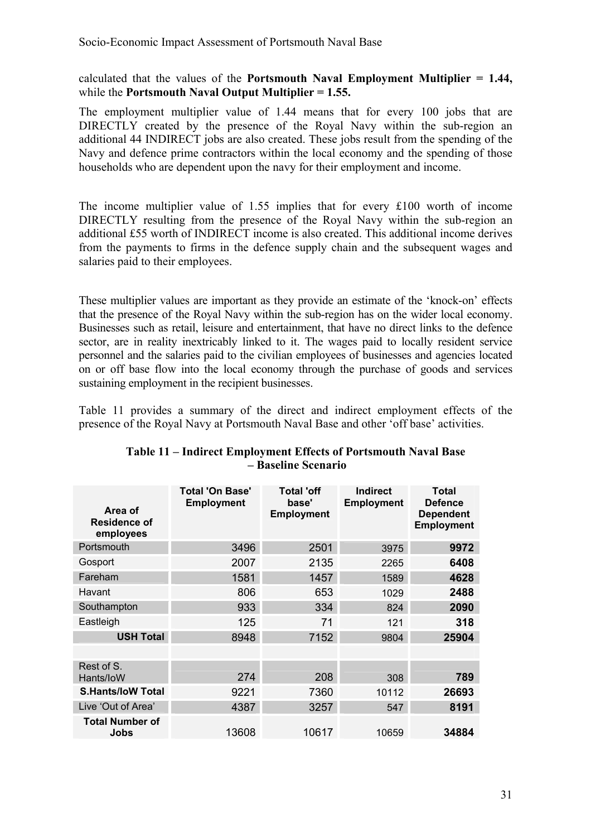calculated that the values of the **Portsmouth Naval Employment Multiplier = 1.44,**  while the **Portsmouth Naval Output Multiplier = 1.55.** 

The employment multiplier value of 1.44 means that for every 100 jobs that are DIRECTLY created by the presence of the Royal Navy within the sub-region an additional 44 INDIRECT jobs are also created. These jobs result from the spending of the Navy and defence prime contractors within the local economy and the spending of those households who are dependent upon the navy for their employment and income.

The income multiplier value of 1.55 implies that for every £100 worth of income DIRECTLY resulting from the presence of the Royal Navy within the sub-region an additional £55 worth of INDIRECT income is also created. This additional income derives from the payments to firms in the defence supply chain and the subsequent wages and salaries paid to their employees.

These multiplier values are important as they provide an estimate of the 'knock-on' effects that the presence of the Royal Navy within the sub-region has on the wider local economy. Businesses such as retail, leisure and entertainment, that have no direct links to the defence sector, are in reality inextricably linked to it. The wages paid to locally resident service personnel and the salaries paid to the civilian employees of businesses and agencies located on or off base flow into the local economy through the purchase of goods and services sustaining employment in the recipient businesses.

Table 11 provides a summary of the direct and indirect employment effects of the presence of the Royal Navy at Portsmouth Naval Base and other 'off base' activities.

| Area of<br><b>Residence of</b><br>employees | <b>Total 'On Base'</b><br><b>Employment</b> | <b>Total 'off</b><br>base'<br><b>Employment</b> | <b>Indirect</b><br><b>Employment</b> | <b>Total</b><br><b>Defence</b><br><b>Dependent</b><br><b>Employment</b> |
|---------------------------------------------|---------------------------------------------|-------------------------------------------------|--------------------------------------|-------------------------------------------------------------------------|
| Portsmouth                                  | 3496                                        | 2501                                            | 3975                                 | 9972                                                                    |
| Gosport                                     | 2007                                        | 2135                                            | 2265                                 | 6408                                                                    |
| Fareham                                     | 1581                                        | 1457                                            | 1589                                 | 4628                                                                    |
| Havant                                      | 806                                         | 653                                             | 1029                                 | 2488                                                                    |
| Southampton                                 | 933                                         | 334                                             | 824                                  | 2090                                                                    |
| Eastleigh                                   | 125                                         | 71                                              | 121                                  | 318                                                                     |
| <b>USH Total</b>                            | 8948                                        | 7152                                            | 9804                                 | 25904                                                                   |
|                                             |                                             |                                                 |                                      |                                                                         |
| Rest of S.<br>Hants/IoW                     | 274                                         | 208                                             | 308                                  | 789                                                                     |
| <b>S.Hants/IoW Total</b>                    | 9221                                        | 7360                                            | 10112                                | 26693                                                                   |
| Live 'Out of Area'                          | 4387                                        | 3257                                            | 547                                  | 8191                                                                    |
| <b>Total Number of</b><br>Jobs              | 13608                                       | 10617                                           | 10659                                | 34884                                                                   |

#### **Table 11 – Indirect Employment Effects of Portsmouth Naval Base – Baseline Scenario**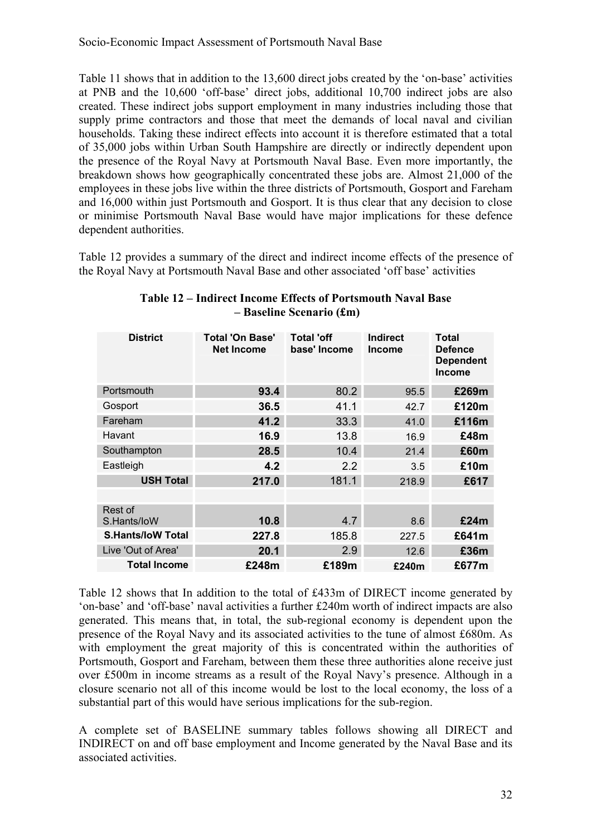Table 11 shows that in addition to the 13,600 direct jobs created by the 'on-base' activities at PNB and the 10,600 'off-base' direct jobs, additional 10,700 indirect jobs are also created. These indirect jobs support employment in many industries including those that supply prime contractors and those that meet the demands of local naval and civilian households. Taking these indirect effects into account it is therefore estimated that a total of 35,000 jobs within Urban South Hampshire are directly or indirectly dependent upon the presence of the Royal Navy at Portsmouth Naval Base. Even more importantly, the breakdown shows how geographically concentrated these jobs are. Almost 21,000 of the employees in these jobs live within the three districts of Portsmouth, Gosport and Fareham and 16,000 within just Portsmouth and Gosport. It is thus clear that any decision to close or minimise Portsmouth Naval Base would have major implications for these defence dependent authorities.

Table 12 provides a summary of the direct and indirect income effects of the presence of the Royal Navy at Portsmouth Naval Base and other associated 'off base' activities

| <b>District</b>          | <b>Total 'On Base'</b><br><b>Net Income</b> | <b>Total 'off</b><br>base' Income | <b>Indirect</b><br><b>Income</b> | <b>Total</b><br><b>Defence</b><br><b>Dependent</b><br><b>Income</b> |
|--------------------------|---------------------------------------------|-----------------------------------|----------------------------------|---------------------------------------------------------------------|
| Portsmouth               | 93.4                                        | 80.2                              | 95.5                             | £269m                                                               |
| Gosport                  | 36.5                                        | 41.1                              | 42.7                             | £120m                                                               |
| Fareham                  | 41.2                                        | 33.3                              | 41.0                             | £116m                                                               |
| Havant                   | 16.9                                        | 13.8                              | 16.9                             | £48m                                                                |
| Southampton              | 28.5                                        | 10.4                              | 21.4                             | £60m                                                                |
| Eastleigh                | 4.2                                         | 2.2                               | 3.5                              | £10m                                                                |
| <b>USH Total</b>         | 217.0                                       | 181.1                             | 218.9                            | £617                                                                |
|                          |                                             |                                   |                                  |                                                                     |
| Rest of<br>S.Hants/loW   | 10.8                                        | 4.7                               | 8.6                              | £24m                                                                |
| <b>S.Hants/IoW Total</b> | 227.8                                       | 185.8                             | 227.5                            | £641m                                                               |
| Live 'Out of Area'       | 20.1                                        | 2.9                               | 12.6                             | £36m                                                                |
| <b>Total Income</b>      | £248m                                       | £189m                             | £240m                            | £677m                                                               |

#### **Table 12 – Indirect Income Effects of Portsmouth Naval Base – Baseline Scenario (£m)**

Table 12 shows that In addition to the total of £433m of DIRECT income generated by 'on-base' and 'off-base' naval activities a further £240m worth of indirect impacts are also generated. This means that, in total, the sub-regional economy is dependent upon the presence of the Royal Navy and its associated activities to the tune of almost £680m. As with employment the great majority of this is concentrated within the authorities of Portsmouth, Gosport and Fareham, between them these three authorities alone receive just over £500m in income streams as a result of the Royal Navy's presence. Although in a closure scenario not all of this income would be lost to the local economy, the loss of a substantial part of this would have serious implications for the sub-region.

A complete set of BASELINE summary tables follows showing all DIRECT and INDIRECT on and off base employment and Income generated by the Naval Base and its associated activities.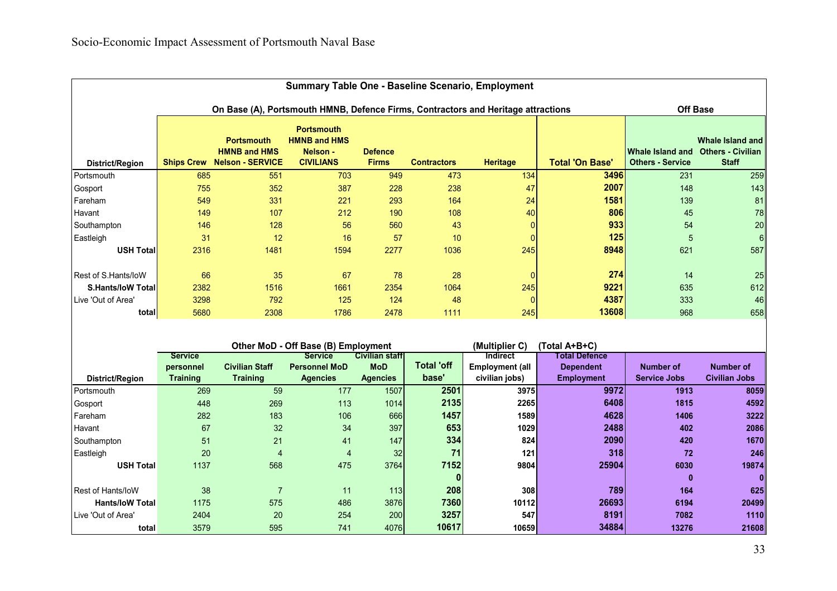|                          |                   |                                                                                   |                                                                          |                                |                    | Summary Table One - Baseline Scenario, Employment |                        |                                             |                                                                     |
|--------------------------|-------------------|-----------------------------------------------------------------------------------|--------------------------------------------------------------------------|--------------------------------|--------------------|---------------------------------------------------|------------------------|---------------------------------------------|---------------------------------------------------------------------|
|                          |                   | On Base (A), Portsmouth HMNB, Defence Firms, Contractors and Heritage attractions |                                                                          |                                |                    |                                                   |                        |                                             | <b>Off Base</b>                                                     |
| District/Region          | <b>Ships Crew</b> | <b>Portsmouth</b><br><b>HMNB and HMS</b><br><b>Nelson - SERVICE</b>               | <b>Portsmouth</b><br><b>HMNB and HMS</b><br>Nelson -<br><b>CIVILIANS</b> | <b>Defence</b><br><b>Firms</b> | <b>Contractors</b> | <b>Heritage</b>                                   | <b>Total 'On Base'</b> | Whale Island and<br><b>Others - Service</b> | <b>Whale Island and</b><br><b>Others - Civilian</b><br><b>Staff</b> |
| Portsmouth               | 685               | 551                                                                               | 703                                                                      | 949                            | 473                | 134                                               | 3496                   | 231                                         | 259                                                                 |
| Gosport                  | 755               | 352                                                                               | 387                                                                      | 228                            | 238                | 47                                                | 2007                   | 148                                         | 143                                                                 |
| Fareham                  | 549               | 331                                                                               | 221                                                                      | 293                            | 164                | 24                                                | 1581                   | 139                                         | 81                                                                  |
| Havant                   | 149               | 107                                                                               | 212                                                                      | 190                            | 108                | 40                                                | 806                    | 45                                          | 78                                                                  |
| Southampton              | 146               | 128                                                                               | 56                                                                       | 560                            | 43                 | $\Omega$                                          | 933                    | 54                                          | 20                                                                  |
| Eastleigh                | 31                | 12                                                                                | 16                                                                       | 57                             | 10                 | $\Omega$                                          | 125                    | 5                                           | $6\phantom{.}6$                                                     |
| <b>USH Total</b>         | 2316              | 1481                                                                              | 1594                                                                     | 2277                           | 1036               | 245                                               | 8948                   | 621                                         | 587                                                                 |
| Rest of S.Hants/loW      | 66                | 35                                                                                | 67                                                                       | 78                             | 28                 | $\Omega$                                          | 274                    | 14                                          | 25                                                                  |
| <b>S.Hants/IoW Total</b> | 2382              | 1516                                                                              | 1661                                                                     | 2354                           | 1064               | 245                                               | 9221                   | 635                                         | 612                                                                 |
| Live 'Out of Area'       | 3298              | 792                                                                               | 125                                                                      | 124                            | 48                 | $\Omega$                                          | 4387                   | 333                                         | 46                                                                  |
| total                    | 5680              | 2308                                                                              | 1786                                                                     | 2478                           | 1111               | 245                                               | 13608                  | 968                                         | 658                                                                 |
|                          |                   |                                                                                   |                                                                          |                                |                    |                                                   |                        |                                             |                                                                     |
|                          |                   |                                                                                   | Other MoD - Off Base (B) Employment                                      |                                |                    | (Multiplier C)                                    | (Total A+B+C)          |                                             |                                                                     |
|                          | <b>Service</b>    |                                                                                   | <b>Service</b>                                                           | <b>Civilian staff</b>          |                    | <b>Indirect</b>                                   | <b>Total Defence</b>   |                                             |                                                                     |
|                          | personnel         | <b>Civilian Staff</b>                                                             | <b>Personnel MoD</b>                                                     | MoD                            | <b>Total 'off</b>  | <b>Employment (all</b>                            | <b>Dependent</b>       | <b>Number of</b>                            | <b>Number of</b>                                                    |
| District/Region          | <b>Training</b>   | <b>Training</b>                                                                   | <b>Agencies</b>                                                          | <b>Agencies</b>                | base'              | civilian jobs)                                    | <b>Employment</b>      | <b>Service Jobs</b>                         | <b>Civilian Jobs</b>                                                |
| Portsmouth               | 269               | 59                                                                                | 177                                                                      | 1507                           | 2501               | 3975                                              | 9972                   | 1913                                        | 8059                                                                |
| Gosport                  | 448               | 269                                                                               | 113                                                                      | 1014                           | 2135               | 2265                                              | 6408                   | 1815                                        | 4592                                                                |
| Fareham                  | 282               | 183                                                                               | 106                                                                      | 666                            | 1457               | 1589                                              | 4628                   | 1406                                        | 3222                                                                |
| Havant                   | 67                | 32                                                                                | 34                                                                       | 397                            | 653                | 1029                                              | 2488                   | 402                                         | 2086                                                                |
| Southampton              | 51                | 21                                                                                | 41                                                                       | 147                            | 334                | 824                                               | 2090                   | 420                                         | 1670                                                                |
| Eastleigh                | 20                | $\overline{4}$                                                                    | 4                                                                        | 32                             | 71                 | 121                                               | 318                    | 72                                          | 246                                                                 |
| <b>USH Total</b>         | 1137              | 568                                                                               | 475                                                                      | 3764                           | 7152               | 9804                                              | 25904                  | 6030                                        | 19874                                                               |
|                          |                   |                                                                                   |                                                                          |                                | 0                  |                                                   |                        | $\mathbf{0}$                                | $\mathbf{0}$                                                        |
| <b>Rest of Hants/IoW</b> | 38                | $\overline{7}$                                                                    | 11                                                                       | 113                            | 208                | 308                                               | 789                    | 164                                         | 625                                                                 |
| <b>Hants/loW Total</b>   | 1175              | 575                                                                               | 486                                                                      | 3876                           | 7360               | 10112                                             | 26693                  | 6194                                        | 20499                                                               |
| Live 'Out of Area'       | 2404              | 20                                                                                | 254                                                                      | 200                            | 3257               | 547                                               | 8191                   | 7082                                        | 1110                                                                |
| total                    | 3579              | 595                                                                               | 741                                                                      | 4076                           | 10617              | 10659                                             | 34884                  | 13276                                       | 21608                                                               |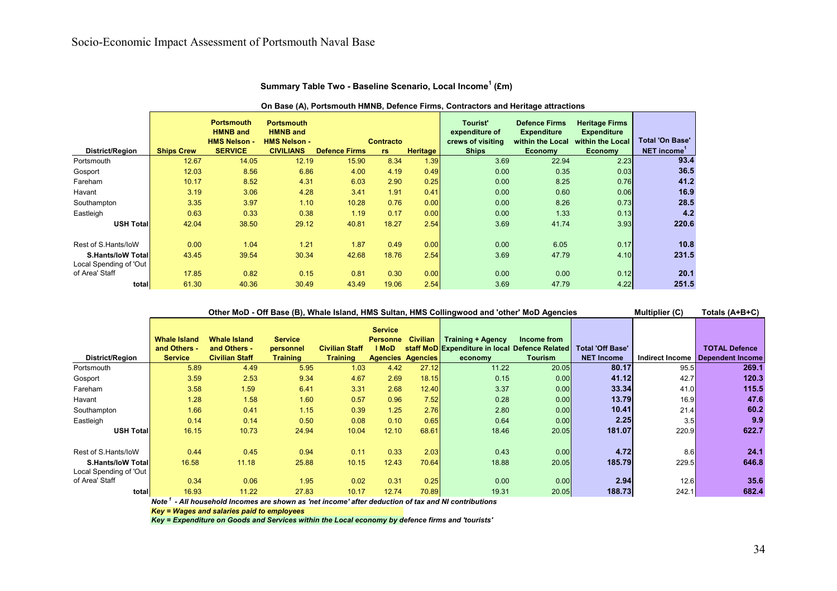|                                                     | On Base (A), Portsmouth HMNB, Defence Firms, Contractors and Heritage attractions |                                                                               |                                                                                 |                      |                               |                 |                                                                 |                                                                                  |                                                                                   |                                              |
|-----------------------------------------------------|-----------------------------------------------------------------------------------|-------------------------------------------------------------------------------|---------------------------------------------------------------------------------|----------------------|-------------------------------|-----------------|-----------------------------------------------------------------|----------------------------------------------------------------------------------|-----------------------------------------------------------------------------------|----------------------------------------------|
| District/Region                                     | <b>Ships Crew</b>                                                                 | <b>Portsmouth</b><br><b>HMNB</b> and<br><b>HMS Nelson -</b><br><b>SERVICE</b> | <b>Portsmouth</b><br><b>HMNB</b> and<br><b>HMS Nelson -</b><br><b>CIVILIANS</b> | <b>Defence Firms</b> | <b>Contracto</b><br><b>rs</b> | <b>Heritage</b> | Tourist'<br>expenditure of<br>crews of visiting<br><b>Ships</b> | <b>Defence Firms</b><br><b>Expenditure</b><br>within the Local<br><b>Economy</b> | <b>Heritage Firms</b><br><b>Expenditure</b><br>within the Local<br><b>Economy</b> | <b>Total 'On Base'</b><br><b>NET income'</b> |
| Portsmouth                                          | 12.67                                                                             | 14.05                                                                         | 12.19                                                                           | 15.90                | 8.34                          | 1.39            | 3.69                                                            | 22.94                                                                            | 2.23                                                                              | 93.4                                         |
| Gosport                                             | 12.03                                                                             | 8.56                                                                          | 6.86                                                                            | 4.00                 | 4.19                          | 0.49            | 0.00                                                            | 0.35                                                                             | 0.03                                                                              | 36.5                                         |
| Fareham                                             | 10.17                                                                             | 8.52                                                                          | 4.31                                                                            | 6.03                 | 2.90                          | 0.25            | 0.00                                                            | 8.25                                                                             | 0.76                                                                              | 41.2                                         |
| Havant                                              | 3.19                                                                              | 3.06                                                                          | 4.28                                                                            | 3.41                 | 1.91                          | 0.41            | 0.00                                                            | 0.60                                                                             | 0.06                                                                              | 16.9                                         |
| Southampton                                         | 3.35                                                                              | 3.97                                                                          | 1.10                                                                            | 10.28                | 0.76                          | 0.00            | 0.00                                                            | 8.26                                                                             | 0.73                                                                              | 28.5                                         |
| Eastleigh                                           | 0.63                                                                              | 0.33                                                                          | 0.38                                                                            | 1.19                 | 0.17                          | 0.00            | 0.00                                                            | 1.33                                                                             | 0.13                                                                              | 4.2                                          |
| <b>USH Total</b>                                    | 42.04                                                                             | 38.50                                                                         | 29.12                                                                           | 40.81                | 18.27                         | 2.54            | 3.69                                                            | 41.74                                                                            | 3.93                                                                              | 220.6                                        |
| Rest of S.Hants/IoW                                 | 0.00                                                                              | 1.04                                                                          | 1.21                                                                            | 1.87                 | 0.49                          | 0.00            | 0.00                                                            | 6.05                                                                             | 0.17                                                                              | 10.8                                         |
| <b>S.Hants/loW Totall</b><br>Local Spending of 'Out | 43.45                                                                             | 39.54                                                                         | 30.34                                                                           | 42.68                | 18.76                         | 2.54            | 3.69                                                            | 47.79                                                                            | 4.10                                                                              | 231.5                                        |
| of Area' Staff                                      | 17.85                                                                             | 0.82                                                                          | 0.15                                                                            | 0.81                 | 0.30                          | 0.00            | 0.00                                                            | 0.00                                                                             | 0.12                                                                              | 20.1                                         |
| total                                               | 61.30                                                                             | 40.36                                                                         | 30.49                                                                           | 43.49                | 19.06                         | 2.54            | 3.69                                                            | 47.79                                                                            | 4.22                                                                              | 251.5                                        |

#### **Summary Table Two - Baseline Scenario, Local Income1 (£m)**

| Other MoD - Off Base (B), Whale Island, HMS Sultan, HMS Collingwood and 'other' MoD Agencies |  |  |  |  |
|----------------------------------------------------------------------------------------------|--|--|--|--|
|----------------------------------------------------------------------------------------------|--|--|--|--|

**Multiplier (C) Totals (A+B+C)**

|                           |                     |                       |                 |                       | <b>Service</b>  |                          |                                                |                |                   |       |                                    |
|---------------------------|---------------------|-----------------------|-----------------|-----------------------|-----------------|--------------------------|------------------------------------------------|----------------|-------------------|-------|------------------------------------|
|                           | <b>Whale Island</b> | <b>Whale Island</b>   | <b>Service</b>  |                       | <b>Personne</b> | <b>Civilian</b>          | <b>Training + Agency</b>                       | Income from    |                   |       |                                    |
|                           | and Others -        | and Others -          | personnel       | <b>Civilian Staff</b> | l MoD           |                          | staff MoD Expenditure in local Defence Related |                | Total 'Off Base'  |       | <b>TOTAL Defence</b>               |
| District/Region           | <b>Service</b>      | <b>Civilian Staff</b> | <b>Training</b> | Training              |                 | <b>Agencies Agencies</b> | economy                                        | <b>Tourism</b> | <b>NET Income</b> |       | Indirect Income   Dependent Income |
| Portsmouth                | 5.89                | 4.49                  | 5.95            | 1.03                  | 4.42            | 27.12                    | 11.22                                          | 20.05          | 80.17             | 95.5  | 269.1                              |
| Gosport                   | 3.59                | 2.53                  | 9.34            | 4.67                  | 2.69            | 18.15                    | 0.15                                           | 0.00           | 41.12             | 42.7  | 120.3                              |
| Fareham                   | 3.58                | 1.59                  | 6.41            | 3.31                  | 2.68            | 12.40                    | 3.37                                           | 0.00           | 33.34             | 41.0  | 115.5                              |
| Havant                    | 1.28                | 1.58                  | 1.60            | 0.57                  | 0.96            | 7.52                     | 0.28                                           | 0.00           | 13.79             | 16.9  | 47.6                               |
| Southampton               | 1.66                | 0.41                  | 1.15            | 0.39                  | 1.25            | 2.76                     | 2.80                                           | 0.00           | 10.41             | 21.4  | 60.2                               |
| Eastleigh                 | 0.14                | 0.14                  | 0.50            | 0.08                  | 0.10            | 0.65                     | 0.64                                           | 0.00           | 2.25              | 3.5   | 9.9                                |
| <b>USH Total</b>          | 16.15               | 10.73                 | 24.94           | 10.04                 | 12.10           | 68.61                    | 18.46                                          | 20.05          | 181.07            | 220.9 | 622.7                              |
|                           |                     |                       |                 |                       |                 |                          |                                                |                |                   |       |                                    |
| Rest of S.Hants/loW       | 0.44                | 0.45                  | 0.94            | 0.11                  | 0.33            | 2.03                     | 0.43                                           | 0.00           | 4.72              | 8.6   | 24.1                               |
| <b>S.Hants/IoW Totall</b> | 16.58               | 11.18                 | 25.88           | 10.15                 | 12.43           | 70.64                    | 18.88                                          | 20.05          | 185.79            | 229.5 | 646.8                              |
| Local Spending of 'Out    |                     |                       |                 |                       |                 |                          |                                                |                |                   |       |                                    |
| of Area' Staff            | 0.34                | 0.06                  | 1.95            | 0.02                  | 0.31            | 0.25                     | 0.00                                           | 0.00           | 2.94              | 12.6  | 35.6                               |
| total                     | 16.93               | 11.22                 | 27.83           | 10.17                 | 12.74           | 70.89                    | 19.31                                          | 20.05          | 188.73            | 242.1 | 682.4                              |

*Note 1 - All household Incomes are shown as 'net income' after deduction of tax and NI contributions*

*Key = Wages and salaries paid to employees*

*Key = Expenditure on Goods and Services within the Local economy by defence firms and 'tourists'*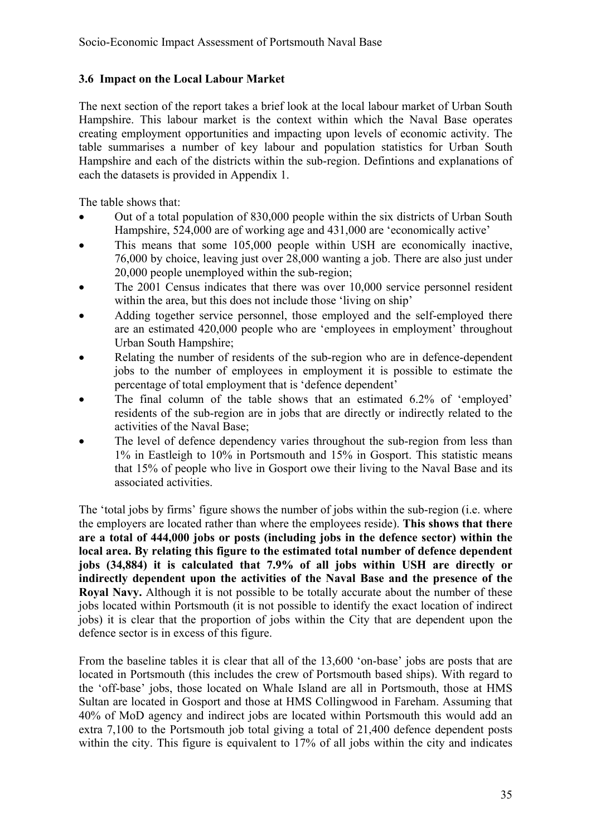#### **3.6 Impact on the Local Labour Market**

The next section of the report takes a brief look at the local labour market of Urban South Hampshire. This labour market is the context within which the Naval Base operates creating employment opportunities and impacting upon levels of economic activity. The table summarises a number of key labour and population statistics for Urban South Hampshire and each of the districts within the sub-region. Defintions and explanations of each the datasets is provided in Appendix 1.

The table shows that:

- Out of a total population of 830,000 people within the six districts of Urban South Hampshire, 524,000 are of working age and 431,000 are 'economically active'
- This means that some 105,000 people within USH are economically inactive, 76,000 by choice, leaving just over 28,000 wanting a job. There are also just under 20,000 people unemployed within the sub-region;
- The 2001 Census indicates that there was over 10,000 service personnel resident within the area, but this does not include those 'living on ship'
- Adding together service personnel, those employed and the self-employed there are an estimated 420,000 people who are 'employees in employment' throughout Urban South Hampshire;
- Relating the number of residents of the sub-region who are in defence-dependent jobs to the number of employees in employment it is possible to estimate the percentage of total employment that is 'defence dependent'
- The final column of the table shows that an estimated 6.2% of 'employed' residents of the sub-region are in jobs that are directly or indirectly related to the activities of the Naval Base;
- The level of defence dependency varies throughout the sub-region from less than 1% in Eastleigh to 10% in Portsmouth and 15% in Gosport. This statistic means that 15% of people who live in Gosport owe their living to the Naval Base and its associated activities.

The 'total jobs by firms' figure shows the number of jobs within the sub-region (i.e. where the employers are located rather than where the employees reside). **This shows that there are a total of 444,000 jobs or posts (including jobs in the defence sector) within the local area. By relating this figure to the estimated total number of defence dependent jobs (34,884) it is calculated that 7.9% of all jobs within USH are directly or indirectly dependent upon the activities of the Naval Base and the presence of the Royal Navy.** Although it is not possible to be totally accurate about the number of these jobs located within Portsmouth (it is not possible to identify the exact location of indirect jobs) it is clear that the proportion of jobs within the City that are dependent upon the defence sector is in excess of this figure.

From the baseline tables it is clear that all of the 13,600 'on-base' jobs are posts that are located in Portsmouth (this includes the crew of Portsmouth based ships). With regard to the 'off-base' jobs, those located on Whale Island are all in Portsmouth, those at HMS Sultan are located in Gosport and those at HMS Collingwood in Fareham. Assuming that 40% of MoD agency and indirect jobs are located within Portsmouth this would add an extra 7,100 to the Portsmouth job total giving a total of 21,400 defence dependent posts within the city. This figure is equivalent to 17% of all jobs within the city and indicates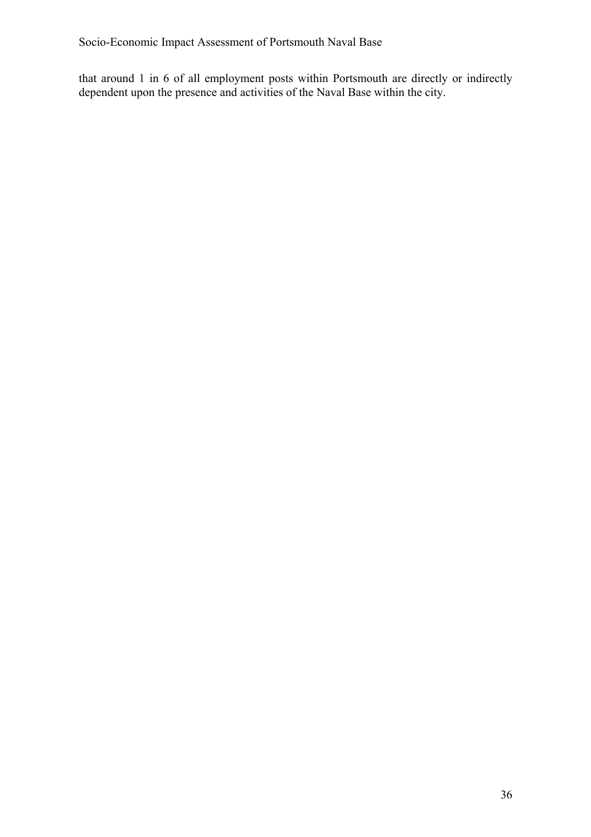that around 1 in 6 of all employment posts within Portsmouth are directly or indirectly dependent upon the presence and activities of the Naval Base within the city.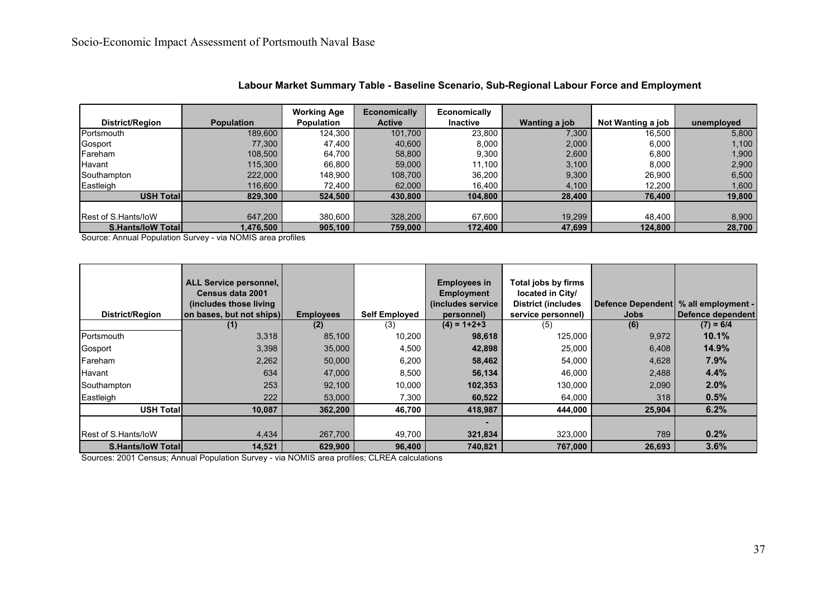|                             |                   | <b>Working Age</b> | <b>Economically</b> | Economically    |               |                   |            |
|-----------------------------|-------------------|--------------------|---------------------|-----------------|---------------|-------------------|------------|
| District/Region             | <b>Population</b> | <b>Population</b>  | <b>Active</b>       | <b>Inactive</b> | Wanting a job | Not Wanting a job | unemployed |
| Portsmouth                  | 189,600           | 124,300            | 101,700             | 23,800          | 7,300         | 16,500            | 5,800      |
| <b>Gosport</b>              | 77,300            | 47,400             | 40,600              | 8,000           | 2,000         | 6,000             | 1,100      |
| Fareham                     | 108,500           | 64,700             | 58,800              | 9,300           | 2,600         | 6,800             | 1,900      |
| Havant                      | 115,300           | 66.800             | 59,000              | 11.100          | 3,100         | 8.000             | 2,900      |
| Southampton                 | 222,000           | 148.900            | 108.700             | 36.200          | 9,300         | 26.900            | 6,500      |
| Eastleigh                   | 116,600           | 72,400             | 62,000              | 16,400          | 4,100         | 12,200            | 1,600      |
| USH Total                   | 829,300           | 524,500            | 430,800             | 104,800         | 28,400        | 76,400            | 19,800     |
|                             |                   |                    |                     |                 |               |                   |            |
| <b>Rest of S. Hants/loW</b> | 647,200           | 380,600            | 328,200             | 67,600          | 19,299        | 48.400            | 8,900      |
| <b>S.Hants/loW Total</b>    | 1,476,500         | 905,100            | 759,000             | 172,400         | 47,699        | 124,800           | 28,700     |

**Labour Market Summary Table - Baseline Scenario, Sub-Regional Labour Force and Employment**

Source: Annual Population Survey - via NOMIS area profiles

| District/Region             | ALL Service personnel,<br>Census data 2001<br>(includes those living)<br>on bases, but not ships) | <b>Employees</b> | <b>Self Employed</b> | <b>Employees in</b><br><b>Employment</b><br>(includes service<br>personnel) | Total jobs by firms<br>located in City/<br><b>District (includes</b><br>service personnel) | <b>Jobs</b> | Defence Dependent   % all employment -<br>Defence dependent |
|-----------------------------|---------------------------------------------------------------------------------------------------|------------------|----------------------|-----------------------------------------------------------------------------|--------------------------------------------------------------------------------------------|-------------|-------------------------------------------------------------|
|                             | (1)                                                                                               | (2)              | (3)                  | $(4) = 1 + 2 + 3$                                                           | (5)                                                                                        | (6)         | $(7) = 6/4$                                                 |
| Portsmouth                  | 3,318                                                                                             | 85,100           | 10,200               | 98,618                                                                      | 125,000                                                                                    | 9,972       | 10.1%                                                       |
| Gosport                     | 3,398                                                                                             | 35,000           | 4,500                | 42,898                                                                      | 25,000                                                                                     | 6,408       | 14.9%                                                       |
| Fareham                     | 2,262                                                                                             | 50,000           | 6,200                | 58,462                                                                      | 54,000                                                                                     | 4,628       | 7.9%                                                        |
| Havant                      | 634                                                                                               | 47,000           | 8,500                | 56,134                                                                      | 46,000                                                                                     | 2,488       | 4.4%                                                        |
| Southampton                 | 253                                                                                               | 92,100           | 10,000               | 102,353                                                                     | 130,000                                                                                    | 2,090       | 2.0%                                                        |
| Eastleigh                   | 222                                                                                               | 53,000           | 7,300                | 60,522                                                                      | 64,000                                                                                     | 318         | 0.5%                                                        |
| <b>USH Totall</b>           | 10,087                                                                                            | 362,200          | 46,700               | 418,987                                                                     | 444,000                                                                                    | 25,904      | 6.2%                                                        |
|                             |                                                                                                   |                  |                      |                                                                             |                                                                                            |             |                                                             |
| <b>IRest of S.Hants/IoW</b> | 4,434                                                                                             | 267,700          | 49,700               | 321,834                                                                     | 323,000                                                                                    | 789         | 0.2%                                                        |
| <b>S.Hants/IoW Totall</b>   | 14,521                                                                                            | 629.900          | 96,400               | 740,821                                                                     | 767,000                                                                                    | 26,693      | 3.6%                                                        |

Sources: 2001 Census; Annual Population Survey - via NOMIS area profiles; CLREA calculations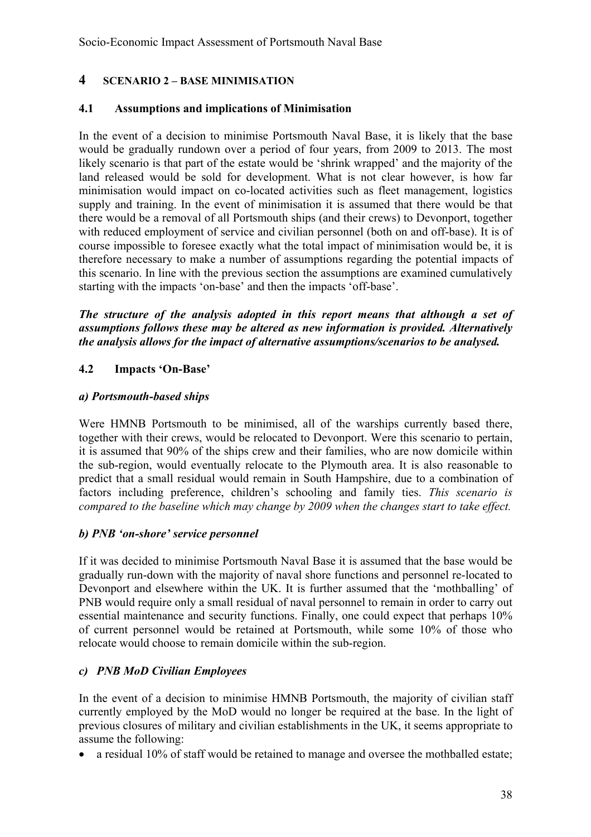#### **4 SCENARIO 2 – BASE MINIMISATION**

#### **4.1 Assumptions and implications of Minimisation**

In the event of a decision to minimise Portsmouth Naval Base, it is likely that the base would be gradually rundown over a period of four years, from 2009 to 2013. The most likely scenario is that part of the estate would be 'shrink wrapped' and the majority of the land released would be sold for development. What is not clear however, is how far minimisation would impact on co-located activities such as fleet management, logistics supply and training. In the event of minimisation it is assumed that there would be that there would be a removal of all Portsmouth ships (and their crews) to Devonport, together with reduced employment of service and civilian personnel (both on and off-base). It is of course impossible to foresee exactly what the total impact of minimisation would be, it is therefore necessary to make a number of assumptions regarding the potential impacts of this scenario. In line with the previous section the assumptions are examined cumulatively starting with the impacts 'on-base' and then the impacts 'off-base'.

*The structure of the analysis adopted in this report means that although a set of assumptions follows these may be altered as new information is provided. Alternatively the analysis allows for the impact of alternative assumptions/scenarios to be analysed.* 

#### **4.2 Impacts 'On-Base'**

#### *a) Portsmouth-based ships*

Were HMNB Portsmouth to be minimised, all of the warships currently based there, together with their crews, would be relocated to Devonport. Were this scenario to pertain, it is assumed that 90% of the ships crew and their families, who are now domicile within the sub-region, would eventually relocate to the Plymouth area. It is also reasonable to predict that a small residual would remain in South Hampshire, due to a combination of factors including preference, children's schooling and family ties. *This scenario is compared to the baseline which may change by 2009 when the changes start to take effect.*

#### *b) PNB 'on-shore' service personnel*

If it was decided to minimise Portsmouth Naval Base it is assumed that the base would be gradually run-down with the majority of naval shore functions and personnel re-located to Devonport and elsewhere within the UK. It is further assumed that the 'mothballing' of PNB would require only a small residual of naval personnel to remain in order to carry out essential maintenance and security functions. Finally, one could expect that perhaps 10% of current personnel would be retained at Portsmouth, while some 10% of those who relocate would choose to remain domicile within the sub-region.

#### *c) PNB MoD Civilian Employees*

In the event of a decision to minimise HMNB Portsmouth, the majority of civilian staff currently employed by the MoD would no longer be required at the base. In the light of previous closures of military and civilian establishments in the UK, it seems appropriate to assume the following:

• a residual 10% of staff would be retained to manage and oversee the mothballed estate;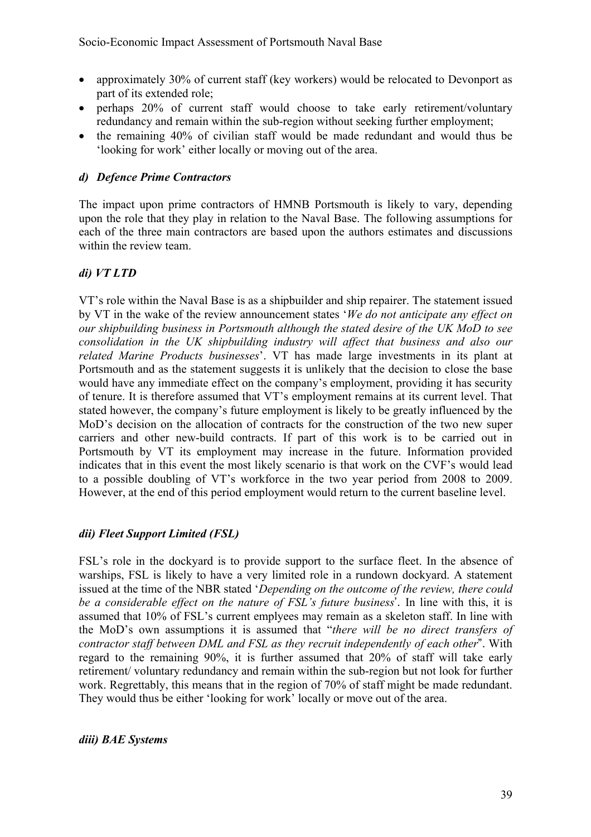- approximately 30% of current staff (key workers) would be relocated to Devonport as part of its extended role;
- perhaps 20% of current staff would choose to take early retirement/voluntary redundancy and remain within the sub-region without seeking further employment;
- the remaining 40% of civilian staff would be made redundant and would thus be 'looking for work' either locally or moving out of the area.

#### *d) Defence Prime Contractors*

The impact upon prime contractors of HMNB Portsmouth is likely to vary, depending upon the role that they play in relation to the Naval Base. The following assumptions for each of the three main contractors are based upon the authors estimates and discussions within the review team.

#### *di) VT LTD*

VT's role within the Naval Base is as a shipbuilder and ship repairer. The statement issued by VT in the wake of the review announcement states '*We do not anticipate any effect on our shipbuilding business in Portsmouth although the stated desire of the UK MoD to see consolidation in the UK shipbuilding industry will affect that business and also our related Marine Products businesses*'. VT has made large investments in its plant at Portsmouth and as the statement suggests it is unlikely that the decision to close the base would have any immediate effect on the company's employment, providing it has security of tenure. It is therefore assumed that VT's employment remains at its current level. That stated however, the company's future employment is likely to be greatly influenced by the MoD's decision on the allocation of contracts for the construction of the two new super carriers and other new-build contracts. If part of this work is to be carried out in Portsmouth by VT its employment may increase in the future. Information provided indicates that in this event the most likely scenario is that work on the CVF's would lead to a possible doubling of VT's workforce in the two year period from 2008 to 2009. However, at the end of this period employment would return to the current baseline level.

#### *dii) Fleet Support Limited (FSL)*

FSL's role in the dockyard is to provide support to the surface fleet. In the absence of warships, FSL is likely to have a very limited role in a rundown dockyard. A statement issued at the time of the NBR stated '*Depending on the outcome of the review, there could be a considerable effect on the nature of FSL's future business*'. In line with this, it is assumed that 10% of FSL's current emplyees may remain as a skeleton staff. In line with the MoD's own assumptions it is assumed that "*there will be no direct transfers of contractor staff between DML and FSL as they recruit independently of each other*". With regard to the remaining 90%, it is further assumed that 20% of staff will take early retirement/ voluntary redundancy and remain within the sub-region but not look for further work. Regrettably, this means that in the region of 70% of staff might be made redundant. They would thus be either 'looking for work' locally or move out of the area.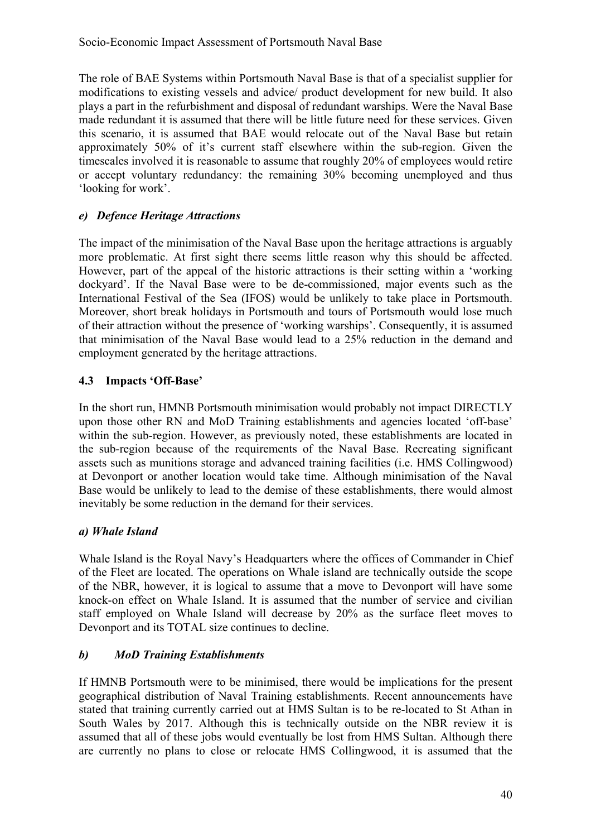The role of BAE Systems within Portsmouth Naval Base is that of a specialist supplier for modifications to existing vessels and advice/ product development for new build. It also plays a part in the refurbishment and disposal of redundant warships. Were the Naval Base made redundant it is assumed that there will be little future need for these services. Given this scenario, it is assumed that BAE would relocate out of the Naval Base but retain approximately 50% of it's current staff elsewhere within the sub-region. Given the timescales involved it is reasonable to assume that roughly 20% of employees would retire or accept voluntary redundancy: the remaining 30% becoming unemployed and thus 'looking for work'.

#### *e) Defence Heritage Attractions*

The impact of the minimisation of the Naval Base upon the heritage attractions is arguably more problematic. At first sight there seems little reason why this should be affected. However, part of the appeal of the historic attractions is their setting within a 'working dockyard'. If the Naval Base were to be de-commissioned, major events such as the International Festival of the Sea (IFOS) would be unlikely to take place in Portsmouth. Moreover, short break holidays in Portsmouth and tours of Portsmouth would lose much of their attraction without the presence of 'working warships'. Consequently, it is assumed that minimisation of the Naval Base would lead to a 25% reduction in the demand and employment generated by the heritage attractions.

#### **4.3 Impacts 'Off-Base'**

In the short run, HMNB Portsmouth minimisation would probably not impact DIRECTLY upon those other RN and MoD Training establishments and agencies located 'off-base' within the sub-region. However, as previously noted, these establishments are located in the sub-region because of the requirements of the Naval Base. Recreating significant assets such as munitions storage and advanced training facilities (i.e. HMS Collingwood) at Devonport or another location would take time. Although minimisation of the Naval Base would be unlikely to lead to the demise of these establishments, there would almost inevitably be some reduction in the demand for their services.

#### *a) Whale Island*

Whale Island is the Royal Navy's Headquarters where the offices of Commander in Chief of the Fleet are located. The operations on Whale island are technically outside the scope of the NBR, however, it is logical to assume that a move to Devonport will have some knock-on effect on Whale Island. It is assumed that the number of service and civilian staff employed on Whale Island will decrease by 20% as the surface fleet moves to Devonport and its TOTAL size continues to decline.

#### *b) MoD Training Establishments*

If HMNB Portsmouth were to be minimised, there would be implications for the present geographical distribution of Naval Training establishments. Recent announcements have stated that training currently carried out at HMS Sultan is to be re-located to St Athan in South Wales by 2017. Although this is technically outside on the NBR review it is assumed that all of these jobs would eventually be lost from HMS Sultan. Although there are currently no plans to close or relocate HMS Collingwood, it is assumed that the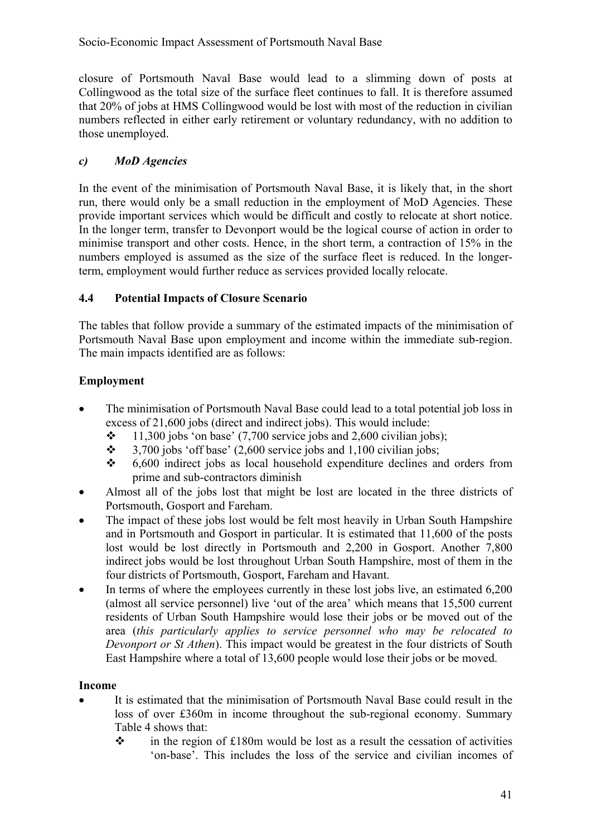closure of Portsmouth Naval Base would lead to a slimming down of posts at Collingwood as the total size of the surface fleet continues to fall. It is therefore assumed that 20% of jobs at HMS Collingwood would be lost with most of the reduction in civilian numbers reflected in either early retirement or voluntary redundancy, with no addition to those unemployed.

#### *c) MoD Agencies*

In the event of the minimisation of Portsmouth Naval Base, it is likely that, in the short run, there would only be a small reduction in the employment of MoD Agencies. These provide important services which would be difficult and costly to relocate at short notice. In the longer term, transfer to Devonport would be the logical course of action in order to minimise transport and other costs. Hence, in the short term, a contraction of 15% in the numbers employed is assumed as the size of the surface fleet is reduced. In the longerterm, employment would further reduce as services provided locally relocate.

#### **4.4 Potential Impacts of Closure Scenario**

The tables that follow provide a summary of the estimated impacts of the minimisation of Portsmouth Naval Base upon employment and income within the immediate sub-region. The main impacts identified are as follows:

#### **Employment**

- The minimisation of Portsmouth Naval Base could lead to a total potential job loss in excess of 21,600 jobs (direct and indirect jobs). This would include:
	- $\div$  11,300 jobs 'on base' (7,700 service jobs and 2,600 civilian jobs);
	- $\div$  3,700 jobs 'off base' (2,600 service jobs and 1,100 civilian jobs;
	- $\div$  6,600 indirect jobs as local household expenditure declines and orders from prime and sub-contractors diminish
- Almost all of the jobs lost that might be lost are located in the three districts of Portsmouth, Gosport and Fareham.
- The impact of these jobs lost would be felt most heavily in Urban South Hampshire and in Portsmouth and Gosport in particular. It is estimated that 11,600 of the posts lost would be lost directly in Portsmouth and 2,200 in Gosport. Another 7,800 indirect jobs would be lost throughout Urban South Hampshire, most of them in the four districts of Portsmouth, Gosport, Fareham and Havant.
- In terms of where the employees currently in these lost jobs live, an estimated 6,200 (almost all service personnel) live 'out of the area' which means that 15,500 current residents of Urban South Hampshire would lose their jobs or be moved out of the area (*this particularly applies to service personnel who may be relocated to Devonport or St Athen*). This impact would be greatest in the four districts of South East Hampshire where a total of 13,600 people would lose their jobs or be moved.

#### **Income**

- It is estimated that the minimisation of Portsmouth Naval Base could result in the loss of over £360m in income throughout the sub-regional economy. Summary Table 4 shows that:
	- $\cdot \cdot$  in the region of £180m would be lost as a result the cessation of activities 'on-base'. This includes the loss of the service and civilian incomes of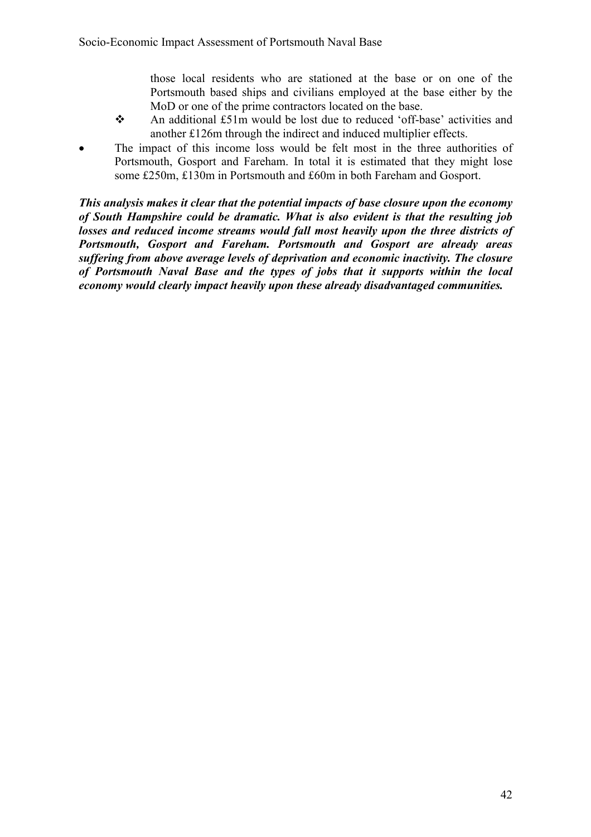those local residents who are stationed at the base or on one of the Portsmouth based ships and civilians employed at the base either by the MoD or one of the prime contractors located on the base.

- An additional £51m would be lost due to reduced 'off-base' activities and another £126m through the indirect and induced multiplier effects.
- The impact of this income loss would be felt most in the three authorities of Portsmouth, Gosport and Fareham. In total it is estimated that they might lose some £250m, £130m in Portsmouth and £60m in both Fareham and Gosport.

*This analysis makes it clear that the potential impacts of base closure upon the economy of South Hampshire could be dramatic. What is also evident is that the resulting job losses and reduced income streams would fall most heavily upon the three districts of Portsmouth, Gosport and Fareham. Portsmouth and Gosport are already areas suffering from above average levels of deprivation and economic inactivity. The closure of Portsmouth Naval Base and the types of jobs that it supports within the local economy would clearly impact heavily upon these already disadvantaged communities.*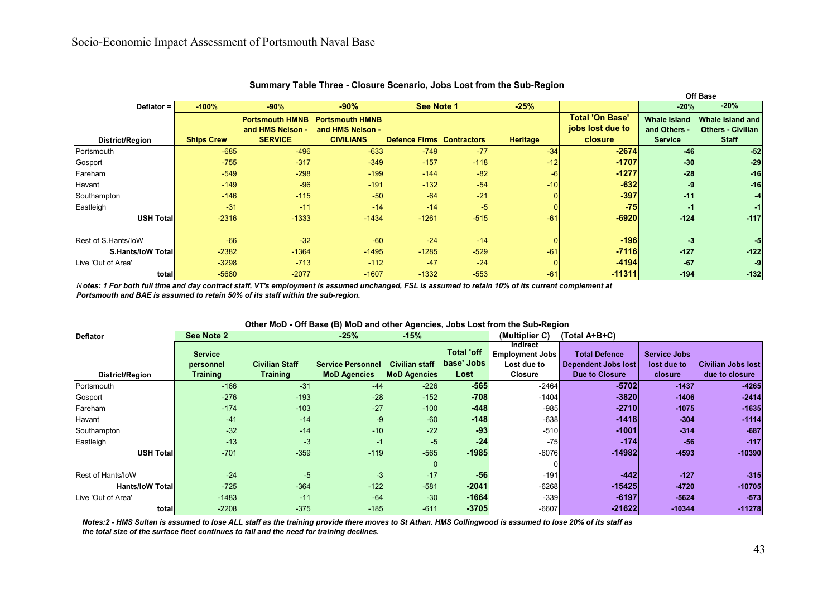|                           | Summary Table Three - Closure Scenario, Jobs Lost from the Sub-Region |                        |                        |                                  |        |                 |                        |                     |                          |  |  |  |
|---------------------------|-----------------------------------------------------------------------|------------------------|------------------------|----------------------------------|--------|-----------------|------------------------|---------------------|--------------------------|--|--|--|
|                           |                                                                       |                        |                        |                                  |        |                 |                        |                     | Off Base                 |  |  |  |
| Deflator =                | $-100%$                                                               | $-90%$                 | $-90%$                 | See Note 1                       |        | $-25%$          |                        | $-20%$              | $-20%$                   |  |  |  |
|                           |                                                                       | <b>Portsmouth HMNB</b> | <b>Portsmouth HMNB</b> |                                  |        |                 | <b>Total 'On Base'</b> | <b>Whale Island</b> | Whale Island and         |  |  |  |
|                           |                                                                       | and HMS Nelson -       | and HMS Nelson -       |                                  |        |                 | jobs lost due to       | and Others -        | <b>Others - Civilian</b> |  |  |  |
| <b>District/Region</b>    | <b>Ships Crew</b>                                                     | <b>SERVICE</b>         | <b>CIVILIANS</b>       | <b>Defence Firms Contractors</b> |        | <b>Heritage</b> | closure                | <b>Service</b>      | <b>Staff</b>             |  |  |  |
| Portsmouth                | $-685$                                                                | $-496$                 | $-633$                 | $-749$                           | $-77$  | $-34$           | $-2674$                | $-46$               | $-52$                    |  |  |  |
| Gosport                   | $-755$                                                                | $-317$                 | $-349$                 | $-157$                           | $-118$ | $-12$           | $-1707$                | $-30$               | $-29$                    |  |  |  |
| Fareham                   | $-549$                                                                | $-298$                 | $-199$                 | $-144$                           | $-82$  | $-6$            | $-1277$                | $-28$               | $-16$                    |  |  |  |
| Havant                    | $-149$                                                                | $-96$                  | $-191$                 | $-132$                           | $-54$  | $-10$           | $-632$                 | -9                  | $-16$                    |  |  |  |
| Southampton               | $-146$                                                                | $-115$                 | $-50$                  | $-64$                            | $-21$  |                 | $-397$                 | $-11$               | -41                      |  |  |  |
| Eastleigh                 | $-31$                                                                 | $-11$                  | $-14$                  | $-14$                            | $-5$   |                 | $-75$                  | -1                  | $-1$                     |  |  |  |
| <b>USH Total</b>          | $-2316$                                                               | $-1333$                | $-1434$                | $-1261$                          | $-515$ | $-61$           | $-6920$                | $-124$              | $-117$                   |  |  |  |
|                           |                                                                       |                        |                        |                                  |        |                 |                        |                     |                          |  |  |  |
| Rest of S.Hants/loW       | $-66$                                                                 | $-32$                  | $-60$                  | $-24$                            | $-14$  |                 | $-196$                 | $-3$                | -51                      |  |  |  |
| <b>S.Hants/IoW Totall</b> | $-2382$                                                               | $-1364$                | $-1495$                | $-1285$                          | $-529$ | $-61$           | $-7116$                | $-127$              | $-122$                   |  |  |  |
| Live 'Out of Area'        | $-3298$                                                               | $-713$                 | $-112$                 | $-47$                            | $-24$  |                 | $-4194$                | $-67$               | -9                       |  |  |  |
| total                     | $-5680$                                                               | $-2077$                | $-1607$                | $-1332$                          | $-553$ | $-61$           | $-11311$               | $-194$              | $-132$                   |  |  |  |

*Notes: 1 For both full time and day contract staff, VT's employment is assumed unchanged, FSL is assumed to retain 10% of its current complement at Portsmouth and BAE is assumed to retain 50% of its staff within the sub-region. N otes: 1 For both full time and day contract staff, VT's employment is assumed unchanged, FSL is assumed to retain 10% of its current complement at Portsmouth and BAE is assumed to retain 50% of its staff within the sub-region.* 

#### **Other MoD - Off Base (B) MoD and other Agencies, Jobs Lost from the Sub-Region**

| <b>Deflator</b>         | See Note 2      |                       | $-25%$                   | $-15%$                |                   | (Multiplier C)                     | (Total A+B+C)              |                     |                           |
|-------------------------|-----------------|-----------------------|--------------------------|-----------------------|-------------------|------------------------------------|----------------------------|---------------------|---------------------------|
|                         | <b>Service</b>  |                       |                          |                       | <b>Total 'off</b> | Indirect<br><b>Employment Jobs</b> | <b>Total Defence</b>       | <b>Service Jobs</b> |                           |
|                         | personnel       | <b>Civilian Staff</b> | <b>Service Personnel</b> | <b>Civilian staff</b> | base' Jobs        | Lost due to                        | <b>Dependent Jobs lost</b> | lost due to         | <b>Civilian Jobs lost</b> |
| District/Region         | <b>Training</b> | <b>Training</b>       | <b>MoD Agencies</b>      | <b>MoD Agencies</b>   | Lost              | <b>Closure</b>                     | <b>Due to Closure</b>      | closure             | due to closure            |
| Portsmouth              | $-166$          | $-31$                 | $-44$                    | $-226$                | $-565$            | $-2464$                            | $-5702$                    | $-1437$             | $-4265$                   |
| Gosport                 | $-276$          | $-193$                | $-28$                    | $-152$                | $-708$            | $-1404$                            | $-3820$                    | $-1406$             | $-2414$                   |
| Fareham                 | $-174$          | $-103$                | $-27$                    | $-100$                | $-448$            | $-985$                             | $-2710$                    | $-1075$             | $-1635$                   |
| Havant                  | $-41$           | $-14$                 | $-9$                     | $-60$                 | $-148$            | $-638$                             | $-1418$                    | $-304$              | $-1114$                   |
| Southampton             | $-32$           | $-14$                 | $-10$                    | $-22$                 | $-93$             | $-510$                             | $-1001$                    | $-314$              | $-687$                    |
| Eastleigh               | $-13$           | $-3$                  | $-1$                     | $-5$                  | $-24$             | $-75$                              | $-174$                     | $-56$               | $-117$                    |
| <b>USH Total</b>        | $-701$          | $-359$                | $-119$                   | $-565$                | $-1985$           | $-6076$                            | $-14982$                   | $-4593$             | $-10390$                  |
|                         |                 |                       |                          |                       |                   |                                    |                            |                     |                           |
| Rest of Hants/loW       | $-24$           | $-5$                  | $-3$                     | $-17$                 | $-56$             | $-191$                             | $-442$                     | $-127$              | $-315$                    |
| <b>Hants/IoW Totall</b> | $-725$          | $-364$                | $-122$                   | $-581$                | $-2041$           | $-6268$                            | $-15425$                   | $-4720$             | $-10705$                  |
| Live 'Out of Area'      | $-1483$         | $-11$                 | $-64$                    | $-30$                 | -1664             | $-339$                             | $-6197$                    | $-5624$             | $-573$                    |
| total                   | $-2208$         | $-375$                | $-185$                   | $-611$                | $-3705$           | $-6607$                            | $-21622$                   | $-10344$            | $-11278$                  |

Notes:2 - HMS Sultan is assumed to lose ALL staff as the training provide there moves to St Athan. HMS Collingwood is assumed to lose 20% of its staff as size of the surface fleet continues to fall and the need for training declines. *the total size of the surface fleet continues to fall and the need for training declines.*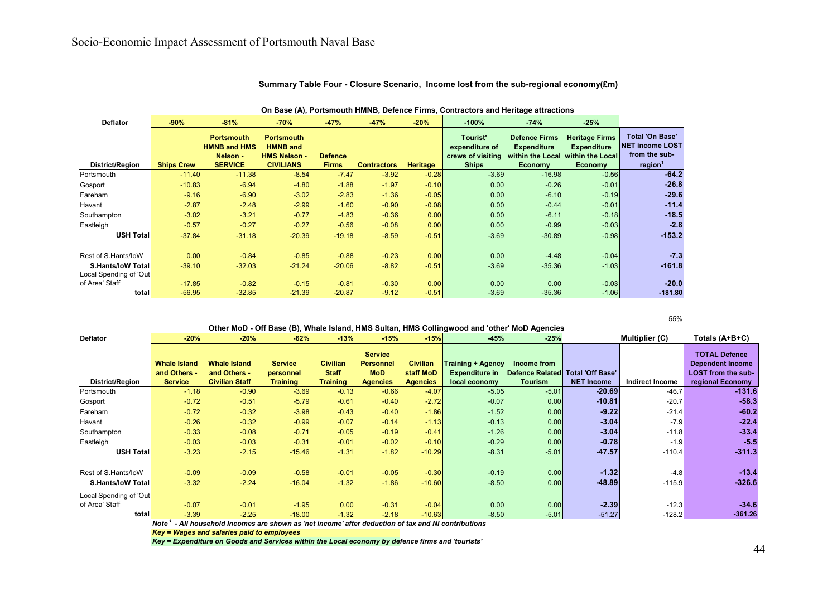| <b>Deflator</b>                                     | $-90%$            | $-81%$                                                                 | $-70%$                                                                          | $-47%$                         | $-47%$             | $-20%$          | $-100%$                                                         | $-74%$                                                                           | $-25%$                                                                            |                                                                                          |
|-----------------------------------------------------|-------------------|------------------------------------------------------------------------|---------------------------------------------------------------------------------|--------------------------------|--------------------|-----------------|-----------------------------------------------------------------|----------------------------------------------------------------------------------|-----------------------------------------------------------------------------------|------------------------------------------------------------------------------------------|
| District/Region                                     | <b>Ships Crew</b> | <b>Portsmouth</b><br><b>HMNB and HMS</b><br>Nelson -<br><b>SERVICE</b> | <b>Portsmouth</b><br><b>HMNB</b> and<br><b>HMS Nelson -</b><br><b>CIVILIANS</b> | <b>Defence</b><br><b>Firms</b> | <b>Contractors</b> | <b>Heritage</b> | Tourist'<br>expenditure of<br>crews of visiting<br><b>Ships</b> | <b>Defence Firms</b><br><b>Expenditure</b><br>within the Local<br><b>Economy</b> | <b>Heritage Firms</b><br><b>Expenditure</b><br>within the Local<br><b>Economy</b> | <b>Total 'On Base'</b><br><b>NET income LOST</b><br>from the sub-<br>region <sup>1</sup> |
| Portsmouth                                          | $-11.40$          | $-11.38$                                                               | $-8.54$                                                                         | $-7.47$                        | $-3.92$            | $-0.28$         | $-3.69$                                                         | $-16.98$                                                                         | $-0.56$                                                                           | $-64.2$                                                                                  |
| Gosport                                             | $-10.83$          | $-6.94$                                                                | $-4.80$                                                                         | $-1.88$                        | $-1.97$            | $-0.10$         | 0.00                                                            | $-0.26$                                                                          | $-0.01$                                                                           | $-26.8$                                                                                  |
| Fareham                                             | $-9.16$           | $-6.90$                                                                | $-3.02$                                                                         | $-2.83$                        | $-1.36$            | $-0.05$         | 0.00                                                            | $-6.10$                                                                          | $-0.19$                                                                           | $-29.6$                                                                                  |
| Havant                                              | $-2.87$           | $-2.48$                                                                | $-2.99$                                                                         | $-1.60$                        | $-0.90$            | $-0.08$         | 0.00                                                            | $-0.44$                                                                          | $-0.01$                                                                           | $-11.4$                                                                                  |
| Southampton                                         | $-3.02$           | $-3.21$                                                                | $-0.77$                                                                         | $-4.83$                        | $-0.36$            | 0.00            | 0.00                                                            | $-6.11$                                                                          | $-0.18$                                                                           | $-18.5$                                                                                  |
| Eastleigh                                           | $-0.57$           | $-0.27$                                                                | $-0.27$                                                                         | $-0.56$                        | $-0.08$            | 0.00            | 0.00                                                            | $-0.99$                                                                          | $-0.03$                                                                           | $-2.8$                                                                                   |
| <b>USH Total</b>                                    | $-37.84$          | $-31.18$                                                               | $-20.39$                                                                        | $-19.18$                       | $-8.59$            | $-0.51$         | $-3.69$                                                         | $-30.89$                                                                         | $-0.98$                                                                           | $-153.2$                                                                                 |
| Rest of S.Hants/loW                                 | 0.00              | $-0.84$                                                                | $-0.85$                                                                         | $-0.88$                        | $-0.23$            | 0.00            | 0.00                                                            | $-4.48$                                                                          | $-0.04$                                                                           | $-7.3$                                                                                   |
| <b>S.Hants/IoW Totall</b><br>Local Spending of 'Out | $-39.10$          | $-32.03$                                                               | $-21.24$                                                                        | $-20.06$                       | $-8.82$            | $-0.51$         | $-3.69$                                                         | $-35.36$                                                                         | $-1.03$                                                                           | $-161.8$                                                                                 |
| of Area' Staff                                      | $-17.85$          | $-0.82$                                                                | $-0.15$                                                                         | $-0.81$                        | $-0.30$            | 0.00            | 0.00                                                            | 0.00                                                                             | $-0.03$                                                                           | $-20.0$                                                                                  |
| total                                               | $-56.95$          | $-32.85$                                                               | $-21.39$                                                                        | $-20.87$                       | $-9.12$            | $-0.51$         | $-3.69$                                                         | $-35.36$                                                                         | $-1.06$                                                                           | $-181.80$                                                                                |

#### **Summary Table Four - Closure Scenario, Income lost from the sub-regional economy(£m)**

**On Base (A), Portsmouth HMNB, Defence Firms, Contractors and Heritage attractions**

55%

|                           |                     |                                                                                               |                 |                 |                  |                 | Other MoD - Off Base (B), Whale Island, HMS Sultan, HMS Collingwood and 'other' MoD Agencies |                                    |                   |                 |                           |  |
|---------------------------|---------------------|-----------------------------------------------------------------------------------------------|-----------------|-----------------|------------------|-----------------|----------------------------------------------------------------------------------------------|------------------------------------|-------------------|-----------------|---------------------------|--|
| <b>Deflator</b>           | $-20%$              | $-20%$                                                                                        | $-62%$          | $-13%$          | $-15%$           | $-15%$          | $-45%$                                                                                       | $-25%$                             |                   | Multiplier (C)  | Totals (A+B+C)            |  |
|                           |                     |                                                                                               |                 |                 |                  |                 |                                                                                              |                                    |                   |                 |                           |  |
|                           |                     |                                                                                               |                 |                 | <b>Service</b>   |                 |                                                                                              |                                    |                   |                 | <b>TOTAL Defence</b>      |  |
|                           | <b>Whale Island</b> | <b>Whale Island</b>                                                                           | <b>Service</b>  | <b>Civilian</b> | <b>Personnel</b> | <b>Civilian</b> | <b>Training + Agency</b>                                                                     | Income from                        |                   |                 | <b>Dependent Income</b>   |  |
|                           | and Others -        | and Others -                                                                                  | personnel       | <b>Staff</b>    | <b>MoD</b>       | staff MoD       | <b>Expenditure in</b>                                                                        | Defence Related   Total 'Off Base' |                   |                 | <b>LOST from the sub-</b> |  |
| District/Region           | <b>Service</b>      | <b>Civilian Staff</b>                                                                         | <b>Training</b> | <b>Training</b> | <b>Agencies</b>  | <b>Agencies</b> | local economy                                                                                | <b>Tourism</b>                     | <b>NET Income</b> | Indirect Income | regional Economy          |  |
| Portsmouth                | $-1.18$             | $-0.90$                                                                                       | $-3.69$         | $-0.13$         | $-0.66$          | $-4.07$         | $-5.05$                                                                                      | $-5.01$                            | $-20.69$          | $-46.7$         | $-131.6$                  |  |
| Gosport                   | $-0.72$             | $-0.51$                                                                                       | $-5.79$         | $-0.61$         | $-0.40$          | $-2.72$         | $-0.07$                                                                                      | 0.00                               | $-10.81$          | $-20.7$         | $-58.3$                   |  |
| Fareham                   | $-0.72$             | $-0.32$                                                                                       | $-3.98$         | $-0.43$         | $-0.40$          | $-1.86$         | $-1.52$                                                                                      | 0.00                               | $-9.22$           | $-21.4$         | $-60.2$                   |  |
| Havant                    | $-0.26$             | $-0.32$                                                                                       | $-0.99$         | $-0.07$         | $-0.14$          | $-1.13$         | $-0.13$                                                                                      | 0.00                               | $-3.04$           | $-7.9$          | $-22.4$                   |  |
| Southampton               | $-0.33$             | $-0.08$                                                                                       | $-0.71$         | $-0.05$         | $-0.19$          | $-0.41$         | $-1.26$                                                                                      | 0.00                               | $-3.04$           | $-11.8$         | $-33.4$                   |  |
| Eastleigh                 | $-0.03$             | $-0.03$                                                                                       | $-0.31$         | $-0.01$         | $-0.02$          | $-0.10$         | $-0.29$                                                                                      | 0.00                               | $-0.78$           | $-1.9$          | $-5.5$                    |  |
| <b>USH Total</b>          | $-3.23$             | $-2.15$                                                                                       | $-15.46$        | $-1.31$         | $-1.82$          | $-10.29$        | $-8.31$                                                                                      | $-5.01$                            | $-47.57$          | $-110.4$        | $-311.3$                  |  |
|                           |                     |                                                                                               |                 |                 |                  |                 |                                                                                              |                                    |                   |                 |                           |  |
| Rest of S.Hants/loW       | $-0.09$             | $-0.09$                                                                                       | $-0.58$         | $-0.01$         | $-0.05$          | $-0.30$         | $-0.19$                                                                                      | 0.00                               | $-1.32$           | $-4.8$          | $-13.4$                   |  |
| <b>S.Hants/IoW Totall</b> | $-3.32$             | $-2.24$                                                                                       | $-16.04$        | $-1.32$         | $-1.86$          | $-10.60$        | $-8.50$                                                                                      | 0.00                               | $-48.89$          | $-115.9$        | $-326.6$                  |  |
| Local Spending of 'Out    |                     |                                                                                               |                 |                 |                  |                 |                                                                                              |                                    |                   |                 |                           |  |
| of Area' Staff            | $-0.07$             | $-0.01$                                                                                       | $-1.95$         | 0.00            | $-0.31$          | $-0.04$         | 0.00                                                                                         | 0.00                               | $-2.39$           | $-12.3$         | $-34.6$                   |  |
| total                     | $-3.39$             | $-2.25$                                                                                       | $-18.00$        | $-1.32$         | $-2.18$          | $-10.63$        | $-8.50$                                                                                      | $-5.01$                            | $-51.27$          | $-128.2$        | $-361.26$                 |  |
|                           | <b>Note</b>         | - All household Incomes are shown as 'net income' after deduction of tax and NI contributions |                 |                 |                  |                 |                                                                                              |                                    |                   |                 |                           |  |

*Key = Wages and salaries paid to employees*

*Key = Expenditure on Goods and Services within the Local economy by defence firms and 'tourists'*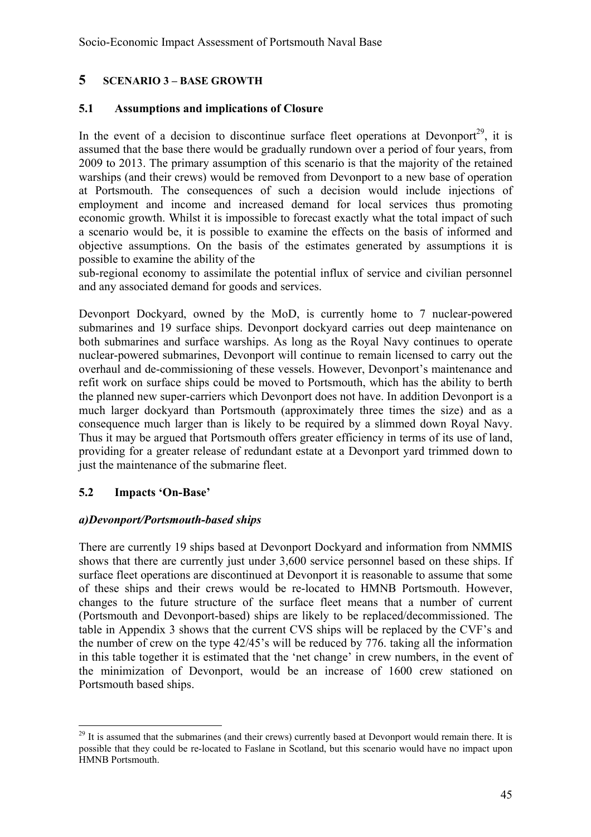#### **5 SCENARIO 3 – BASE GROWTH**

#### **5.1 Assumptions and implications of Closure**

In the event of a decision to discontinue surface fleet operations at Devonport<sup>29</sup>, it is assumed that the base there would be gradually rundown over a period of four years, from 2009 to 2013. The primary assumption of this scenario is that the majority of the retained warships (and their crews) would be removed from Devonport to a new base of operation at Portsmouth. The consequences of such a decision would include injections of employment and income and increased demand for local services thus promoting economic growth. Whilst it is impossible to forecast exactly what the total impact of such a scenario would be, it is possible to examine the effects on the basis of informed and objective assumptions. On the basis of the estimates generated by assumptions it is possible to examine the ability of the

sub-regional economy to assimilate the potential influx of service and civilian personnel and any associated demand for goods and services.

Devonport Dockyard, owned by the MoD, is currently home to 7 nuclear-powered submarines and 19 surface ships. Devonport dockyard carries out deep maintenance on both submarines and surface warships. As long as the Royal Navy continues to operate nuclear-powered submarines, Devonport will continue to remain licensed to carry out the overhaul and de-commissioning of these vessels. However, Devonport's maintenance and refit work on surface ships could be moved to Portsmouth, which has the ability to berth the planned new super-carriers which Devonport does not have. In addition Devonport is a much larger dockyard than Portsmouth (approximately three times the size) and as a consequence much larger than is likely to be required by a slimmed down Royal Navy. Thus it may be argued that Portsmouth offers greater efficiency in terms of its use of land, providing for a greater release of redundant estate at a Devonport yard trimmed down to just the maintenance of the submarine fleet.

#### **5.2 Impacts 'On-Base'**

 $\overline{a}$ 

#### *a)Devonport/Portsmouth-based ships*

There are currently 19 ships based at Devonport Dockyard and information from NMMIS shows that there are currently just under 3,600 service personnel based on these ships. If surface fleet operations are discontinued at Devonport it is reasonable to assume that some of these ships and their crews would be re-located to HMNB Portsmouth. However, changes to the future structure of the surface fleet means that a number of current (Portsmouth and Devonport-based) ships are likely to be replaced/decommissioned. The table in Appendix 3 shows that the current CVS ships will be replaced by the CVF's and the number of crew on the type 42/45's will be reduced by 776. taking all the information in this table together it is estimated that the 'net change' in crew numbers, in the event of the minimization of Devonport, would be an increase of 1600 crew stationed on Portsmouth based ships.

<sup>&</sup>lt;sup>29</sup> It is assumed that the submarines (and their crews) currently based at Devonport would remain there. It is possible that they could be re-located to Faslane in Scotland, but this scenario would have no impact upon HMNB Portsmouth.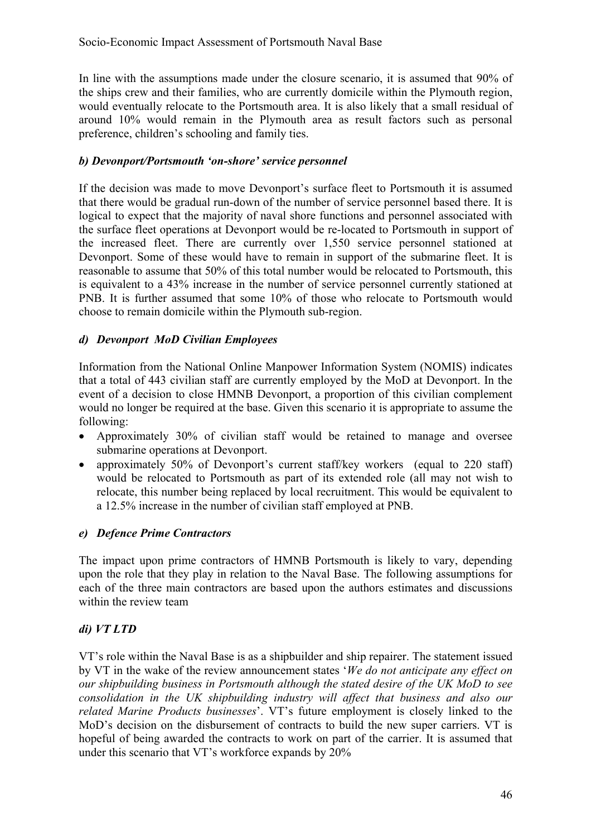In line with the assumptions made under the closure scenario, it is assumed that 90% of the ships crew and their families, who are currently domicile within the Plymouth region, would eventually relocate to the Portsmouth area. It is also likely that a small residual of around 10% would remain in the Plymouth area as result factors such as personal preference, children's schooling and family ties.

#### *b) Devonport/Portsmouth 'on-shore' service personnel*

If the decision was made to move Devonport's surface fleet to Portsmouth it is assumed that there would be gradual run-down of the number of service personnel based there. It is logical to expect that the majority of naval shore functions and personnel associated with the surface fleet operations at Devonport would be re-located to Portsmouth in support of the increased fleet. There are currently over 1,550 service personnel stationed at Devonport. Some of these would have to remain in support of the submarine fleet. It is reasonable to assume that 50% of this total number would be relocated to Portsmouth, this is equivalent to a 43% increase in the number of service personnel currently stationed at PNB. It is further assumed that some 10% of those who relocate to Portsmouth would choose to remain domicile within the Plymouth sub-region.

#### *d) Devonport MoD Civilian Employees*

Information from the National Online Manpower Information System (NOMIS) indicates that a total of 443 civilian staff are currently employed by the MoD at Devonport. In the event of a decision to close HMNB Devonport, a proportion of this civilian complement would no longer be required at the base. Given this scenario it is appropriate to assume the following:

- Approximately 30% of civilian staff would be retained to manage and oversee submarine operations at Devonport.
- approximately 50% of Devonport's current staff/key workers (equal to 220 staff) would be relocated to Portsmouth as part of its extended role (all may not wish to relocate, this number being replaced by local recruitment. This would be equivalent to a 12.5% increase in the number of civilian staff employed at PNB.

#### *e) Defence Prime Contractors*

The impact upon prime contractors of HMNB Portsmouth is likely to vary, depending upon the role that they play in relation to the Naval Base. The following assumptions for each of the three main contractors are based upon the authors estimates and discussions within the review team

#### *di) VT LTD*

VT's role within the Naval Base is as a shipbuilder and ship repairer. The statement issued by VT in the wake of the review announcement states '*We do not anticipate any effect on our shipbuilding business in Portsmouth although the stated desire of the UK MoD to see consolidation in the UK shipbuilding industry will affect that business and also our related Marine Products businesses*'. VT's future employment is closely linked to the MoD's decision on the disbursement of contracts to build the new super carriers. VT is hopeful of being awarded the contracts to work on part of the carrier. It is assumed that under this scenario that VT's workforce expands by 20%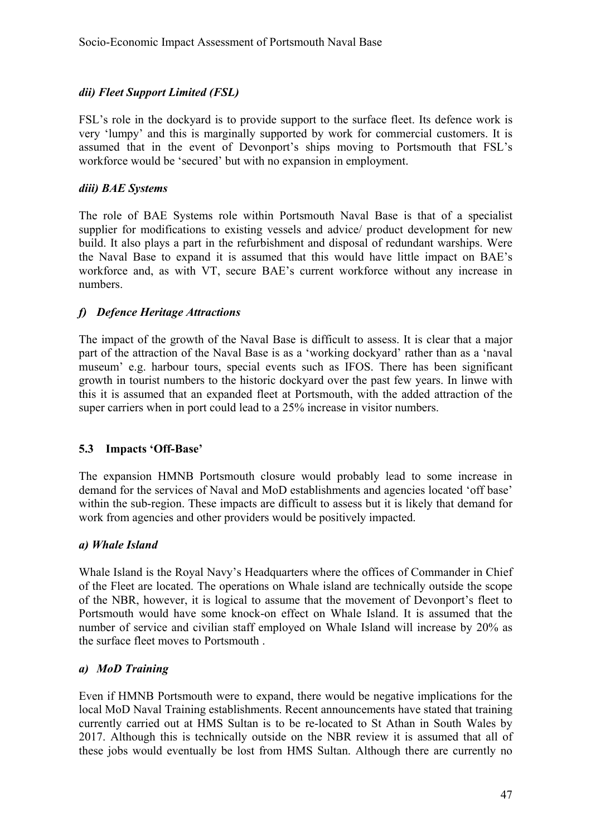#### *dii) Fleet Support Limited (FSL)*

FSL's role in the dockyard is to provide support to the surface fleet. Its defence work is very 'lumpy' and this is marginally supported by work for commercial customers. It is assumed that in the event of Devonport's ships moving to Portsmouth that FSL's workforce would be 'secured' but with no expansion in employment.

#### *diii) BAE Systems*

The role of BAE Systems role within Portsmouth Naval Base is that of a specialist supplier for modifications to existing vessels and advice/ product development for new build. It also plays a part in the refurbishment and disposal of redundant warships. Were the Naval Base to expand it is assumed that this would have little impact on BAE's workforce and, as with VT, secure BAE's current workforce without any increase in numbers.

#### *f) Defence Heritage Attractions*

The impact of the growth of the Naval Base is difficult to assess. It is clear that a major part of the attraction of the Naval Base is as a 'working dockyard' rather than as a 'naval museum' e.g. harbour tours, special events such as IFOS. There has been significant growth in tourist numbers to the historic dockyard over the past few years. In linwe with this it is assumed that an expanded fleet at Portsmouth, with the added attraction of the super carriers when in port could lead to a 25% increase in visitor numbers.

#### **5.3 Impacts 'Off-Base'**

The expansion HMNB Portsmouth closure would probably lead to some increase in demand for the services of Naval and MoD establishments and agencies located 'off base' within the sub-region. These impacts are difficult to assess but it is likely that demand for work from agencies and other providers would be positively impacted.

#### *a) Whale Island*

Whale Island is the Royal Navy's Headquarters where the offices of Commander in Chief of the Fleet are located. The operations on Whale island are technically outside the scope of the NBR, however, it is logical to assume that the movement of Devonport's fleet to Portsmouth would have some knock-on effect on Whale Island. It is assumed that the number of service and civilian staff employed on Whale Island will increase by 20% as the surface fleet moves to Portsmouth .

#### *a) MoD Training*

Even if HMNB Portsmouth were to expand, there would be negative implications for the local MoD Naval Training establishments. Recent announcements have stated that training currently carried out at HMS Sultan is to be re-located to St Athan in South Wales by 2017. Although this is technically outside on the NBR review it is assumed that all of these jobs would eventually be lost from HMS Sultan. Although there are currently no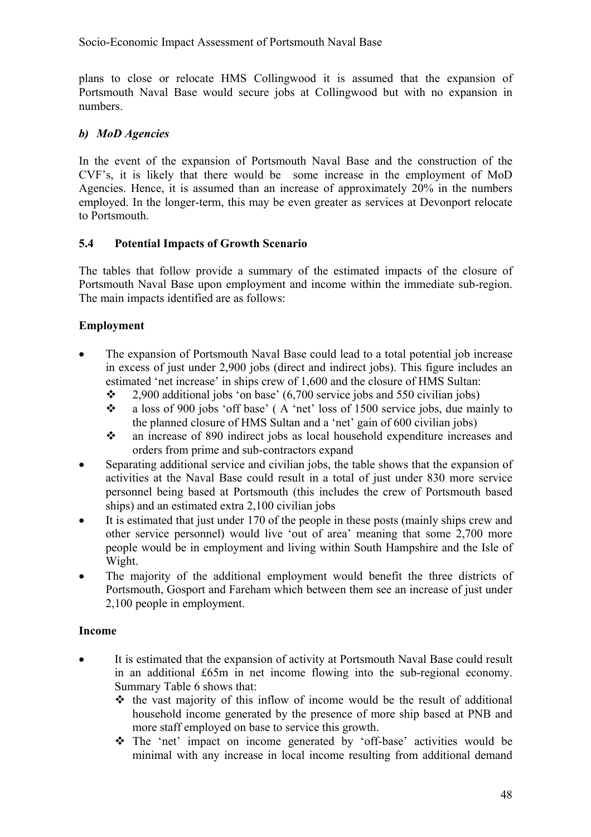Socio-Economic Impact Assessment of Portsmouth Naval Base

plans to close or relocate HMS Collingwood it is assumed that the expansion of Portsmouth Naval Base would secure jobs at Collingwood but with no expansion in numbers.

#### *b) MoD Agencies*

In the event of the expansion of Portsmouth Naval Base and the construction of the CVF's, it is likely that there would be some increase in the employment of MoD Agencies. Hence, it is assumed than an increase of approximately 20% in the numbers employed. In the longer-term, this may be even greater as services at Devonport relocate to Portsmouth.

#### **5.4 Potential Impacts of Growth Scenario**

The tables that follow provide a summary of the estimated impacts of the closure of Portsmouth Naval Base upon employment and income within the immediate sub-region. The main impacts identified are as follows:

#### **Employment**

- The expansion of Portsmouth Naval Base could lead to a total potential job increase in excess of just under 2,900 jobs (direct and indirect jobs). This figure includes an estimated 'net increase' in ships crew of 1,600 and the closure of HMS Sultan:
	- $\div$  2,900 additional jobs 'on base' (6,700 service jobs and 550 civilian jobs)
	- a loss of 900 jobs 'off base' ( A 'net' loss of 1500 service jobs, due mainly to the planned closure of HMS Sultan and a 'net' gain of 600 civilian jobs)
	- an increase of 890 indirect jobs as local household expenditure increases and orders from prime and sub-contractors expand
- Separating additional service and civilian jobs, the table shows that the expansion of activities at the Naval Base could result in a total of just under 830 more service personnel being based at Portsmouth (this includes the crew of Portsmouth based ships) and an estimated extra 2,100 civilian jobs
- It is estimated that just under 170 of the people in these posts (mainly ships crew and other service personnel) would live 'out of area' meaning that some 2,700 more people would be in employment and living within South Hampshire and the Isle of Wight.
- The majority of the additional employment would benefit the three districts of Portsmouth, Gosport and Fareham which between them see an increase of just under 2,100 people in employment.

#### **Income**

- It is estimated that the expansion of activity at Portsmouth Naval Base could result in an additional £65m in net income flowing into the sub-regional economy. Summary Table 6 shows that:
	- $\cdot \cdot$  the vast majority of this inflow of income would be the result of additional household income generated by the presence of more ship based at PNB and more staff employed on base to service this growth.
	- The 'net' impact on income generated by 'off-base' activities would be minimal with any increase in local income resulting from additional demand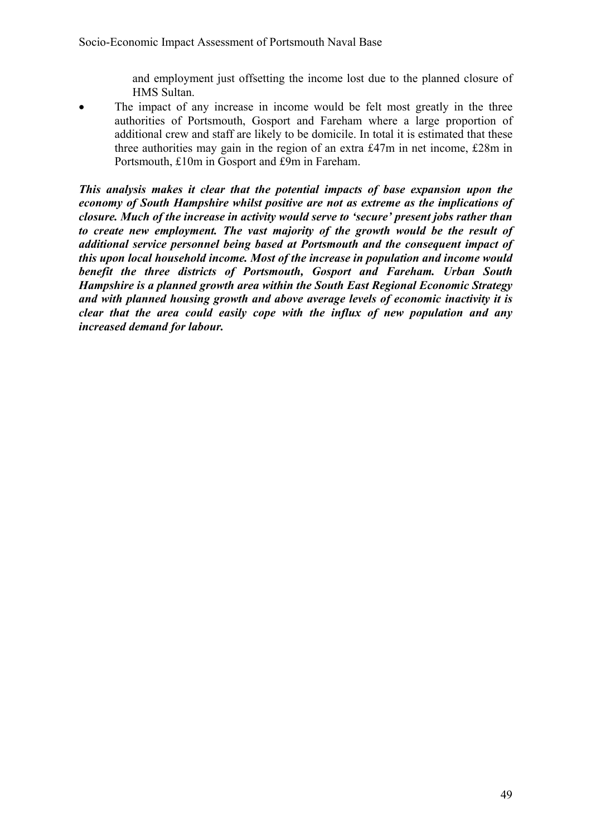and employment just offsetting the income lost due to the planned closure of HMS Sultan.

The impact of any increase in income would be felt most greatly in the three authorities of Portsmouth, Gosport and Fareham where a large proportion of additional crew and staff are likely to be domicile. In total it is estimated that these three authorities may gain in the region of an extra £47m in net income, £28m in Portsmouth, £10m in Gosport and £9m in Fareham.

*This analysis makes it clear that the potential impacts of base expansion upon the economy of South Hampshire whilst positive are not as extreme as the implications of closure. Much of the increase in activity would serve to 'secure' present jobs rather than*  to create new employment. The vast majority of the growth would be the result of *additional service personnel being based at Portsmouth and the consequent impact of this upon local household income. Most of the increase in population and income would benefit the three districts of Portsmouth, Gosport and Fareham. Urban South Hampshire is a planned growth area within the South East Regional Economic Strategy and with planned housing growth and above average levels of economic inactivity it is clear that the area could easily cope with the influx of new population and any increased demand for labour.*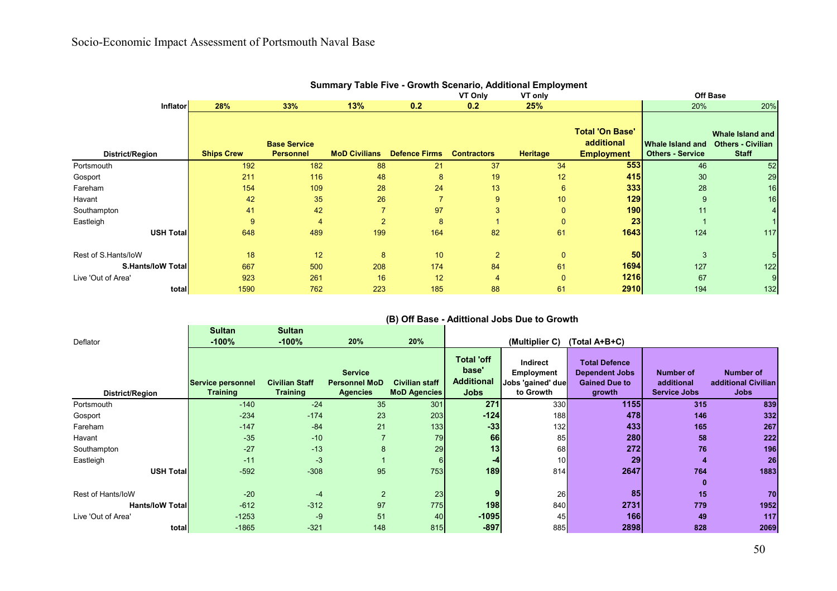|                          |                   |                     |                      |                      |                    | <b>Julian Britannie Live - Ordwin Juliano, Additional Linployment</b> |                                      |                         |                                              |
|--------------------------|-------------------|---------------------|----------------------|----------------------|--------------------|-----------------------------------------------------------------------|--------------------------------------|-------------------------|----------------------------------------------|
|                          |                   |                     |                      |                      | VT Only            | VT only                                                               |                                      |                         | <b>Off Base</b>                              |
| <b>Inflator</b>          | 28%               | 33%                 | 13%                  | 0.2                  | 0.2                | 25%                                                                   |                                      | 20%                     | 20%                                          |
|                          |                   | <b>Base Service</b> |                      |                      |                    |                                                                       | <b>Total 'On Base'</b><br>additional | Whale Island and        | Whale Island and<br><b>Others - Civilian</b> |
| District/Region          | <b>Ships Crew</b> | <b>Personnel</b>    | <b>MoD Civilians</b> | <b>Defence Firms</b> | <b>Contractors</b> | Heritage                                                              | <b>Employment</b>                    | <b>Others - Service</b> | <b>Staff</b>                                 |
| Portsmouth               | 192               | 182                 | 88                   | 21                   | 37                 | 34                                                                    | 553                                  | 46                      | 52                                           |
| Gosport                  | 211               | 116                 | 48                   | 8                    | 19                 | 12                                                                    | 415                                  | 30                      | 29                                           |
| Fareham                  | 154               | 109                 | 28                   | 24                   | 13                 | 6                                                                     | 333                                  | 28                      | 16                                           |
| Havant                   | 42                | 35                  | 26                   |                      | 9                  | 10                                                                    | 129                                  | 9                       | 16                                           |
| Southampton              | 41                | 42                  |                      | 97                   | 3                  | 0                                                                     | <b>190</b>                           | 11                      |                                              |
| Eastleigh                | 9                 | $\overline{4}$      | $\mathcal{P}$        | 8                    |                    | 0                                                                     | 23                                   |                         |                                              |
| USH Total                | 648               | 489                 | 199                  | 164                  | 82                 | 61                                                                    | 1643                                 | 124                     | 117                                          |
| Rest of S.Hants/loW      | 18                | 12                  | 8                    | 10                   | $\overline{2}$     | 0                                                                     | 50 <sub>1</sub>                      | 3                       |                                              |
| <b>S.Hants/loW Total</b> | 667               | 500                 | 208                  | 174                  | 84                 | 61                                                                    | 1694                                 | 127                     | 122                                          |
| Live 'Out of Area'       | 923               | 261                 | 16                   | 12                   |                    | $\mathbf{0}$                                                          | 1216                                 | 67                      |                                              |
| total                    | 1590              | 762                 | 223                  | 185                  | 88                 | 61                                                                    | 2910                                 | 194                     | 132                                          |

#### **Summary Table Five - Growth Scenario, Additional Employment**

# **(B) Off Base - Adittional Jobs Due to Growth**

|                         | <b>Sultan</b>                 | <b>Sultan</b>                            |                                                           |                                              |                                                                |                                                          |                                                                                 |                                                |                                                 |
|-------------------------|-------------------------------|------------------------------------------|-----------------------------------------------------------|----------------------------------------------|----------------------------------------------------------------|----------------------------------------------------------|---------------------------------------------------------------------------------|------------------------------------------------|-------------------------------------------------|
| Deflator                | $-100%$                       | $-100%$                                  | 20%                                                       | 20%                                          |                                                                | (Multiplier C)                                           | (Total A+B+C)                                                                   |                                                |                                                 |
| District/Region         | Service personnel<br>Training | <b>Civilian Staff</b><br><b>Training</b> | <b>Service</b><br><b>Personnel MoD</b><br><b>Agencies</b> | <b>Civilian staff</b><br><b>MoD Agencies</b> | <b>Total 'off</b><br>base'<br><b>Additional</b><br><b>Jobs</b> | Indirect<br>Employment<br>Jobs 'gained' due<br>to Growth | <b>Total Defence</b><br><b>Dependent Jobs</b><br><b>Gained Due to</b><br>growth | Number of<br>additional<br><b>Service Jobs</b> | Number of<br>additional Civilian<br><b>Jobs</b> |
| Portsmouth              | $-140$                        | $-24$                                    | 35                                                        | 301                                          | 271                                                            | 330                                                      | 1155                                                                            | 315                                            | 839                                             |
| Gosport                 | $-234$                        | $-174$                                   | 23                                                        | 203                                          | $-124$                                                         | 188                                                      | 478                                                                             | 146                                            | 332                                             |
| Fareham                 | $-147$                        | $-84$                                    | 21                                                        | 133                                          | $-33$                                                          | 132                                                      | 433                                                                             | 165                                            | 267                                             |
| Havant                  | $-35$                         | $-10$                                    |                                                           | 79                                           | 66                                                             | 85                                                       | 280                                                                             | 58                                             | 222                                             |
| Southampton             | $-27$                         | $-13$                                    | 8                                                         | 29                                           | 13                                                             | 68                                                       | 272                                                                             | 76                                             | 196                                             |
| Eastleigh               | $-11$                         | $-3$                                     |                                                           | 6                                            | -4                                                             | 10 <sup>1</sup>                                          | 29                                                                              |                                                | 26                                              |
| USH Total               | $-592$                        | $-308$                                   | 95                                                        | 753                                          | 189                                                            | 814                                                      | 2647                                                                            | 764                                            | 1883                                            |
|                         |                               |                                          |                                                           |                                              |                                                                |                                                          |                                                                                 |                                                |                                                 |
| Rest of Hants/IoW       | $-20$                         | $-4$                                     | $\overline{2}$                                            | 23                                           | $\mathbf{9}$                                                   | 26 <sup>1</sup>                                          | 85                                                                              | 15                                             | 70                                              |
| <b>Hants/IoW Totall</b> | $-612$                        | $-312$                                   | 97                                                        | 775                                          | 198                                                            | 840                                                      | 2731                                                                            | 779                                            | 1952                                            |
| Live 'Out of Area'      | $-1253$                       | $-9$                                     | 51                                                        | 40                                           | $-1095$                                                        | 45                                                       | 166                                                                             | 49                                             | 117                                             |
| total                   | $-1865$                       | $-321$                                   | 148                                                       | 815                                          | $-897$                                                         | 885                                                      | 2898                                                                            | 828                                            | 2069                                            |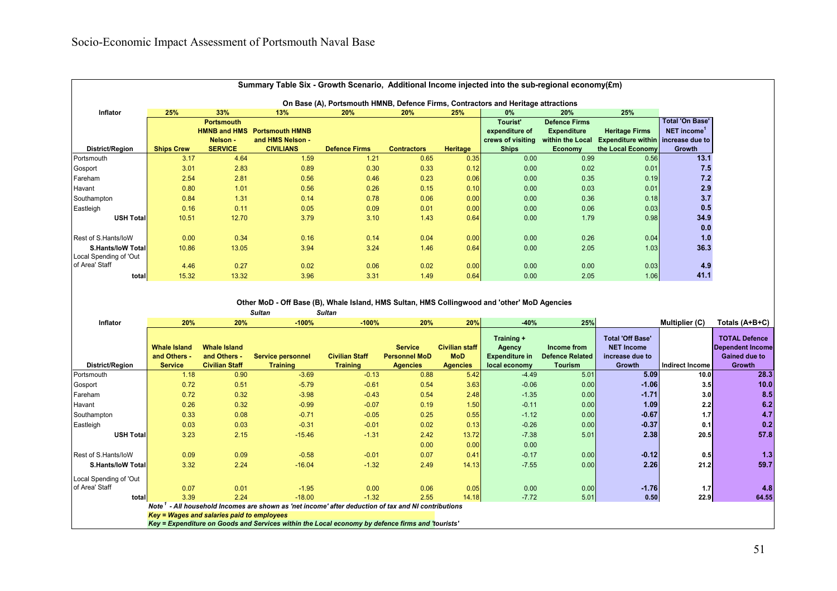| Summary Table Six - Growth Scenario, Additional Income injected into the sub-regional economy( $\mathbf{E}$ m) |                   |                     |                        |                                                                                   |                    |                 |                   |                      |                                           |                        |  |
|----------------------------------------------------------------------------------------------------------------|-------------------|---------------------|------------------------|-----------------------------------------------------------------------------------|--------------------|-----------------|-------------------|----------------------|-------------------------------------------|------------------------|--|
|                                                                                                                |                   |                     |                        | On Base (A), Portsmouth HMNB, Defence Firms, Contractors and Heritage attractions |                    |                 |                   |                      |                                           |                        |  |
| <b>Inflator</b>                                                                                                | 25%               | 33%                 | 13%                    | 20%                                                                               | <b>20%</b>         | 25%             | $0\%$             | <b>20%</b>           | 25%                                       |                        |  |
|                                                                                                                |                   | <b>Portsmouth</b>   |                        |                                                                                   |                    |                 | <b>Tourist'</b>   | <b>Defence Firms</b> |                                           | <b>Total 'On Base'</b> |  |
|                                                                                                                |                   | <b>HMNB and HMS</b> | <b>Portsmouth HMNB</b> |                                                                                   |                    |                 | expenditure of    | <b>Expenditure</b>   | <b>Heritage Firms</b>                     | NET income             |  |
|                                                                                                                |                   | Nelson -            | and HMS Nelson -       |                                                                                   |                    |                 | crews of visiting | within the Local     | <b>Expenditure within</b> increase due to |                        |  |
| <b>District/Region</b>                                                                                         | <b>Ships Crew</b> | <b>SERVICE</b>      | <b>CIVILIANS</b>       | <b>Defence Firms</b>                                                              | <b>Contractors</b> | <b>Heritage</b> | <b>Ships</b>      | Economy              | the Local Economy                         | Growth                 |  |
| Portsmouth                                                                                                     | 3.17              | 4.64                | 1.59                   | 1.21                                                                              | 0.65               | 0.35            | 0.00              | 0.99                 | 0.56                                      | 13.1                   |  |
| Gosport                                                                                                        | 3.01              | 2.83                | 0.89                   | 0.30                                                                              | 0.33               | 0.12            | 0.00              | 0.02                 | 0.01                                      | 7.5                    |  |
| Fareham                                                                                                        | 2.54              | 2.81                | 0.56                   | 0.46                                                                              | 0.23               | 0.06            | 0.00              | 0.35                 | 0.19                                      | 7.2                    |  |
| Havant                                                                                                         | 0.80              | 1.01                | 0.56                   | 0.26                                                                              | 0.15               | 0.10            | 0.00              | 0.03                 | 0.01                                      | 2.9                    |  |
| Southampton                                                                                                    | 0.84              | 1.31                | 0.14                   | 0.78                                                                              | 0.06               | 0.00            | 0.00              | 0.36                 | 0.18                                      | 3.7                    |  |
| Eastleigh                                                                                                      | 0.16              | 0.11                | 0.05                   | 0.09                                                                              | 0.01               | 0.00            | 0.00              | 0.06                 | 0.03                                      | 0.5                    |  |
| USH Total                                                                                                      | 10.51             | 12.70               | 3.79                   | 3.10                                                                              | 1.43               | 0.64            | 0.00              | 1.79                 | 0.98                                      | 34.9                   |  |
|                                                                                                                |                   |                     |                        |                                                                                   |                    |                 |                   |                      |                                           | 0.0                    |  |
| Rest of S.Hants/loW                                                                                            | 0.00              | 0.34                | 0.16                   | 0.14                                                                              | 0.04               | 0.00            | 0.00              | 0.26                 | 0.04                                      | 1.0                    |  |
| <b>S.Hants/IoW Totall</b>                                                                                      | 10.86             | 13.05               | 3.94                   | 3.24                                                                              | 1.46               | 0.64            | 0.00              | 2.05                 | 1.03                                      | 36.3                   |  |
| Local Spending of 'Out                                                                                         |                   |                     |                        |                                                                                   |                    |                 |                   |                      |                                           |                        |  |
| of Area' Staff                                                                                                 | 4.46              | 0.27                | 0.02                   | 0.06                                                                              | 0.02               | 0.00            | 0.00              | 0.00                 | 0.03                                      | 4.9                    |  |
| total                                                                                                          | 15.32             | 13.32               | 3.96                   | 3.31                                                                              | 1.49               | 0.64            | 0.00              | 2.05                 | 1.06                                      | 41.1                   |  |

#### *Sultan Sultan* **Other MoD - Off Base (B), Whale Island, HMS Sultan, HMS Collingwood and 'other' MoD Agencies**

| Inflator                 | 20%                                                   | 20%                                                          | $-100%$                                                                                                                                                                                                                           | $-100%$                                  | 20%                                                       | 20%                                                    | $-40%$                                                         | 25%                                                     |                                                                           | Multiplier (C)    | Totals (A+B+C)                                                                    |
|--------------------------|-------------------------------------------------------|--------------------------------------------------------------|-----------------------------------------------------------------------------------------------------------------------------------------------------------------------------------------------------------------------------------|------------------------------------------|-----------------------------------------------------------|--------------------------------------------------------|----------------------------------------------------------------|---------------------------------------------------------|---------------------------------------------------------------------------|-------------------|-----------------------------------------------------------------------------------|
| District/Region          | <b>Whale Island</b><br>and Others -<br><b>Service</b> | <b>Whale Island</b><br>and Others -<br><b>Civilian Staff</b> | Service personnel<br><b>Training</b>                                                                                                                                                                                              | <b>Civilian Staff</b><br><b>Training</b> | <b>Service</b><br><b>Personnel MoD</b><br><b>Agencies</b> | <b>Civilian staff</b><br><b>MoD</b><br><b>Agencies</b> | Training +<br>Agency<br><b>Expenditure in</b><br>local economy | Income from<br><b>Defence Related</b><br><b>Tourism</b> | <b>Total 'Off Base'</b><br><b>NET Income</b><br>increase due to<br>Growth | Indirect Income   | <b>TOTAL Defence</b><br><b>Dependent Income</b><br><b>Gained due to</b><br>Growth |
| Portsmouth               | 1.18                                                  | 0.90                                                         | $-3.69$                                                                                                                                                                                                                           | $-0.13$                                  | 0.88                                                      | 5.42                                                   | $-4.49$                                                        | 5.01                                                    | 5.09                                                                      | 10.0 <sub>l</sub> | 28.3                                                                              |
| Gosport                  | 0.72                                                  | 0.51                                                         | $-5.79$                                                                                                                                                                                                                           | $-0.61$                                  | 0.54                                                      | 3.63                                                   | $-0.06$                                                        | 0.00                                                    | $-1.06$                                                                   | 3.5               | 10.0                                                                              |
| Fareham                  | 0.72                                                  | 0.32                                                         | $-3.98$                                                                                                                                                                                                                           | $-0.43$                                  | 0.54                                                      | 2.48                                                   | $-1.35$                                                        | 0.00                                                    | $-1.71$                                                                   | 3.0               | 8.5                                                                               |
| Havant                   | 0.26                                                  | 0.32                                                         | $-0.99$                                                                                                                                                                                                                           | $-0.07$                                  | 0.19                                                      | 1.50                                                   | $-0.11$                                                        | 0.00                                                    | 1.09                                                                      | 2.2               | 6.2                                                                               |
| Southampton              | 0.33                                                  | 0.08                                                         | $-0.71$                                                                                                                                                                                                                           | $-0.05$                                  | 0.25                                                      | 0.55                                                   | $-1.12$                                                        | 0.00                                                    | $-0.67$                                                                   | 1.7               | 4.7                                                                               |
| Eastleigh                | 0.03                                                  | 0.03                                                         | $-0.31$                                                                                                                                                                                                                           | $-0.01$                                  | 0.02                                                      | 0.13                                                   | $-0.26$                                                        | 0.00                                                    | $-0.37$                                                                   | 0.1               | 0.2                                                                               |
| <b>USH Total</b>         | 3.23                                                  | 2.15                                                         | $-15.46$                                                                                                                                                                                                                          | $-1.31$                                  | 2.42                                                      | 13.72                                                  | $-7.38$                                                        | 5.01                                                    | 2.38                                                                      | 20.5              | 57.8                                                                              |
|                          |                                                       |                                                              |                                                                                                                                                                                                                                   |                                          | 0.00                                                      | 0.00                                                   | 0.00                                                           |                                                         |                                                                           |                   |                                                                                   |
| Rest of S.Hants/loW      | 0.09                                                  | 0.09                                                         | $-0.58$                                                                                                                                                                                                                           | $-0.01$                                  | 0.07                                                      | 0.41                                                   | $-0.17$                                                        | 0.00                                                    | $-0.12$                                                                   | 0.5               | 1.3                                                                               |
| <b>S.Hants/loW Total</b> | 3.32                                                  | 2.24                                                         | $-16.04$                                                                                                                                                                                                                          | $-1.32$                                  | 2.49                                                      | 14.13                                                  | $-7.55$                                                        | 0.00                                                    | 2.26                                                                      | 21.2              | 59.7                                                                              |
| Local Spending of 'Out   |                                                       |                                                              |                                                                                                                                                                                                                                   |                                          |                                                           |                                                        |                                                                |                                                         |                                                                           |                   |                                                                                   |
| of Area' Staff           | 0.07                                                  | 0.01                                                         | $-1.95$                                                                                                                                                                                                                           | 0.00                                     | 0.06                                                      | 0.05                                                   | 0.00                                                           | 0.00                                                    | $-1.76$                                                                   | 1.7               | 4.8                                                                               |
| total                    | 3.39                                                  | 2.24                                                         | $-18.00$                                                                                                                                                                                                                          | $-1.32$                                  | 2.55                                                      | 14.18                                                  | $-7.72$                                                        | 5.01                                                    | 0.50                                                                      | 22.9              | 64.55                                                                             |
|                          | Note '                                                |                                                              | - All household Incomes are shown as 'net income' after deduction of tax and NI contributions                                                                                                                                     |                                          |                                                           |                                                        |                                                                |                                                         |                                                                           |                   |                                                                                   |
|                          | Key = Wages and salaries paid to employees            |                                                              | $\mathbf{r}$ , and the contract of the contract of the contract of the contract of the contract of the contract of the contract of the contract of the contract of the contract of the contract of the contract of the contract o |                                          |                                                           |                                                        |                                                                |                                                         |                                                                           |                   |                                                                                   |

*Key = Expenditure on Goods and Services within the Local economy by defence firms and 'tourists'*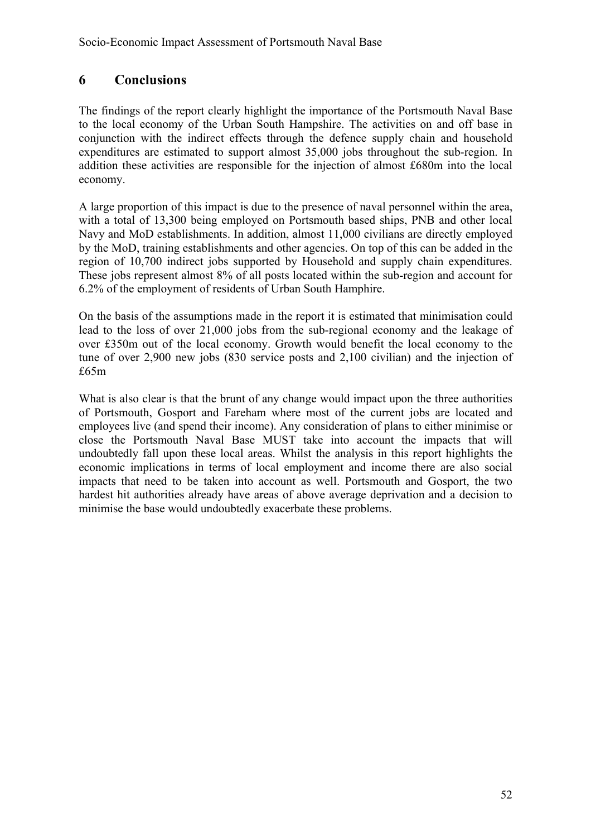## **6 Conclusions**

The findings of the report clearly highlight the importance of the Portsmouth Naval Base to the local economy of the Urban South Hampshire. The activities on and off base in conjunction with the indirect effects through the defence supply chain and household expenditures are estimated to support almost 35,000 jobs throughout the sub-region. In addition these activities are responsible for the injection of almost £680m into the local economy.

A large proportion of this impact is due to the presence of naval personnel within the area, with a total of 13,300 being employed on Portsmouth based ships, PNB and other local Navy and MoD establishments. In addition, almost 11,000 civilians are directly employed by the MoD, training establishments and other agencies. On top of this can be added in the region of 10,700 indirect jobs supported by Household and supply chain expenditures. These jobs represent almost 8% of all posts located within the sub-region and account for 6.2% of the employment of residents of Urban South Hamphire.

On the basis of the assumptions made in the report it is estimated that minimisation could lead to the loss of over 21,000 jobs from the sub-regional economy and the leakage of over £350m out of the local economy. Growth would benefit the local economy to the tune of over 2,900 new jobs (830 service posts and 2,100 civilian) and the injection of £65m

What is also clear is that the brunt of any change would impact upon the three authorities of Portsmouth, Gosport and Fareham where most of the current jobs are located and employees live (and spend their income). Any consideration of plans to either minimise or close the Portsmouth Naval Base MUST take into account the impacts that will undoubtedly fall upon these local areas. Whilst the analysis in this report highlights the economic implications in terms of local employment and income there are also social impacts that need to be taken into account as well. Portsmouth and Gosport, the two hardest hit authorities already have areas of above average deprivation and a decision to minimise the base would undoubtedly exacerbate these problems.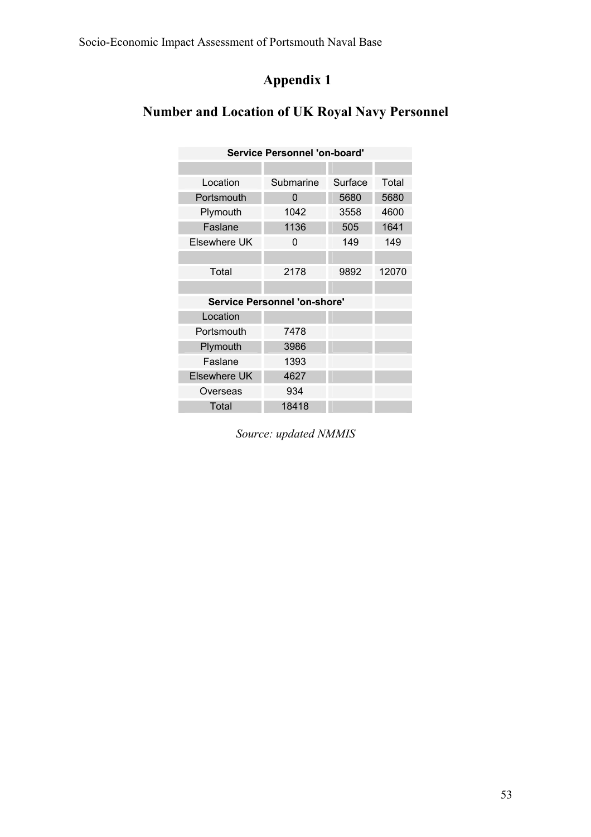# **Appendix 1**

# **Number and Location of UK Royal Navy Personnel**

| <b>Service Personnel 'on-board'</b> |           |         |       |  |  |  |  |
|-------------------------------------|-----------|---------|-------|--|--|--|--|
|                                     |           |         |       |  |  |  |  |
| Location                            | Submarine | Surface | Total |  |  |  |  |
| Portsmouth                          | 0         | 5680    | 5680  |  |  |  |  |
| Plymouth                            | 1042      | 3558    | 4600  |  |  |  |  |
| Faslane                             | 1136      | 505     | 1641  |  |  |  |  |
| Elsewhere UK                        | 0         | 149     | 149   |  |  |  |  |
|                                     |           |         |       |  |  |  |  |
| Total                               | 2178      | 9892    | 12070 |  |  |  |  |
|                                     |           |         |       |  |  |  |  |
| <b>Service Personnel 'on-shore'</b> |           |         |       |  |  |  |  |
| Location                            |           |         |       |  |  |  |  |
| Portsmouth                          | 7478      |         |       |  |  |  |  |
| Plymouth                            | 3986      |         |       |  |  |  |  |
| Faslane                             | 1393      |         |       |  |  |  |  |
| <b>Elsewhere UK</b>                 | 4627      |         |       |  |  |  |  |
| Overseas                            | 934       |         |       |  |  |  |  |
| Total                               | 18418     |         |       |  |  |  |  |

*Source: updated NMMIS*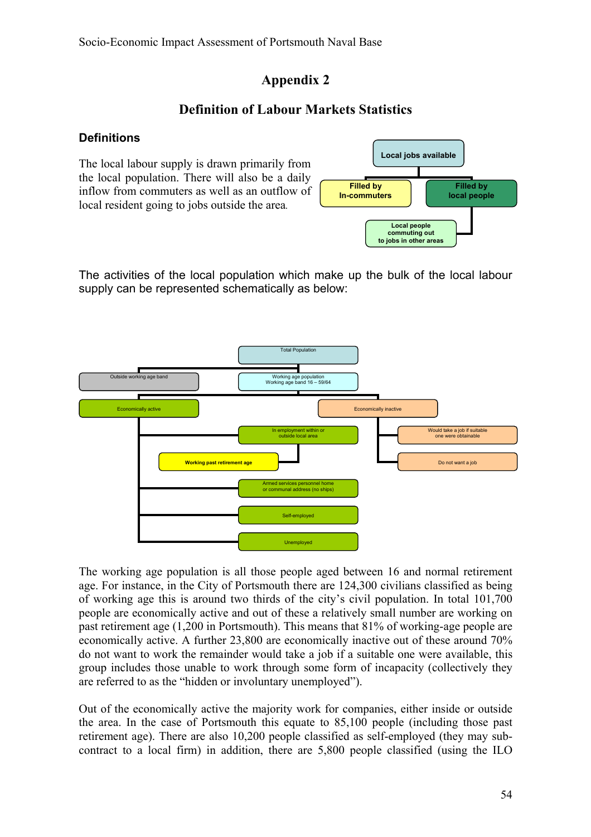## **Appendix 2**

## **Definition of Labour Markets Statistics**

#### **Definitions**

The local labour supply is drawn primarily from the local population. There will also be a daily inflow from commuters as well as an outflow of local resident going to jobs outside the area*.* 



The activities of the local population which make up the bulk of the local labour supply can be represented schematically as below:



The working age population is all those people aged between 16 and normal retirement age. For instance, in the City of Portsmouth there are 124,300 civilians classified as being of working age this is around two thirds of the city's civil population. In total 101,700 people are economically active and out of these a relatively small number are working on past retirement age (1,200 in Portsmouth). This means that 81% of working-age people are economically active. A further 23,800 are economically inactive out of these around 70% do not want to work the remainder would take a job if a suitable one were available, this group includes those unable to work through some form of incapacity (collectively they are referred to as the "hidden or involuntary unemployed").

Out of the economically active the majority work for companies, either inside or outside the area. In the case of Portsmouth this equate to 85,100 people (including those past retirement age). There are also 10,200 people classified as self-employed (they may subcontract to a local firm) in addition, there are 5,800 people classified (using the ILO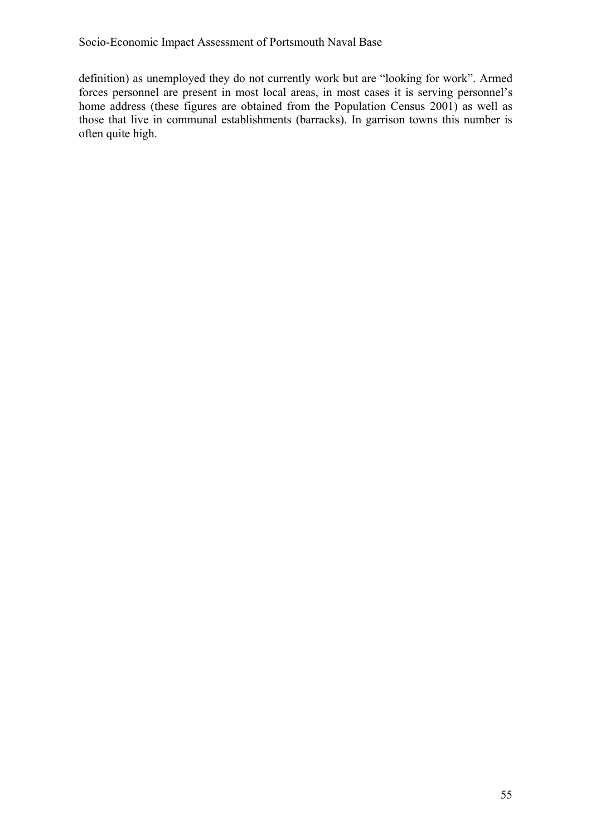definition) as unemployed they do not currently work but are "looking for work". Armed forces personnel are present in most local areas, in most cases it is serving personnel's home address (these figures are obtained from the Population Census 2001) as well as those that live in communal establishments (barracks). In garrison towns this number is often quite high.